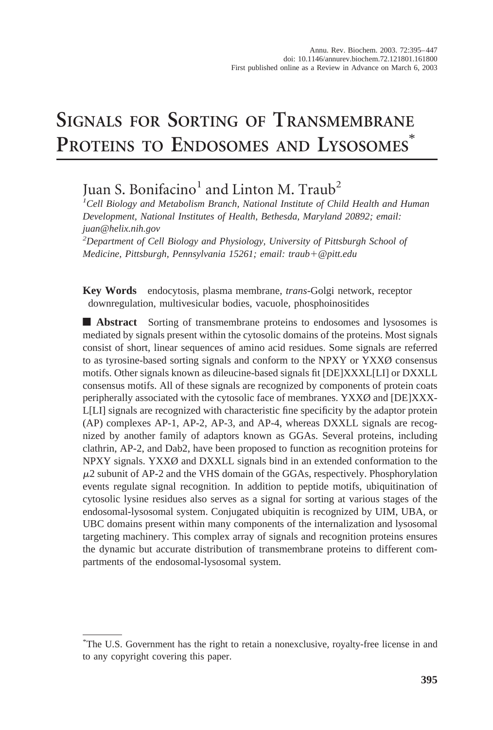# **SIGNALS FOR SORTING OF TRANSMEMBRANE PROTEINS TO ENDOSOMES AND LYSOSOMES** \*

## Juan S. Bonifacino<sup>1</sup> and Linton M. Traub<sup>2</sup>

*1 Cell Biology and Metabolism Branch, National Institute of Child Health and Human Development, National Institutes of Health, Bethesda, Maryland 20892; email: juan@helix.nih.gov*

*2 Department of Cell Biology and Physiology, University of Pittsburgh School of Medicine, Pittsburgh, Pennsylvania 15261; email: traub@pitt.edu*

**Key Words** endocytosis, plasma membrane, *trans*-Golgi network, receptor downregulation, multivesicular bodies, vacuole, phosphoinositides

 $\blacksquare$  **Abstract** Sorting of transmembrane proteins to endosomes and lysosomes is mediated by signals present within the cytosolic domains of the proteins. Most signals consist of short, linear sequences of amino acid residues. Some signals are referred to as tyrosine-based sorting signals and conform to the NPXY or YXXØ consensus motifs. Other signals known as dileucine-based signals fit [DE]XXXL[LI] or DXXLL consensus motifs. All of these signals are recognized by components of protein coats peripherally associated with the cytosolic face of membranes. YXXØ and [DE]XXX-L[LI] signals are recognized with characteristic fine specificity by the adaptor protein (AP) complexes AP-1, AP-2, AP-3, and AP-4, whereas DXXLL signals are recognized by another family of adaptors known as GGAs. Several proteins, including clathrin, AP-2, and Dab2, have been proposed to function as recognition proteins for NPXY signals. YXXØ and DXXLL signals bind in an extended conformation to the  $\mu$ 2 subunit of AP-2 and the VHS domain of the GGAs, respectively. Phosphorylation events regulate signal recognition. In addition to peptide motifs, ubiquitination of cytosolic lysine residues also serves as a signal for sorting at various stages of the endosomal-lysosomal system. Conjugated ubiquitin is recognized by UIM, UBA, or UBC domains present within many components of the internalization and lysosomal targeting machinery. This complex array of signals and recognition proteins ensures the dynamic but accurate distribution of transmembrane proteins to different compartments of the endosomal-lysosomal system.

<sup>\*</sup> The U.S. Government has the right to retain a nonexclusive, royalty-free license in and to any copyright covering this paper.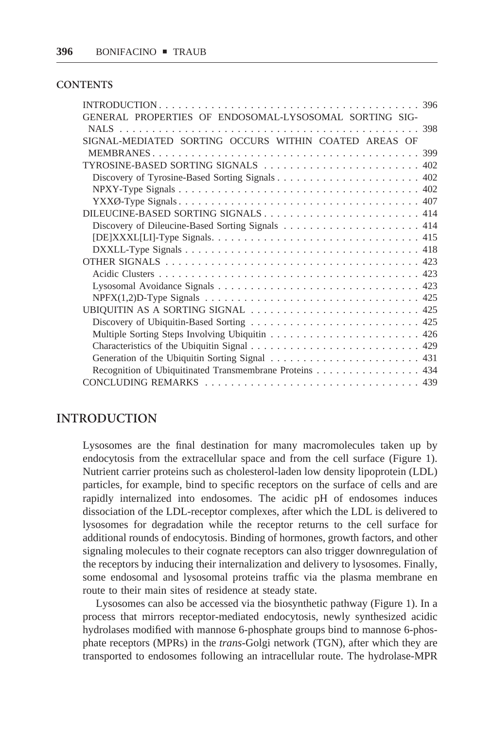#### **CONTENTS**

| GENERAL PROPERTIES OF ENDOSOMAL-LYSOSOMAL SORTING SIG-  |  |
|---------------------------------------------------------|--|
|                                                         |  |
| SIGNAL-MEDIATED SORTING OCCURS WITHIN COATED AREAS OF   |  |
|                                                         |  |
| TYROSINE-BASED SORTING SIGNALS  402                     |  |
|                                                         |  |
|                                                         |  |
|                                                         |  |
|                                                         |  |
|                                                         |  |
|                                                         |  |
|                                                         |  |
|                                                         |  |
|                                                         |  |
|                                                         |  |
|                                                         |  |
|                                                         |  |
| Discovery of Ubiquitin-Based Sorting  425               |  |
|                                                         |  |
|                                                         |  |
| Generation of the Ubiquitin Sorting Signal  431         |  |
| Recognition of Ubiquitinated Transmembrane Proteins 434 |  |
|                                                         |  |
|                                                         |  |

#### **INTRODUCTION**

Lysosomes are the final destination for many macromolecules taken up by endocytosis from the extracellular space and from the cell surface (Figure 1). Nutrient carrier proteins such as cholesterol-laden low density lipoprotein (LDL) particles, for example, bind to specific receptors on the surface of cells and are rapidly internalized into endosomes. The acidic pH of endosomes induces dissociation of the LDL-receptor complexes, after which the LDL is delivered to lysosomes for degradation while the receptor returns to the cell surface for additional rounds of endocytosis. Binding of hormones, growth factors, and other signaling molecules to their cognate receptors can also trigger downregulation of the receptors by inducing their internalization and delivery to lysosomes. Finally, some endosomal and lysosomal proteins traffic via the plasma membrane en route to their main sites of residence at steady state.

Lysosomes can also be accessed via the biosynthetic pathway (Figure 1). In a process that mirrors receptor-mediated endocytosis, newly synthesized acidic hydrolases modified with mannose 6-phosphate groups bind to mannose 6-phosphate receptors (MPRs) in the *trans*-Golgi network (TGN), after which they are transported to endosomes following an intracellular route. The hydrolase-MPR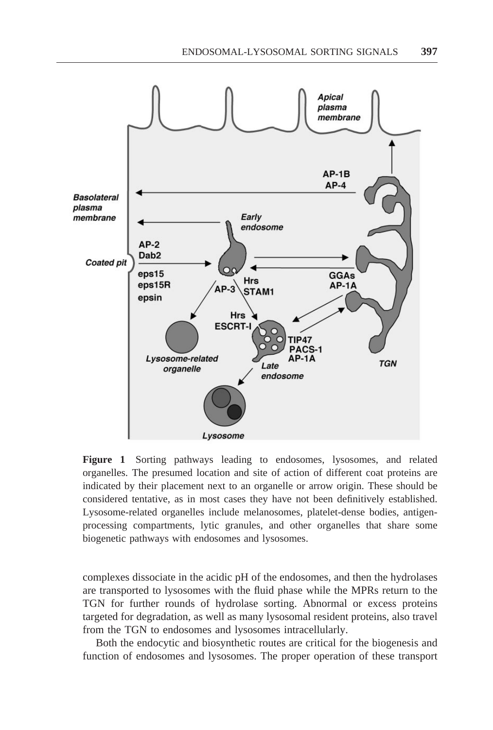

**Figure 1** Sorting pathways leading to endosomes, lysosomes, and related organelles. The presumed location and site of action of different coat proteins are indicated by their placement next to an organelle or arrow origin. These should be considered tentative, as in most cases they have not been definitively established. Lysosome-related organelles include melanosomes, platelet-dense bodies, antigenprocessing compartments, lytic granules, and other organelles that share some biogenetic pathways with endosomes and lysosomes.

complexes dissociate in the acidic pH of the endosomes, and then the hydrolases are transported to lysosomes with the fluid phase while the MPRs return to the TGN for further rounds of hydrolase sorting. Abnormal or excess proteins targeted for degradation, as well as many lysosomal resident proteins, also travel from the TGN to endosomes and lysosomes intracellularly.

Both the endocytic and biosynthetic routes are critical for the biogenesis and function of endosomes and lysosomes. The proper operation of these transport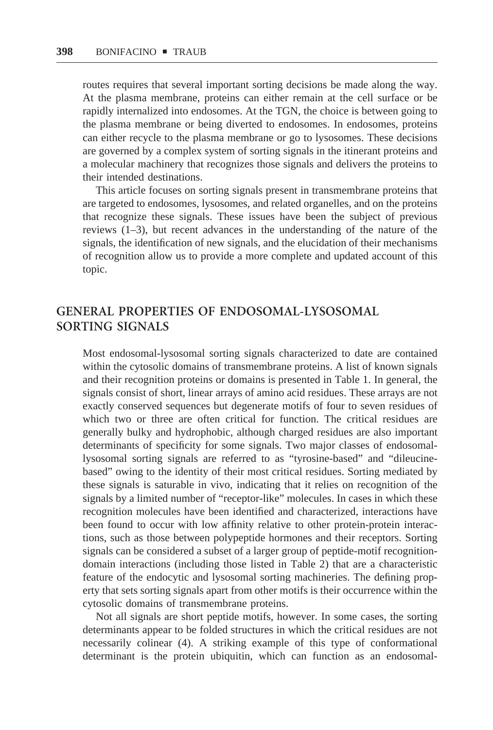routes requires that several important sorting decisions be made along the way. At the plasma membrane, proteins can either remain at the cell surface or be rapidly internalized into endosomes. At the TGN, the choice is between going to the plasma membrane or being diverted to endosomes. In endosomes, proteins can either recycle to the plasma membrane or go to lysosomes. These decisions are governed by a complex system of sorting signals in the itinerant proteins and a molecular machinery that recognizes those signals and delivers the proteins to their intended destinations.

This article focuses on sorting signals present in transmembrane proteins that are targeted to endosomes, lysosomes, and related organelles, and on the proteins that recognize these signals. These issues have been the subject of previous reviews  $(1-3)$ , but recent advances in the understanding of the nature of the signals, the identification of new signals, and the elucidation of their mechanisms of recognition allow us to provide a more complete and updated account of this topic.

## **GENERAL PROPERTIES OF ENDOSOMAL-LYSOSOMAL SORTING SIGNALS**

Most endosomal-lysosomal sorting signals characterized to date are contained within the cytosolic domains of transmembrane proteins. A list of known signals and their recognition proteins or domains is presented in Table 1. In general, the signals consist of short, linear arrays of amino acid residues. These arrays are not exactly conserved sequences but degenerate motifs of four to seven residues of which two or three are often critical for function. The critical residues are generally bulky and hydrophobic, although charged residues are also important determinants of specificity for some signals. Two major classes of endosomallysosomal sorting signals are referred to as "tyrosine-based" and "dileucinebased" owing to the identity of their most critical residues. Sorting mediated by these signals is saturable in vivo, indicating that it relies on recognition of the signals by a limited number of "receptor-like" molecules. In cases in which these recognition molecules have been identified and characterized, interactions have been found to occur with low affinity relative to other protein-protein interactions, such as those between polypeptide hormones and their receptors. Sorting signals can be considered a subset of a larger group of peptide-motif recognitiondomain interactions (including those listed in Table 2) that are a characteristic feature of the endocytic and lysosomal sorting machineries. The defining property that sets sorting signals apart from other motifs is their occurrence within the cytosolic domains of transmembrane proteins.

Not all signals are short peptide motifs, however. In some cases, the sorting determinants appear to be folded structures in which the critical residues are not necessarily colinear (4). A striking example of this type of conformational determinant is the protein ubiquitin, which can function as an endosomal-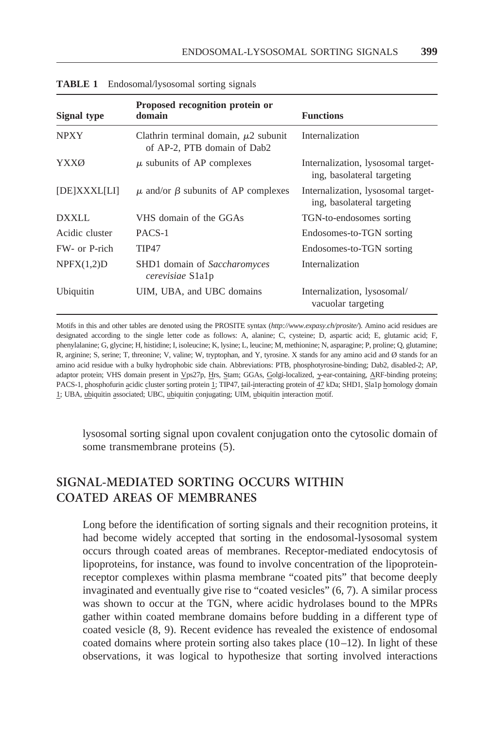| Signal type    | Proposed recognition protein or<br>domain                                | <b>Functions</b>                                                 |
|----------------|--------------------------------------------------------------------------|------------------------------------------------------------------|
| <b>NPXY</b>    | Clathrin terminal domain, $\mu$ 2 subunit<br>of AP-2, PTB domain of Dab2 | Internalization                                                  |
| YXXØ           | $\mu$ subunits of AP complexes                                           | Internalization, lysosomal target-<br>ing, basolateral targeting |
| [DE]XXXL[LI]   | $\mu$ and/or $\beta$ subunits of AP complexes                            | Internalization, lysosomal target-<br>ing, basolateral targeting |
| <b>DXXLL</b>   | VHS domain of the GGAs                                                   | TGN-to-endosomes sorting                                         |
| Acidic cluster | PACS-1                                                                   | Endosomes-to-TGN sorting                                         |
| FW- or P-rich  | <b>TIP47</b>                                                             | Endosomes-to-TGN sorting                                         |
| NPFX(1,2)D     | SHD1 domain of Saccharomyces<br><i>cerevisiae</i> S1a1p                  | Internalization                                                  |
| Ubiquitin      | UIM, UBA, and UBC domains                                                | Internalization, lysosomal/<br>vacuolar targeting                |

#### **TABLE 1** Endosomal/lysosomal sorting signals

Motifs in this and other tables are denoted using the PROSITE syntax (*http://www.expasy.ch/prosite/*). Amino acid residues are designated according to the single letter code as follows: A, alanine; C, cysteine; D, aspartic acid; E, glutamic acid; F, phenylalanine; G, glycine; H, histidine; I, isoleucine; K, lysine; L, leucine; M, methionine; N, asparagine; P, proline; Q, glutamine; R, arginine; S, serine; T, threonine; V, valine; W, tryptophan, and Y, tyrosine. X stands for any amino acid and Ø stands for an amino acid residue with a bulky hydrophobic side chain. Abbreviations: PTB, phosphotyrosine-binding; Dab2, disabled-2; AP, adaptor protein; VHS domain present in Vps27p, Hrs, Stam; GGAs, Golgi-localized,  $\gamma$ -ear-containing, ARF-binding proteins; PACS-1, phosphofurin acidic cluster sorting protein 1; TIP47, tail-interacting protein of 47 kDa; SHD1, Sla1p homology domain 1; UBA, ubiquitin associated; UBC, ubiquitin conjugating; UIM, ubiquitin interaction motif.

lysosomal sorting signal upon covalent conjugation onto the cytosolic domain of some transmembrane proteins (5).

## **SIGNAL-MEDIATED SORTING OCCURS WITHIN COATED AREAS OF MEMBRANES**

Long before the identification of sorting signals and their recognition proteins, it had become widely accepted that sorting in the endosomal-lysosomal system occurs through coated areas of membranes. Receptor-mediated endocytosis of lipoproteins, for instance, was found to involve concentration of the lipoproteinreceptor complexes within plasma membrane "coated pits" that become deeply invaginated and eventually give rise to "coated vesicles" (6, 7). A similar process was shown to occur at the TGN, where acidic hydrolases bound to the MPRs gather within coated membrane domains before budding in a different type of coated vesicle (8, 9). Recent evidence has revealed the existence of endosomal coated domains where protein sorting also takes place  $(10-12)$ . In light of these observations, it was logical to hypothesize that sorting involved interactions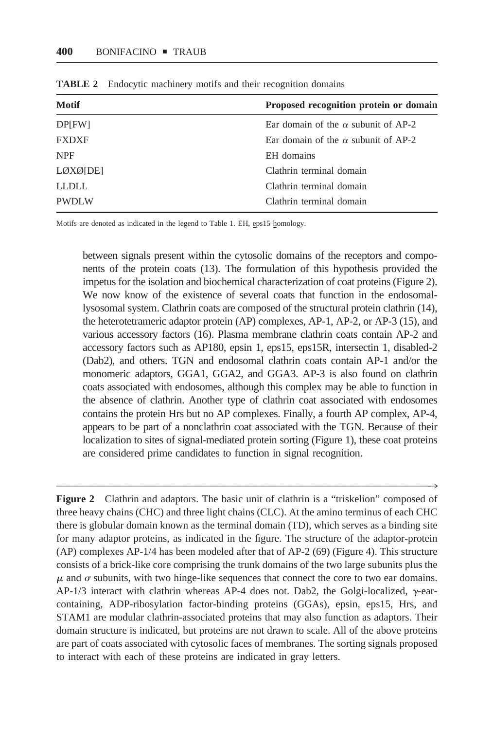| <b>Motif</b>  | Proposed recognition protein or domain     |
|---------------|--------------------------------------------|
| <b>DP[FW]</b> | Ear domain of the $\alpha$ subunit of AP-2 |
| <b>FXDXF</b>  | Ear domain of the $\alpha$ subunit of AP-2 |
| <b>NPF</b>    | EH domains                                 |
| LØXØ[DE]      | Clathrin terminal domain                   |
| LLDLL.        | Clathrin terminal domain                   |
| <b>PWDLW</b>  | Clathrin terminal domain                   |
|               |                                            |

**TABLE 2** Endocytic machinery motifs and their recognition domains

Motifs are denoted as indicated in the legend to Table 1. EH, eps15 homology.

between signals present within the cytosolic domains of the receptors and components of the protein coats (13). The formulation of this hypothesis provided the impetus for the isolation and biochemical characterization of coat proteins (Figure 2). We now know of the existence of several coats that function in the endosomallysosomal system. Clathrin coats are composed of the structural protein clathrin (14), the heterotetrameric adaptor protein (AP) complexes, AP-1, AP-2, or AP-3 (15), and various accessory factors (16). Plasma membrane clathrin coats contain AP-2 and accessory factors such as AP180, epsin 1, eps15, eps15R, intersectin 1, disabled-2 (Dab2), and others. TGN and endosomal clathrin coats contain AP-1 and/or the monomeric adaptors, GGA1, GGA2, and GGA3. AP-3 is also found on clathrin coats associated with endosomes, although this complex may be able to function in the absence of clathrin. Another type of clathrin coat associated with endosomes contains the protein Hrs but no AP complexes. Finally, a fourth AP complex, AP-4, appears to be part of a nonclathrin coat associated with the TGN. Because of their localization to sites of signal-mediated protein sorting (Figure 1), these coat proteins are considered prime candidates to function in signal recognition.

**Figure 2** Clathrin and adaptors. The basic unit of clathrin is a "triskelion" composed of three heavy chains (CHC) and three light chains (CLC). At the amino terminus of each CHC there is globular domain known as the terminal domain (TD), which serves as a binding site for many adaptor proteins, as indicated in the figure. The structure of the adaptor-protein (AP) complexes AP-1/4 has been modeled after that of AP-2 (69) (Figure 4). This structure consists of a brick-like core comprising the trunk domains of the two large subunits plus the  $\mu$  and  $\sigma$  subunits, with two hinge-like sequences that connect the core to two ear domains. AP-1/3 interact with clathrin whereas AP-4 does not. Dab2, the Golgi-localized,  $\gamma$ -earcontaining, ADP-ribosylation factor-binding proteins (GGAs), epsin, eps15, Hrs, and STAM1 are modular clathrin-associated proteins that may also function as adaptors. Their domain structure is indicated, but proteins are not drawn to scale. All of the above proteins are part of coats associated with cytosolic faces of membranes. The sorting signals proposed to interact with each of these proteins are indicated in gray letters.

™™™™™™™™™™™™™™™™™™™™™™™™™™™™™™™™™™™™™™™™™™™™™™™™™™™™™™™™™™™™™™™™™™™™™™™™3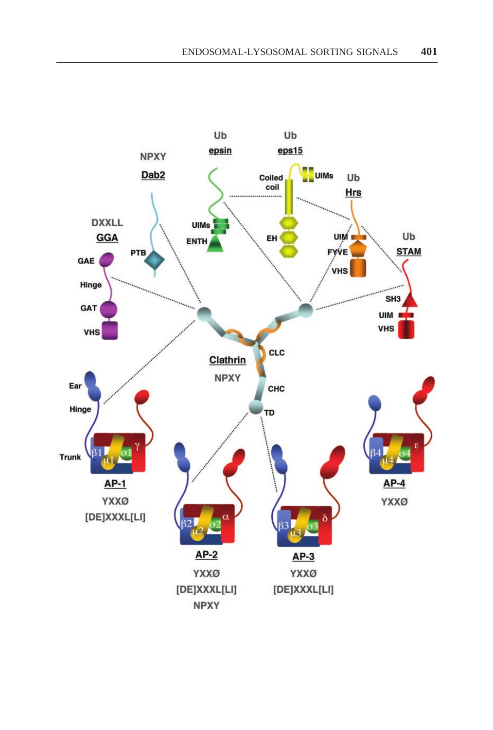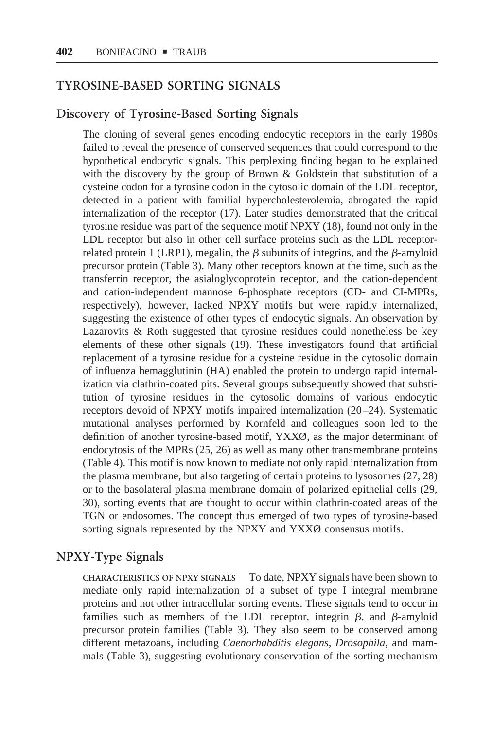## **TYROSINE-BASED SORTING SIGNALS**

### **Discovery of Tyrosine-Based Sorting Signals**

The cloning of several genes encoding endocytic receptors in the early 1980s failed to reveal the presence of conserved sequences that could correspond to the hypothetical endocytic signals. This perplexing finding began to be explained with the discovery by the group of Brown & Goldstein that substitution of a cysteine codon for a tyrosine codon in the cytosolic domain of the LDL receptor, detected in a patient with familial hypercholesterolemia, abrogated the rapid internalization of the receptor (17). Later studies demonstrated that the critical tyrosine residue was part of the sequence motif NPXY (18), found not only in the LDL receptor but also in other cell surface proteins such as the LDL receptorrelated protein 1 (LRP1), megalin, the  $\beta$  subunits of integrins, and the  $\beta$ -amyloid precursor protein (Table 3). Many other receptors known at the time, such as the transferrin receptor, the asialoglycoprotein receptor, and the cation-dependent and cation-independent mannose 6-phosphate receptors (CD- and CI-MPRs, respectively), however, lacked NPXY motifs but were rapidly internalized, suggesting the existence of other types of endocytic signals. An observation by Lazarovits & Roth suggested that tyrosine residues could nonetheless be key elements of these other signals (19). These investigators found that artificial replacement of a tyrosine residue for a cysteine residue in the cytosolic domain of influenza hemagglutinin (HA) enabled the protein to undergo rapid internalization via clathrin-coated pits. Several groups subsequently showed that substitution of tyrosine residues in the cytosolic domains of various endocytic receptors devoid of NPXY motifs impaired internalization (20–24). Systematic mutational analyses performed by Kornfeld and colleagues soon led to the definition of another tyrosine-based motif, YXXØ, as the major determinant of endocytosis of the MPRs (25, 26) as well as many other transmembrane proteins (Table 4). This motif is now known to mediate not only rapid internalization from the plasma membrane, but also targeting of certain proteins to lysosomes (27, 28) or to the basolateral plasma membrane domain of polarized epithelial cells (29, 30), sorting events that are thought to occur within clathrin-coated areas of the TGN or endosomes. The concept thus emerged of two types of tyrosine-based sorting signals represented by the NPXY and YXXØ consensus motifs.

## **NPXY-Type Signals**

**CHARACTERISTICS OF NPXY SIGNALS** To date, NPXY signals have been shown to mediate only rapid internalization of a subset of type I integral membrane proteins and not other intracellular sorting events. These signals tend to occur in families such as members of the LDL receptor, integrin  $\beta$ , and  $\beta$ -amyloid precursor protein families (Table 3). They also seem to be conserved among different metazoans, including *Caenorhabditis elegans, Drosophila*, and mammals (Table 3), suggesting evolutionary conservation of the sorting mechanism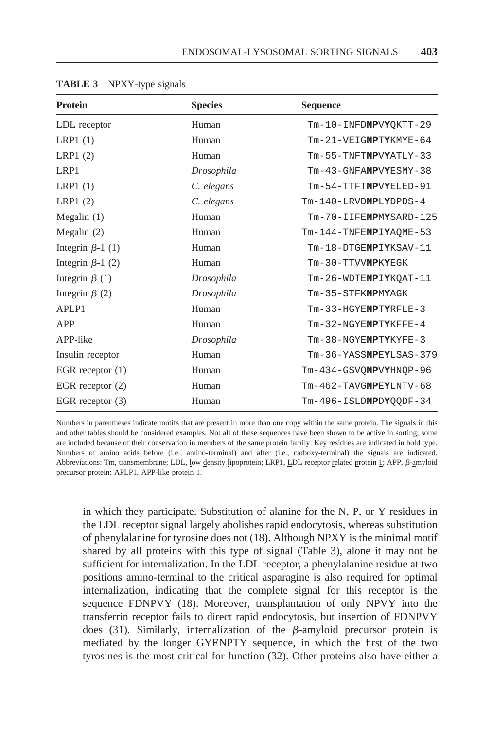| <b>Protein</b>          | <b>Species</b> | <b>Sequence</b>          |
|-------------------------|----------------|--------------------------|
| LDL receptor            | Human          | Tm-10-INFDNPVYOKTT-29    |
| LRP1(1)                 | Human          | Tm-21-VEIGNPTYKMYE-64    |
| LRP1 $(2)$              | Human          | Tm-55-TNFTNPVYATLY-33    |
| LRP1                    | Drosophila     | Tm-43-GNFANPVYESMY-38    |
| LRP1 $(1)$              | C. elegans     | Tm-54-TTFTNPVYELED-91    |
| LRP1 $(2)$              | C. elegans     | $Tm-140-LRVDNPLYDPDS-4$  |
| Megalin $(1)$           | Human          | Tm-70-IIFENPMYSARD-125   |
| Megalin (2)             | Human          | $Tm-144-TNFENPIYAOME-53$ |
| Integrin $\beta$ -1 (1) | Human          | Tm-18-DTGENPIYKSAV-11    |
| Integrin $\beta$ -1 (2) | Human          | Tm-30-TTVVNPKYEGK        |
| Integrin $\beta$ (1)    | Drosophila     | Tm-26-WDTENPIYKOAT-11    |
| Integrin $\beta$ (2)    | Drosophila     | Tm-35-STFKNPMYAGK        |
| APLP1                   | Human          | Tm-33-HGYENPTYRFLE-3     |
| APP                     | Human          | Tm-32-NGYENPTYKFFE-4     |
| APP-like                | Drosophila     | Tm-38-NGYENPTYKYFE-3     |
| Insulin receptor        | Human          | Tm-36-YASSNPEYLSAS-379   |
| EGR receptor $(1)$      | Human          | $Tm-434-GSVONPVYHNOP-96$ |
| EGR receptor $(2)$      | Human          | Tm-462-TAVGNPEYLNTV-68   |
| EGR receptor $(3)$      | Human          | Tm-496-ISLDNPDYOODF-34   |

**TABLE 3** NPXY-type signals

Numbers in parentheses indicate motifs that are present in more than one copy within the same protein. The signals in this and other tables should be considered examples. Not all of these sequences have been shown to be active in sorting; some are included because of their conservation in members of the same protein family. Key residues are indicated in bold type. Numbers of amino acids before (i.e., amino-terminal) and after (i.e., carboxy-terminal) the signals are indicated. Abbreviations: Tm, transmembrane; LDL, low density lipoprotein; LRP1, LDL receptor related protein 1; APP, β-amyloid precursor protein; APLP1, APP-like protein 1.

in which they participate. Substitution of alanine for the N, P, or Y residues in the LDL receptor signal largely abolishes rapid endocytosis, whereas substitution of phenylalanine for tyrosine does not (18). Although NPXY is the minimal motif shared by all proteins with this type of signal (Table 3), alone it may not be sufficient for internalization. In the LDL receptor, a phenylalanine residue at two positions amino-terminal to the critical asparagine is also required for optimal internalization, indicating that the complete signal for this receptor is the sequence FDNPVY (18). Moreover, transplantation of only NPVY into the transferrin receptor fails to direct rapid endocytosis, but insertion of FDNPVY does  $(31)$ . Similarly, internalization of the  $\beta$ -amyloid precursor protein is mediated by the longer GYENPTY sequence, in which the first of the two tyrosines is the most critical for function (32). Other proteins also have either a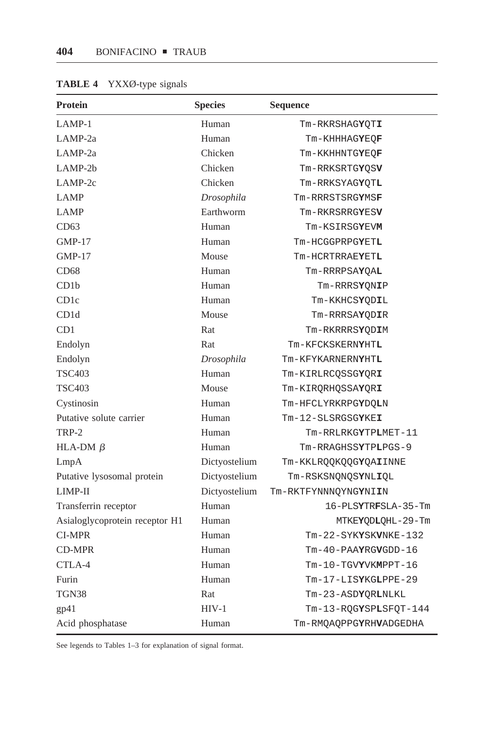| <b>Protein</b>                 | <b>Species</b> | <b>Sequence</b>         |
|--------------------------------|----------------|-------------------------|
| $LAMP-1$                       | Human          | Tm-RKRSHAGYQTI          |
| LAMP-2a                        | Human          | Tm-KHHHAGYEQF           |
| LAMP-2a                        | Chicken        | Tm-KKHHNTGYEQF          |
| $LAMP-2b$                      | Chicken        | Tm-RRKSRTGYQSV          |
| $LAMP-2c$                      | Chicken        | Tm-RRKSYAGYQTL          |
| <b>LAMP</b>                    | Drosophila     | Tm-RRRSTSRGYMSF         |
| <b>LAMP</b>                    | Earthworm      | Tm-RKRSRRGYESV          |
| CD63                           | Human          | Tm-KSIRSGYEVM           |
| $GMP-17$                       | Human          | Tm-HCGGPRPGYETL         |
| $GMP-17$                       | Mouse          | Tm-HCRTRRAEYETL         |
| CD68                           | Human          | Tm-RRRPSAYQAL           |
| CD1b                           | Human          | Tm-RRRSYONIP            |
| CD1c                           | Human          | Tm-KKHCSYODIL           |
| CD1d                           | Mouse          | Tm-RRRSAYQDIR           |
| CD1                            | Rat            | Tm-RKRRRSYQDIM          |
| Endolyn                        | Rat            | Tm-KFCKSKERNYHTL        |
| Endolyn                        | Drosophila     | Tm-KFYKARNERNYHTL       |
| <b>TSC403</b>                  | Human          | Tm-KIRLRCOSSGYORI       |
| TSC403                         | Mouse          | Tm-KIRORHOSSAYORI       |
| Cystinosin                     | Human          | Tm-HFCLYRKRPGYDQLN      |
| Putative solute carrier        | Human          | Tm-12-SLSRGSGYKEI       |
| TRP-2                          | Human          | Tm-RRLRKGYTPLMET-11     |
| HLA-DM $\beta$                 | Human          | Tm-RRAGHSSYTPLPGS-9     |
| LmpA                           | Dictyostelium  | Tm-KKLRQQKQQGYQAIINNE   |
| Putative lysosomal protein     | Dictyostelium  | Tm-RSKSNQNQSYNLIQL      |
| LIMP-II                        | Dictyostelium  | Tm-RKTFYNNNQYNGYNIIN    |
| Transferrin receptor           | Human          | 16-PLSYTRFSLA-35-Tm     |
| Asialoglycoprotein receptor H1 | Human          | MTKEYODLOHL-29-Tm       |
| <b>CI-MPR</b>                  | Human          | Tm-22-SYKYSKVNKE-132    |
| CD-MPR                         | Human          | Tm-40-PAAYRGVGDD-16     |
| CTLA-4                         | Human          | Tm-10-TGVYVKMPPT-16     |
| Furin                          | Human          | $Tm-17-LISYKGLPPE-29$   |
| TGN38                          | Rat            | Tm-23-ASDYQRLNLKL       |
| gp41                           | $HIV-1$        | $Tm-13-RQGYSPLSFQT-144$ |
| Acid phosphatase               | Human          | Tm-RMQAQPPGYRHVADGEDHA  |

**TABLE 4** YXXØ-type signals

See legends to Tables 1–3 for explanation of signal format.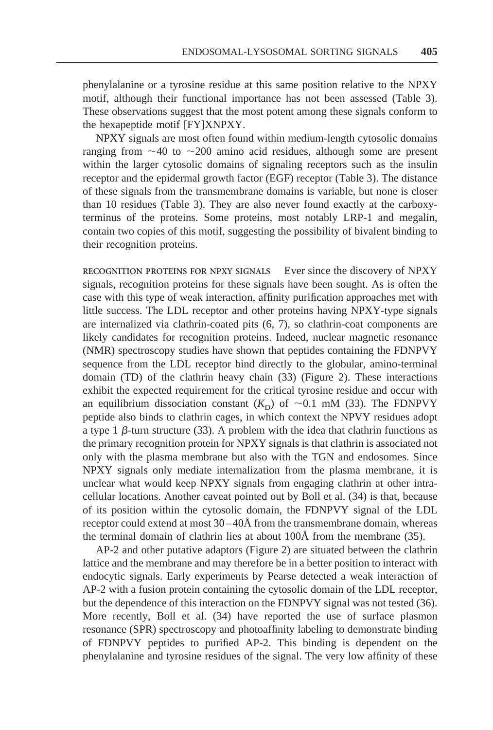phenylalanine or a tyrosine residue at this same position relative to the NPXY motif, although their functional importance has not been assessed (Table 3). These observations suggest that the most potent among these signals conform to the hexapeptide motif [FY]XNPXY.

NPXY signals are most often found within medium-length cytosolic domains ranging from  $\sim$  40 to  $\sim$  200 amino acid residues, although some are present within the larger cytosolic domains of signaling receptors such as the insulin receptor and the epidermal growth factor (EGF) receptor (Table 3). The distance of these signals from the transmembrane domains is variable, but none is closer than 10 residues (Table 3). They are also never found exactly at the carboxyterminus of the proteins. Some proteins, most notably LRP-1 and megalin, contain two copies of this motif, suggesting the possibility of bivalent binding to their recognition proteins.

**RECOGNITION PROTEINS FOR NPXY SIGNALS** Ever since the discovery of NPXY signals, recognition proteins for these signals have been sought. As is often the case with this type of weak interaction, affinity purification approaches met with little success. The LDL receptor and other proteins having NPXY-type signals are internalized via clathrin-coated pits (6, 7), so clathrin-coat components are likely candidates for recognition proteins. Indeed, nuclear magnetic resonance (NMR) spectroscopy studies have shown that peptides containing the FDNPVY sequence from the LDL receptor bind directly to the globular, amino-terminal domain (TD) of the clathrin heavy chain (33) (Figure 2). These interactions exhibit the expected requirement for the critical tyrosine residue and occur with an equilibrium dissociation constant  $(K_D)$  of  $\sim 0.1$  mM (33). The FDNPVY peptide also binds to clathrin cages, in which context the NPVY residues adopt a type 1  $\beta$ -turn structure (33). A problem with the idea that clathrin functions as the primary recognition protein for NPXY signals is that clathrin is associated not only with the plasma membrane but also with the TGN and endosomes. Since NPXY signals only mediate internalization from the plasma membrane, it is unclear what would keep NPXY signals from engaging clathrin at other intracellular locations. Another caveat pointed out by Boll et al. (34) is that, because of its position within the cytosolic domain, the FDNPVY signal of the LDL receptor could extend at most 30–40Å from the transmembrane domain, whereas the terminal domain of clathrin lies at about 100Å from the membrane (35).

AP-2 and other putative adaptors (Figure 2) are situated between the clathrin lattice and the membrane and may therefore be in a better position to interact with endocytic signals. Early experiments by Pearse detected a weak interaction of AP-2 with a fusion protein containing the cytosolic domain of the LDL receptor, but the dependence of this interaction on the FDNPVY signal was not tested (36). More recently, Boll et al. (34) have reported the use of surface plasmon resonance (SPR) spectroscopy and photoaffinity labeling to demonstrate binding of FDNPVY peptides to purified AP-2. This binding is dependent on the phenylalanine and tyrosine residues of the signal. The very low affinity of these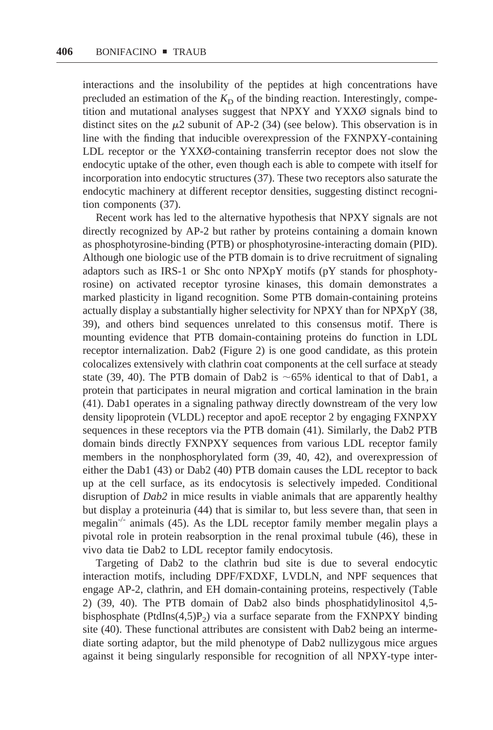interactions and the insolubility of the peptides at high concentrations have precluded an estimation of the  $K<sub>D</sub>$  of the binding reaction. Interestingly, competition and mutational analyses suggest that NPXY and YXXØ signals bind to distinct sites on the  $\mu$ 2 subunit of AP-2 (34) (see below). This observation is in line with the finding that inducible overexpression of the FXNPXY-containing LDL receptor or the YXXØ-containing transferrin receptor does not slow the endocytic uptake of the other, even though each is able to compete with itself for incorporation into endocytic structures (37). These two receptors also saturate the endocytic machinery at different receptor densities, suggesting distinct recognition components (37).

Recent work has led to the alternative hypothesis that NPXY signals are not directly recognized by AP-2 but rather by proteins containing a domain known as phosphotyrosine-binding (PTB) or phosphotyrosine-interacting domain (PID). Although one biologic use of the PTB domain is to drive recruitment of signaling adaptors such as IRS-1 or Shc onto NPXpY motifs (pY stands for phosphotyrosine) on activated receptor tyrosine kinases, this domain demonstrates a marked plasticity in ligand recognition. Some PTB domain-containing proteins actually display a substantially higher selectivity for NPXY than for NPXpY (38, 39), and others bind sequences unrelated to this consensus motif. There is mounting evidence that PTB domain-containing proteins do function in LDL receptor internalization. Dab2 (Figure 2) is one good candidate, as this protein colocalizes extensively with clathrin coat components at the cell surface at steady state (39, 40). The PTB domain of Dab2 is  $\sim 65\%$  identical to that of Dab1, a protein that participates in neural migration and cortical lamination in the brain (41). Dab1 operates in a signaling pathway directly downstream of the very low density lipoprotein (VLDL) receptor and apoE receptor 2 by engaging FXNPXY sequences in these receptors via the PTB domain (41). Similarly, the Dab2 PTB domain binds directly FXNPXY sequences from various LDL receptor family members in the nonphosphorylated form (39, 40, 42), and overexpression of either the Dab1 (43) or Dab2 (40) PTB domain causes the LDL receptor to back up at the cell surface, as its endocytosis is selectively impeded. Conditional disruption of *Dab2* in mice results in viable animals that are apparently healthy but display a proteinuria (44) that is similar to, but less severe than, that seen in megalin<sup>-/-</sup> animals (45). As the LDL receptor family member megalin plays a pivotal role in protein reabsorption in the renal proximal tubule (46), these in vivo data tie Dab2 to LDL receptor family endocytosis.

Targeting of Dab2 to the clathrin bud site is due to several endocytic interaction motifs, including DPF/FXDXF, LVDLN, and NPF sequences that engage AP-2, clathrin, and EH domain-containing proteins, respectively (Table 2) (39, 40). The PTB domain of Dab2 also binds phosphatidylinositol 4,5 bisphosphate (PtdIns $(4,5)P_2$ ) via a surface separate from the FXNPXY binding site (40). These functional attributes are consistent with Dab2 being an intermediate sorting adaptor, but the mild phenotype of Dab2 nullizygous mice argues against it being singularly responsible for recognition of all NPXY-type inter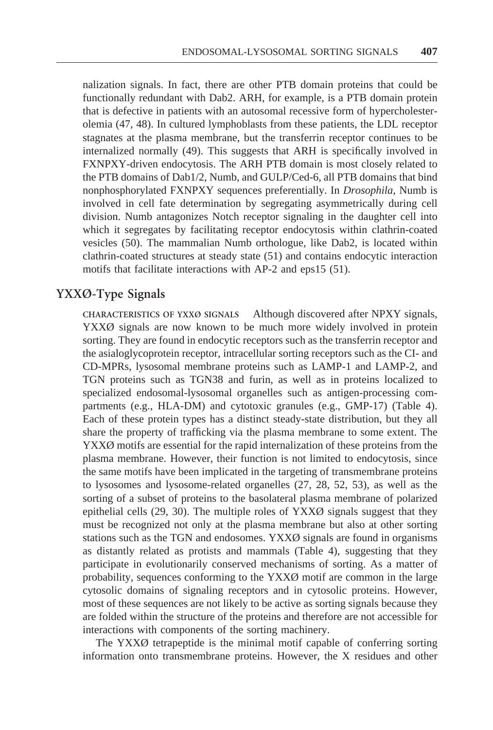nalization signals. In fact, there are other PTB domain proteins that could be functionally redundant with Dab2. ARH, for example, is a PTB domain protein that is defective in patients with an autosomal recessive form of hypercholesterolemia (47, 48). In cultured lymphoblasts from these patients, the LDL receptor stagnates at the plasma membrane, but the transferrin receptor continues to be internalized normally (49). This suggests that ARH is specifically involved in FXNPXY-driven endocytosis. The ARH PTB domain is most closely related to the PTB domains of Dab1/2, Numb, and GULP/Ced-6, all PTB domains that bind nonphosphorylated FXNPXY sequences preferentially. In *Drosophila*, Numb is involved in cell fate determination by segregating asymmetrically during cell division. Numb antagonizes Notch receptor signaling in the daughter cell into which it segregates by facilitating receptor endocytosis within clathrin-coated vesicles (50). The mammalian Numb orthologue, like Dab2, is located within clathrin-coated structures at steady state (51) and contains endocytic interaction motifs that facilitate interactions with AP-2 and eps15 (51).

#### **YXXØ-Type Signals**

**CHARACTERISTICS OF YXXØ SIGNALS** Although discovered after NPXY signals, YXXØ signals are now known to be much more widely involved in protein sorting. They are found in endocytic receptors such as the transferrin receptor and the asialoglycoprotein receptor, intracellular sorting receptors such as the CI- and CD-MPRs, lysosomal membrane proteins such as LAMP-1 and LAMP-2, and TGN proteins such as TGN38 and furin, as well as in proteins localized to specialized endosomal-lysosomal organelles such as antigen-processing compartments (e.g., HLA-DM) and cytotoxic granules (e.g., GMP-17) (Table 4). Each of these protein types has a distinct steady-state distribution, but they all share the property of trafficking via the plasma membrane to some extent. The YXXØ motifs are essential for the rapid internalization of these proteins from the plasma membrane. However, their function is not limited to endocytosis, since the same motifs have been implicated in the targeting of transmembrane proteins to lysosomes and lysosome-related organelles (27, 28, 52, 53), as well as the sorting of a subset of proteins to the basolateral plasma membrane of polarized epithelial cells (29, 30). The multiple roles of YXXØ signals suggest that they must be recognized not only at the plasma membrane but also at other sorting stations such as the TGN and endosomes. YXXØ signals are found in organisms as distantly related as protists and mammals (Table 4), suggesting that they participate in evolutionarily conserved mechanisms of sorting. As a matter of probability, sequences conforming to the YXXØ motif are common in the large cytosolic domains of signaling receptors and in cytosolic proteins. However, most of these sequences are not likely to be active as sorting signals because they are folded within the structure of the proteins and therefore are not accessible for interactions with components of the sorting machinery.

The YXXØ tetrapeptide is the minimal motif capable of conferring sorting information onto transmembrane proteins. However, the X residues and other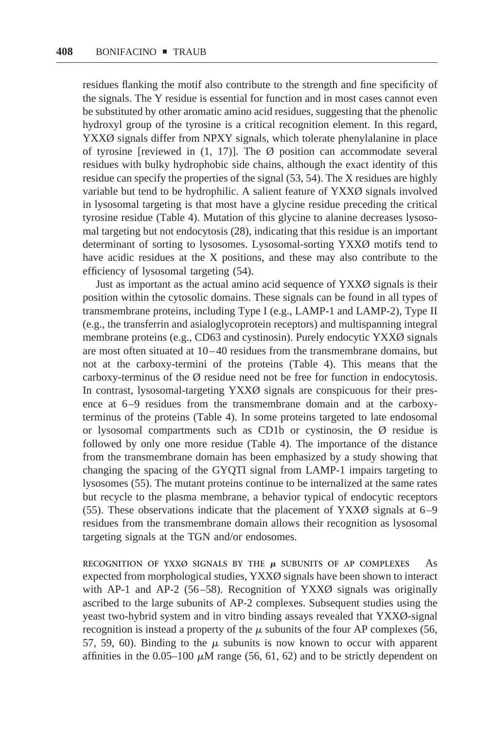residues flanking the motif also contribute to the strength and fine specificity of the signals. The Y residue is essential for function and in most cases cannot even be substituted by other aromatic amino acid residues, suggesting that the phenolic hydroxyl group of the tyrosine is a critical recognition element. In this regard, YXXØ signals differ from NPXY signals, which tolerate phenylalanine in place of tyrosine [reviewed in  $(1, 17)$ ]. The  $\emptyset$  position can accommodate several residues with bulky hydrophobic side chains, although the exact identity of this residue can specify the properties of the signal (53, 54). The X residues are highly variable but tend to be hydrophilic. A salient feature of YXXØ signals involved in lysosomal targeting is that most have a glycine residue preceding the critical tyrosine residue (Table 4). Mutation of this glycine to alanine decreases lysosomal targeting but not endocytosis (28), indicating that this residue is an important determinant of sorting to lysosomes. Lysosomal-sorting YXXØ motifs tend to have acidic residues at the X positions, and these may also contribute to the efficiency of lysosomal targeting (54).

Just as important as the actual amino acid sequence of YXXØ signals is their position within the cytosolic domains. These signals can be found in all types of transmembrane proteins, including Type I (e.g., LAMP-1 and LAMP-2), Type II (e.g., the transferrin and asialoglycoprotein receptors) and multispanning integral membrane proteins (e.g., CD63 and cystinosin). Purely endocytic YXXØ signals are most often situated at 10–40 residues from the transmembrane domains, but not at the carboxy-termini of the proteins (Table 4). This means that the carboxy-terminus of the  $\emptyset$  residue need not be free for function in endocytosis. In contrast, lysosomal-targeting YXXØ signals are conspicuous for their presence at 6–9 residues from the transmembrane domain and at the carboxyterminus of the proteins (Table 4). In some proteins targeted to late endosomal or lysosomal compartments such as CD1b or cystinosin, the  $\emptyset$  residue is followed by only one more residue (Table 4). The importance of the distance from the transmembrane domain has been emphasized by a study showing that changing the spacing of the GYQTI signal from LAMP-1 impairs targeting to lysosomes (55). The mutant proteins continue to be internalized at the same rates but recycle to the plasma membrane, a behavior typical of endocytic receptors (55). These observations indicate that the placement of YXX $\varnothing$  signals at 6–9 residues from the transmembrane domain allows their recognition as lysosomal targeting signals at the TGN and/or endosomes.

RECOGNITION OF YXXØ SIGNALS BY THE  $\mu$  SUBUNITS OF AP COMPLEXES As expected from morphological studies, YXXØ signals have been shown to interact with AP-1 and AP-2 (56–58). Recognition of YXXØ signals was originally ascribed to the large subunits of AP-2 complexes. Subsequent studies using the yeast two-hybrid system and in vitro binding assays revealed that YXXØ-signal recognition is instead a property of the  $\mu$  subunits of the four AP complexes (56, 57, 59, 60). Binding to the  $\mu$  subunits is now known to occur with apparent affinities in the 0.05–100  $\mu$ M range (56, 61, 62) and to be strictly dependent on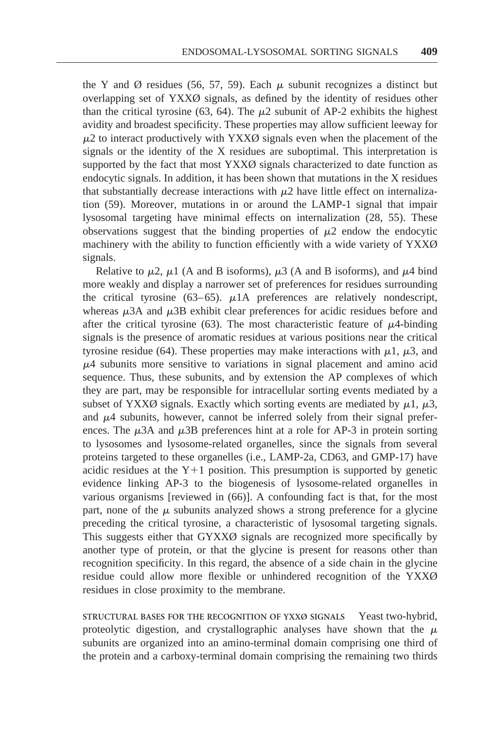the Y and Ø residues (56, 57, 59). Each  $\mu$  subunit recognizes a distinct but overlapping set of YXXØ signals, as defined by the identity of residues other than the critical tyrosine (63, 64). The  $\mu$ 2 subunit of AP-2 exhibits the highest avidity and broadest specificity. These properties may allow sufficient leeway for  $\mu$ 2 to interact productively with YXXØ signals even when the placement of the signals or the identity of the X residues are suboptimal. This interpretation is supported by the fact that most  $YXX\varnothing$  signals characterized to date function as endocytic signals. In addition, it has been shown that mutations in the X residues that substantially decrease interactions with  $\mu$ 2 have little effect on internalization (59). Moreover, mutations in or around the LAMP-1 signal that impair lysosomal targeting have minimal effects on internalization (28, 55). These observations suggest that the binding properties of  $\mu$ 2 endow the endocytic machinery with the ability to function efficiently with a wide variety of YXXØ signals.

Relative to  $\mu$ 2,  $\mu$ 1 (A and B isoforms),  $\mu$ 3 (A and B isoforms), and  $\mu$ 4 bind more weakly and display a narrower set of preferences for residues surrounding the critical tyrosine  $(63-65)$ .  $\mu$ 1A preferences are relatively nondescript, whereas  $\mu$ 3A and  $\mu$ 3B exhibit clear preferences for acidic residues before and after the critical tyrosine (63). The most characteristic feature of  $\mu$ 4-binding signals is the presence of aromatic residues at various positions near the critical tyrosine residue (64). These properties may make interactions with  $\mu$ 1,  $\mu$ 3, and  $\mu$ 4 subunits more sensitive to variations in signal placement and amino acid sequence. Thus, these subunits, and by extension the AP complexes of which they are part, may be responsible for intracellular sorting events mediated by a subset of YXXØ signals. Exactly which sorting events are mediated by  $\mu$ 1,  $\mu$ 3, and  $\mu$ 4 subunits, however, cannot be inferred solely from their signal preferences. The  $\mu$ 3A and  $\mu$ 3B preferences hint at a role for AP-3 in protein sorting to lysosomes and lysosome-related organelles, since the signals from several proteins targeted to these organelles (i.e., LAMP-2a, CD63, and GMP-17) have acidic residues at the  $Y+1$  position. This presumption is supported by genetic evidence linking AP-3 to the biogenesis of lysosome-related organelles in various organisms [reviewed in (66)]. A confounding fact is that, for the most part, none of the  $\mu$  subunits analyzed shows a strong preference for a glycine preceding the critical tyrosine, a characteristic of lysosomal targeting signals. This suggests either that GYXXØ signals are recognized more specifically by another type of protein, or that the glycine is present for reasons other than recognition specificity. In this regard, the absence of a side chain in the glycine residue could allow more flexible or unhindered recognition of the YXXØ residues in close proximity to the membrane.

**STRUCTURAL BASES FOR THE RECOGNITION OF YXXØ SIGNALS** Yeast two-hybrid, proteolytic digestion, and crystallographic analyses have shown that the  $\mu$ subunits are organized into an amino-terminal domain comprising one third of the protein and a carboxy-terminal domain comprising the remaining two thirds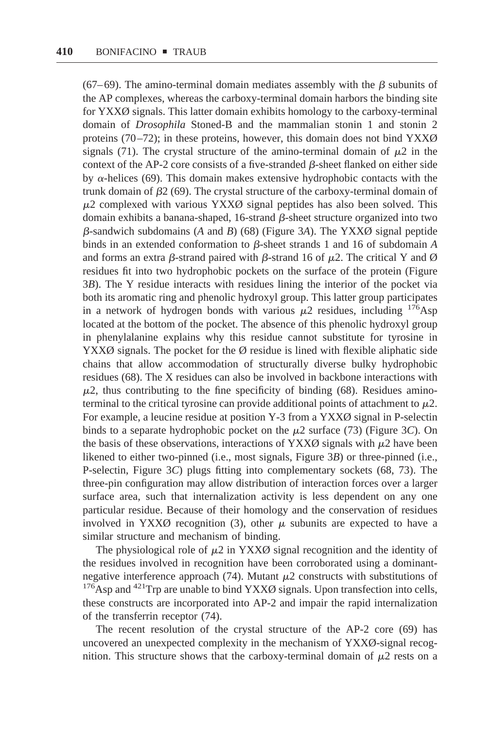(67–69). The amino-terminal domain mediates assembly with the  $\beta$  subunits of the AP complexes, whereas the carboxy-terminal domain harbors the binding site for YXXØ signals. This latter domain exhibits homology to the carboxy-terminal domain of *Drosophila* Stoned-B and the mammalian stonin 1 and stonin 2 proteins (70–72); in these proteins, however, this domain does not bind YXXØ signals (71). The crystal structure of the amino-terminal domain of  $\mu$ 2 in the context of the AP-2 core consists of a five-stranded  $\beta$ -sheet flanked on either side by  $\alpha$ -helices (69). This domain makes extensive hydrophobic contacts with the trunk domain of  $\beta$ 2 (69). The crystal structure of the carboxy-terminal domain of  $\mu$ 2 complexed with various YXXØ signal peptides has also been solved. This domain exhibits a banana-shaped, 16-strand  $\beta$ -sheet structure organized into two --sandwich subdomains (*A* and *B*) (68) (Figure 3*A*). The YXXØ signal peptide binds in an extended conformation to  $\beta$ -sheet strands 1 and 16 of subdomain A and forms an extra  $\beta$ -strand paired with  $\beta$ -strand 16 of  $\mu$ 2. The critical Y and Ø residues fit into two hydrophobic pockets on the surface of the protein (Figure 3*B*). The Y residue interacts with residues lining the interior of the pocket via both its aromatic ring and phenolic hydroxyl group. This latter group participates in a network of hydrogen bonds with various  $\mu$ 2 residues, including <sup>176</sup>Asp located at the bottom of the pocket. The absence of this phenolic hydroxyl group in phenylalanine explains why this residue cannot substitute for tyrosine in YXXØ signals. The pocket for the Ø residue is lined with flexible aliphatic side chains that allow accommodation of structurally diverse bulky hydrophobic residues (68). The X residues can also be involved in backbone interactions with  $\mu$ 2, thus contributing to the fine specificity of binding (68). Residues aminoterminal to the critical tyrosine can provide additional points of attachment to  $\mu$ 2. For example, a leucine residue at position Y-3 from a YXXØ signal in P-selectin binds to a separate hydrophobic pocket on the  $\mu$ 2 surface (73) (Figure 3*C*). On the basis of these observations, interactions of YXXØ signals with  $\mu$ 2 have been likened to either two-pinned (i.e., most signals, Figure 3*B*) or three-pinned (i.e., P-selectin, Figure 3*C*) plugs fitting into complementary sockets (68, 73). The three-pin configuration may allow distribution of interaction forces over a larger surface area, such that internalization activity is less dependent on any one particular residue. Because of their homology and the conservation of residues involved in YXXØ recognition (3), other  $\mu$  subunits are expected to have a similar structure and mechanism of binding.

The physiological role of  $\mu$ 2 in YXXØ signal recognition and the identity of the residues involved in recognition have been corroborated using a dominantnegative interference approach (74). Mutant  $\mu$ 2 constructs with substitutions of <sup>176</sup>Asp and <sup>421</sup>Trp are unable to bind YXXØ signals. Upon transfection into cells, these constructs are incorporated into AP-2 and impair the rapid internalization of the transferrin receptor (74).

The recent resolution of the crystal structure of the AP-2 core (69) has uncovered an unexpected complexity in the mechanism of YXXØ-signal recognition. This structure shows that the carboxy-terminal domain of  $\mu$ 2 rests on a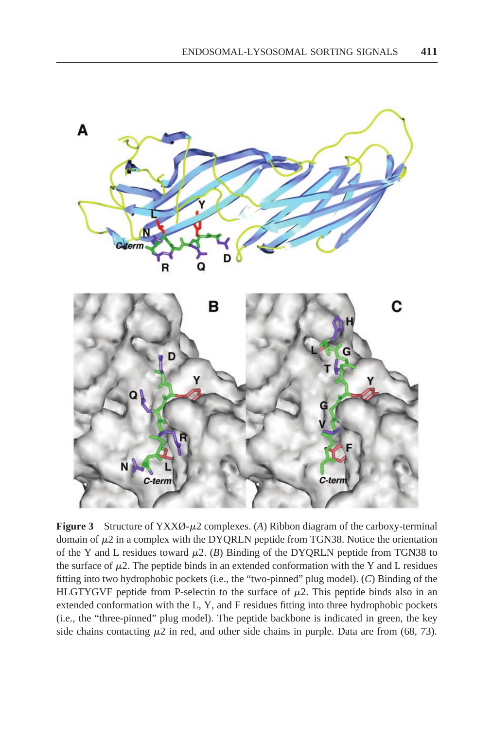

**Figure 3** Structure of YXXØ- $\mu$ 2 complexes. (A) Ribbon diagram of the carboxy-terminal domain of  $\mu$ 2 in a complex with the DYQRLN peptide from TGN38. Notice the orientation of the Y and L residues toward  $\mu$ 2. (*B*) Binding of the DYQRLN peptide from TGN38 to the surface of  $\mu$ 2. The peptide binds in an extended conformation with the Y and L residues fitting into two hydrophobic pockets (i.e., the "two-pinned" plug model). (*C*) Binding of the HLGTYGVF peptide from P-selectin to the surface of  $\mu$ 2. This peptide binds also in an extended conformation with the L, Y, and F residues fitting into three hydrophobic pockets (i.e., the "three-pinned" plug model). The peptide backbone is indicated in green, the key side chains contacting  $\mu$ 2 in red, and other side chains in purple. Data are from (68, 73).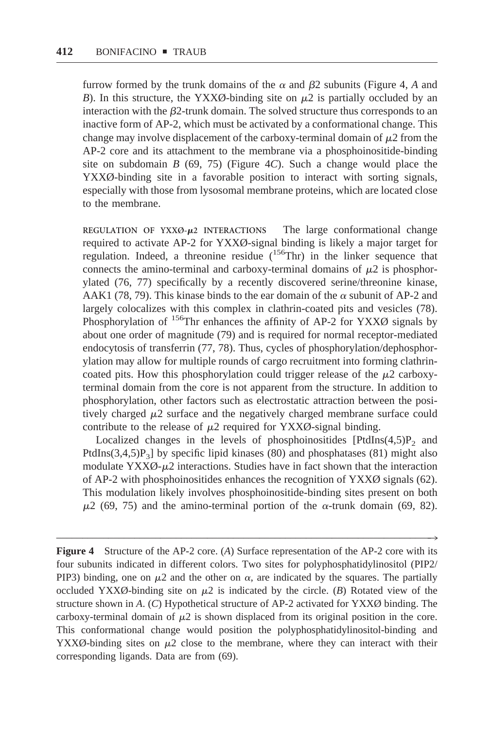furrow formed by the trunk domains of the  $\alpha$  and  $\beta$ 2 subunits (Figure 4, A and *B*). In this structure, the YXXØ-binding site on  $\mu$ 2 is partially occluded by an interaction with the  $\beta$ 2-trunk domain. The solved structure thus corresponds to an inactive form of AP-2, which must be activated by a conformational change. This change may involve displacement of the carboxy-terminal domain of  $\mu$ 2 from the AP-2 core and its attachment to the membrane via a phosphoinositide-binding site on subdomain *B* (69, 75) (Figure 4*C*). Such a change would place the YXXØ-binding site in a favorable position to interact with sorting signals, especially with those from lysosomal membrane proteins, which are located close to the membrane.

**REGULATION OF YXXØ-** $\mu$ **2 INTERACTIONS** The large conformational change required to activate AP-2 for YXXØ-signal binding is likely a major target for regulation. Indeed, a threonine residue  $(^{156}$ Thr) in the linker sequence that connects the amino-terminal and carboxy-terminal domains of  $\mu$ 2 is phosphorylated (76, 77) specifically by a recently discovered serine/threonine kinase, AAK1 (78, 79). This kinase binds to the ear domain of the  $\alpha$  subunit of AP-2 and largely colocalizes with this complex in clathrin-coated pits and vesicles (78). Phosphorylation of  $^{156}$ Thr enhances the affinity of AP-2 for YXXØ signals by about one order of magnitude (79) and is required for normal receptor-mediated endocytosis of transferrin (77, 78). Thus, cycles of phosphorylation/dephosphorylation may allow for multiple rounds of cargo recruitment into forming clathrincoated pits. How this phosphorylation could trigger release of the  $\mu$ 2 carboxyterminal domain from the core is not apparent from the structure. In addition to phosphorylation, other factors such as electrostatic attraction between the positively charged  $\mu$ 2 surface and the negatively charged membrane surface could contribute to the release of  $\mu$ 2 required for YXXØ-signal binding.

Localized changes in the levels of phosphoinositides  $[PtdIns(4,5)P_2]$  and PtdIns $(3,4,5)P_3$  by specific lipid kinases (80) and phosphatases (81) might also modulate  $YXX\mathcal{O}-\mu^2$  interactions. Studies have in fact shown that the interaction of AP-2 with phosphoinositides enhances the recognition of YXXØ signals (62). This modulation likely involves phosphoinositide-binding sites present on both  $\mu$ 2 (69, 75) and the amino-terminal portion of the  $\alpha$ -trunk domain (69, 82).

™™™™™™™™™™™™™™™™™™™™™™™™™™™™™™™™™™™™™™™™™™™™™™™™™™™™™™™™™™™™™™™™™™™™™™™™3

**Figure 4** Structure of the AP-2 core. (*A*) Surface representation of the AP-2 core with its four subunits indicated in different colors. Two sites for polyphosphatidylinositol (PIP2/ PIP3) binding, one on  $\mu$ 2 and the other on  $\alpha$ , are indicated by the squares. The partially occluded YXXØ-binding site on  $\mu$ 2 is indicated by the circle. (*B*) Rotated view of the structure shown in *A*. (*C*) Hypothetical structure of AP-2 activated for YXXØ binding. The carboxy-terminal domain of  $\mu$ 2 is shown displaced from its original position in the core. This conformational change would position the polyphosphatidylinositol-binding and YXXØ-binding sites on  $\mu$ 2 close to the membrane, where they can interact with their corresponding ligands. Data are from (69).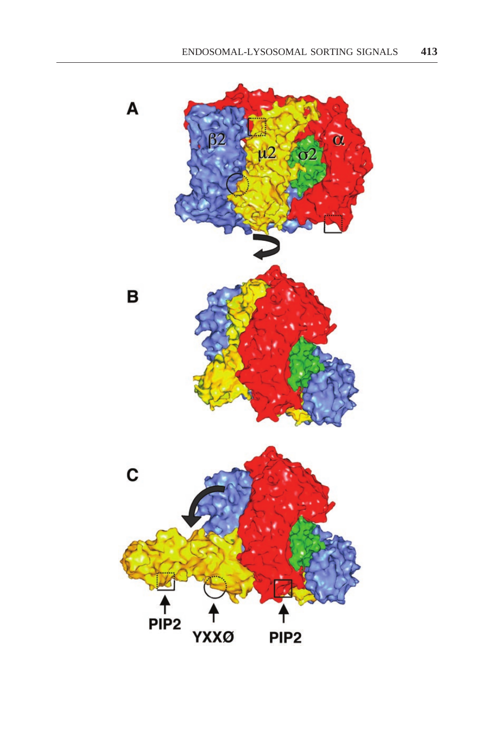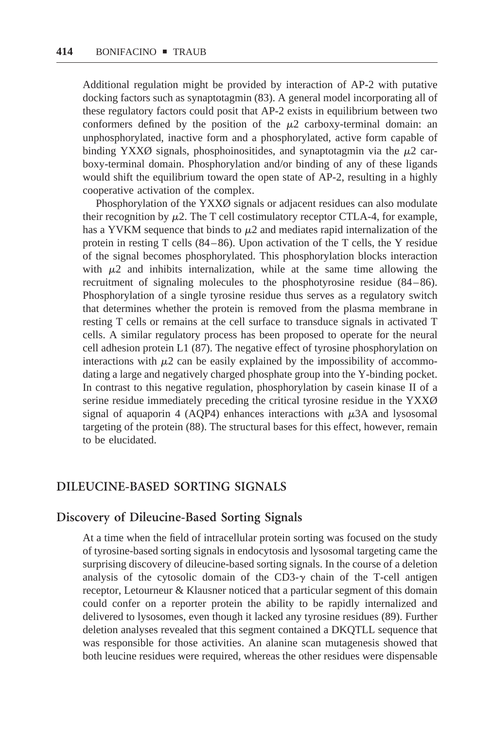Additional regulation might be provided by interaction of AP-2 with putative docking factors such as synaptotagmin (83). A general model incorporating all of these regulatory factors could posit that AP-2 exists in equilibrium between two conformers defined by the position of the  $\mu$ 2 carboxy-terminal domain: an unphosphorylated, inactive form and a phosphorylated, active form capable of binding YXXØ signals, phosphoinositides, and synaptotagmin via the  $\mu$ 2 carboxy-terminal domain. Phosphorylation and/or binding of any of these ligands would shift the equilibrium toward the open state of AP-2, resulting in a highly cooperative activation of the complex.

Phosphorylation of the YXXØ signals or adjacent residues can also modulate their recognition by  $\mu$ 2. The T cell costimulatory receptor CTLA-4, for example, has a YVKM sequence that binds to  $\mu$ 2 and mediates rapid internalization of the protein in resting T cells (84–86). Upon activation of the T cells, the Y residue of the signal becomes phosphorylated. This phosphorylation blocks interaction with  $\mu$ 2 and inhibits internalization, while at the same time allowing the recruitment of signaling molecules to the phosphotyrosine residue (84–86). Phosphorylation of a single tyrosine residue thus serves as a regulatory switch that determines whether the protein is removed from the plasma membrane in resting T cells or remains at the cell surface to transduce signals in activated T cells. A similar regulatory process has been proposed to operate for the neural cell adhesion protein L1 (87). The negative effect of tyrosine phosphorylation on interactions with  $\mu$ 2 can be easily explained by the impossibility of accommodating a large and negatively charged phosphate group into the Y-binding pocket. In contrast to this negative regulation, phosphorylation by casein kinase II of a serine residue immediately preceding the critical tyrosine residue in the YXXØ signal of aquaporin 4 (AQP4) enhances interactions with  $\mu$ 3A and lysosomal targeting of the protein (88). The structural bases for this effect, however, remain to be elucidated.

#### **DILEUCINE-BASED SORTING SIGNALS**

#### **Discovery of Dileucine-Based Sorting Signals**

At a time when the field of intracellular protein sorting was focused on the study of tyrosine-based sorting signals in endocytosis and lysosomal targeting came the surprising discovery of dileucine-based sorting signals. In the course of a deletion analysis of the cytosolic domain of the CD3- $\gamma$  chain of the T-cell antigen receptor, Letourneur & Klausner noticed that a particular segment of this domain could confer on a reporter protein the ability to be rapidly internalized and delivered to lysosomes, even though it lacked any tyrosine residues (89). Further deletion analyses revealed that this segment contained a DKQTLL sequence that was responsible for those activities. An alanine scan mutagenesis showed that both leucine residues were required, whereas the other residues were dispensable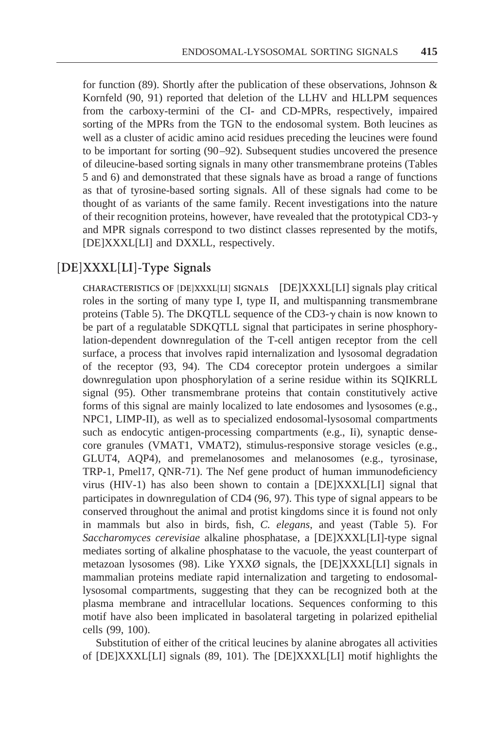for function (89). Shortly after the publication of these observations, Johnson & Kornfeld (90, 91) reported that deletion of the LLHV and HLLPM sequences from the carboxy-termini of the CI- and CD-MPRs, respectively, impaired sorting of the MPRs from the TGN to the endosomal system. Both leucines as well as a cluster of acidic amino acid residues preceding the leucines were found to be important for sorting (90–92). Subsequent studies uncovered the presence of dileucine-based sorting signals in many other transmembrane proteins (Tables 5 and 6) and demonstrated that these signals have as broad a range of functions as that of tyrosine-based sorting signals. All of these signals had come to be thought of as variants of the same family. Recent investigations into the nature of their recognition proteins, however, have revealed that the prototypical CD3- $\gamma$ and MPR signals correspond to two distinct classes represented by the motifs, [DE]XXXL[LI] and DXXLL, respectively.

## **[DE]XXXL[LI]-Type Signals**

**CHARACTERISTICS OF [DE]XXXL[LI] SIGNALS** [DE]XXXL[LI] signals play critical roles in the sorting of many type I, type II, and multispanning transmembrane proteins (Table 5). The DKOTLL sequence of the CD3- $\gamma$  chain is now known to be part of a regulatable SDKQTLL signal that participates in serine phosphorylation-dependent downregulation of the T-cell antigen receptor from the cell surface, a process that involves rapid internalization and lysosomal degradation of the receptor (93, 94). The CD4 coreceptor protein undergoes a similar downregulation upon phosphorylation of a serine residue within its SQIKRLL signal (95). Other transmembrane proteins that contain constitutively active forms of this signal are mainly localized to late endosomes and lysosomes (e.g., NPC1, LIMP-II), as well as to specialized endosomal-lysosomal compartments such as endocytic antigen-processing compartments (e.g., Ii), synaptic densecore granules (VMAT1, VMAT2), stimulus-responsive storage vesicles (e.g., GLUT4, AQP4), and premelanosomes and melanosomes (e.g., tyrosinase, TRP-1, Pmel17, QNR-71). The Nef gene product of human immunodeficiency virus (HIV-1) has also been shown to contain a [DE]XXXL[LI] signal that participates in downregulation of CD4 (96, 97). This type of signal appears to be conserved throughout the animal and protist kingdoms since it is found not only in mammals but also in birds, fish, *C. elegans*, and yeast (Table 5). For *Saccharomyces cerevisiae* alkaline phosphatase, a [DE]XXXL[LI]-type signal mediates sorting of alkaline phosphatase to the vacuole, the yeast counterpart of metazoan lysosomes (98). Like YXXØ signals, the [DE]XXXL[LI] signals in mammalian proteins mediate rapid internalization and targeting to endosomallysosomal compartments, suggesting that they can be recognized both at the plasma membrane and intracellular locations. Sequences conforming to this motif have also been implicated in basolateral targeting in polarized epithelial cells (99, 100).

Substitution of either of the critical leucines by alanine abrogates all activities of [DE]XXXL[LI] signals (89, 101). The [DE]XXXL[LI] motif highlights the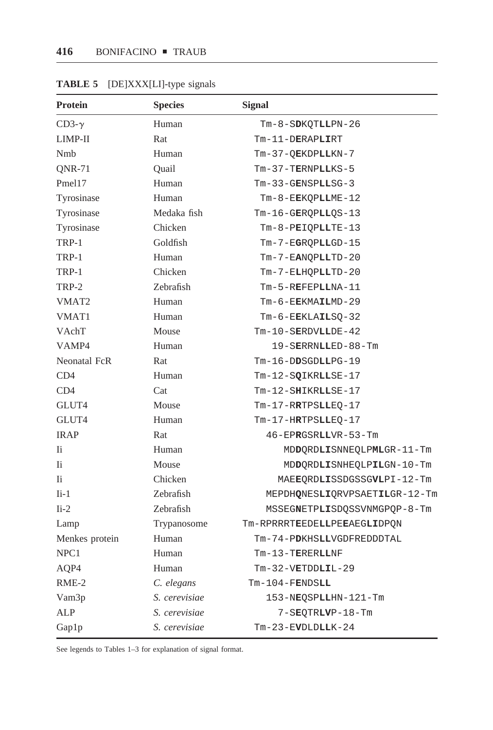| <b>Protein</b>    | <b>Species</b> | <b>Signal</b>                 |
|-------------------|----------------|-------------------------------|
| $CD3-\gamma$      | Human          | Tm-8-SDKQTLLPN-26             |
| LIMP-II           | Rat            | Tm-11-DERAPLIRT               |
| Nmb               | Human          | Tm-37-QEKDPLLKN-7             |
| QNR-71            | Quail          | $Tm-37-TERNPLLKS-5$           |
| Pmel17            | Human          | $Tm-33-GENSPLLSG-3$           |
| Tyrosinase        | Human          | Tm-8-EEKOPLLME-12             |
| Tyrosinase        | Medaka fish    | $Tm-16-GERQPLLOS-13$          |
| Tyrosinase        | Chicken        | Tm-8-PEIOPLLTE-13             |
| TRP-1             | Goldfish       | Tm-7-EGRQPLLGD-15             |
| TRP-1             | Human          | Tm-7-EANOPLLTD-20             |
| TRP-1             | Chicken        | Tm-7-ELHOPLLTD-20             |
| TRP-2             | Zebrafish      | Tm-5-REFEPLLNA-11             |
| VMAT <sub>2</sub> | Human          | Tm-6-EEKMAILMD-29             |
| VMAT <sub>1</sub> | Human          | $Tm-6-EEKLALSSQ-32$           |
| VAchT             | Mouse          | $Tm-10-SERDVLLDE-42$          |
| VAMP4             | Human          | 19-SERRNLLED-88-Tm            |
| Neonatal FcR      | Rat            | Tm-16-DDSGDLLPG-19            |
| CD4               | Human          | $Tm-12-SQIKRLLSE-17$          |
| CD4               | Cat            | Tm-12-SHIKRLLSE-17            |
| GLUT4             | Mouse          | $Tm-17-RRTPSLLEQ-17$          |
| GLUT <sub>4</sub> | Human          | $Tm-17-HRTPSLLEQ-17$          |
| <b>IRAP</b>       | Rat            | 46-EPRGSRLLVR-53-Tm           |
| Ii                | Human          | MDDORDLISNNEQLPMLGR-11-Tm     |
| Ιi                | Mouse          | MDDORDLISNHEOLPILGN-10-Tm     |
| Тi                | Chicken        | MAEEQRDLISSDGSSGVLPI-12-Tm    |
| $I_{1-1}$         | Zebrafish      | MEPDHQNESLIQRVPSAETILGR-12-Tm |
| $I_{1-2}$         | Zebrafish      | MSSEGNETPLISDOSSVNMGPOP-8-Tm  |
| Lamp              | Trypanosome    | Tm-RPRRRTEEDELLPEEAEGLIDPQN   |
| Menkes protein    | Human          | Tm-74-PDKHSLLVGDFREDDDTAL     |
| NPC1              | Human          | Tm-13-TERERLLNF               |
| AQP4              | Human          | $Tm-32-VETDDLIL-29$           |
| $RME-2$           | C. elegans     | $Tm-104-FENDSLL$              |
| Vam3p             | S. cerevisiae  | 153-NEOSPLLHN-121-Tm          |
| <b>ALP</b>        | S. cerevisiae  | 7-SEQTRLVP-18-Tm              |
| Gaplp             | S. cerevisiae  | $Tm-23-FVDLDLLK-24$           |

**TABLE 5** [DE]XXX[LI]-type signals

See legends to Tables 1–3 for explanation of signal format.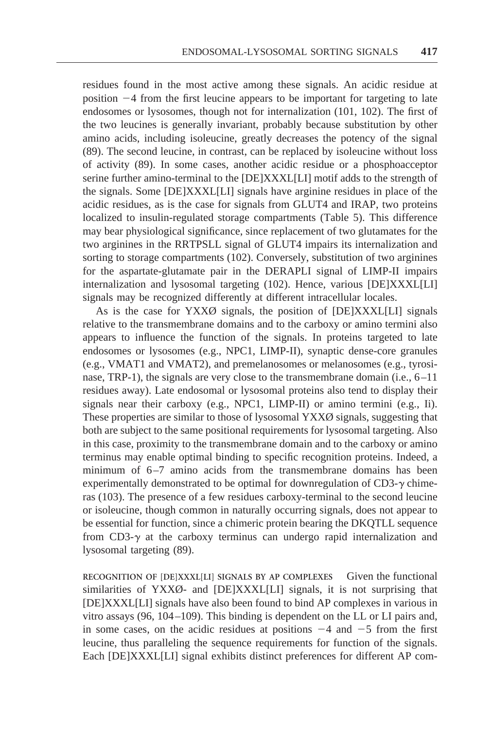residues found in the most active among these signals. An acidic residue at position  $-4$  from the first leucine appears to be important for targeting to late endosomes or lysosomes, though not for internalization (101, 102). The first of the two leucines is generally invariant, probably because substitution by other amino acids, including isoleucine, greatly decreases the potency of the signal (89). The second leucine, in contrast, can be replaced by isoleucine without loss of activity (89). In some cases, another acidic residue or a phosphoacceptor serine further amino-terminal to the [DE]XXXL[LI] motif adds to the strength of the signals. Some [DE]XXXL[LI] signals have arginine residues in place of the acidic residues, as is the case for signals from GLUT4 and IRAP, two proteins localized to insulin-regulated storage compartments (Table 5). This difference may bear physiological significance, since replacement of two glutamates for the two arginines in the RRTPSLL signal of GLUT4 impairs its internalization and sorting to storage compartments (102). Conversely, substitution of two arginines for the aspartate-glutamate pair in the DERAPLI signal of LIMP-II impairs internalization and lysosomal targeting (102). Hence, various [DE]XXXL[LI] signals may be recognized differently at different intracellular locales.

As is the case for YXXØ signals, the position of [DE]XXXL[LI] signals relative to the transmembrane domains and to the carboxy or amino termini also appears to influence the function of the signals. In proteins targeted to late endosomes or lysosomes (e.g., NPC1, LIMP-II), synaptic dense-core granules (e.g., VMAT1 and VMAT2), and premelanosomes or melanosomes (e.g., tyrosinase, TRP-1), the signals are very close to the transmembrane domain (i.e.,  $6-11$ ) residues away). Late endosomal or lysosomal proteins also tend to display their signals near their carboxy (e.g., NPC1, LIMP-II) or amino termini (e.g., Ii). These properties are similar to those of lysosomal YXXØ signals, suggesting that both are subject to the same positional requirements for lysosomal targeting. Also in this case, proximity to the transmembrane domain and to the carboxy or amino terminus may enable optimal binding to specific recognition proteins. Indeed, a minimum of 6–7 amino acids from the transmembrane domains has been experimentally demonstrated to be optimal for downregulation of  $CD3-\gamma$  chimeras (103). The presence of a few residues carboxy-terminal to the second leucine or isoleucine, though common in naturally occurring signals, does not appear to be essential for function, since a chimeric protein bearing the DKQTLL sequence from CD3- $\gamma$  at the carboxy terminus can undergo rapid internalization and lysosomal targeting (89).

**RECOGNITION OF [DE]XXXL[LI] SIGNALS BY AP COMPLEXES** Given the functional similarities of YXXØ- and [DE]XXXL[LI] signals, it is not surprising that [DE]XXXL[LI] signals have also been found to bind AP complexes in various in vitro assays (96, 104–109). This binding is dependent on the LL or LI pairs and, in some cases, on the acidic residues at positions  $-4$  and  $-5$  from the first leucine, thus paralleling the sequence requirements for function of the signals. Each [DE]XXXL[LI] signal exhibits distinct preferences for different AP com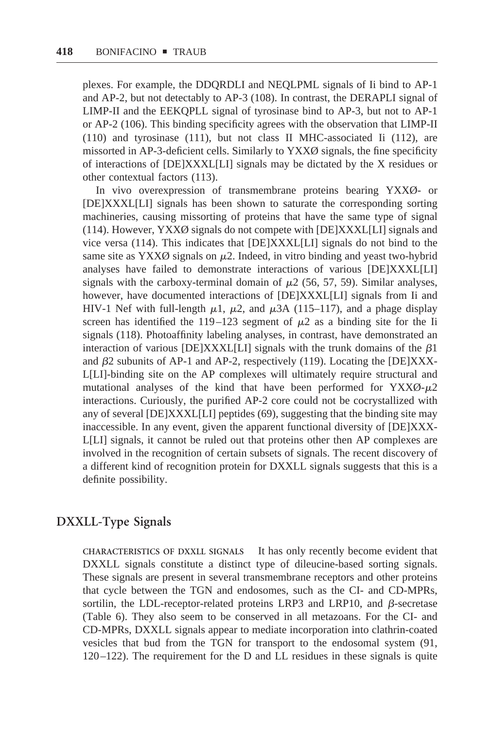plexes. For example, the DDQRDLI and NEQLPML signals of Ii bind to AP-1 and AP-2, but not detectably to AP-3 (108). In contrast, the DERAPLI signal of LIMP-II and the EEKQPLL signal of tyrosinase bind to AP-3, but not to AP-1 or AP-2 (106). This binding specificity agrees with the observation that LIMP-II (110) and tyrosinase (111), but not class II MHC-associated Ii (112), are missorted in AP-3-deficient cells. Similarly to YXXØ signals, the fine specificity of interactions of [DE]XXXL[LI] signals may be dictated by the X residues or other contextual factors (113).

In vivo overexpression of transmembrane proteins bearing YXXØ- or [DE]XXXL[LI] signals has been shown to saturate the corresponding sorting machineries, causing missorting of proteins that have the same type of signal  $(114)$ . However, YXXØ signals do not compete with [DE]XXXL[LI] signals and vice versa (114). This indicates that [DE]XXXL[LI] signals do not bind to the same site as YXXØ signals on  $\mu$ 2. Indeed, in vitro binding and yeast two-hybrid analyses have failed to demonstrate interactions of various [DE]XXXL[LI] signals with the carboxy-terminal domain of  $\mu$ 2 (56, 57, 59). Similar analyses, however, have documented interactions of [DE]XXXL[LI] signals from Ii and HIV-1 Nef with full-length  $\mu$ 1,  $\mu$ 2, and  $\mu$ 3A (115–117), and a phage display screen has identified the 119–123 segment of  $\mu$ 2 as a binding site for the Ii signals (118). Photoaffinity labeling analyses, in contrast, have demonstrated an interaction of various [DE]XXXL[LI] signals with the trunk domains of the  $\beta$ 1 and  $\beta$ 2 subunits of AP-1 and AP-2, respectively (119). Locating the [DE]XXX-L[LI]-binding site on the AP complexes will ultimately require structural and mutational analyses of the kind that have been performed for  $YXX\emptyset-\mu$ ? interactions. Curiously, the purified AP-2 core could not be cocrystallized with any of several [DE]XXXL[LI] peptides (69), suggesting that the binding site may inaccessible. In any event, given the apparent functional diversity of [DE]XXX-L[LI] signals, it cannot be ruled out that proteins other then AP complexes are involved in the recognition of certain subsets of signals. The recent discovery of a different kind of recognition protein for DXXLL signals suggests that this is a definite possibility.

#### **DXXLL-Type Signals**

**CHARACTERISTICS OF DXXLL SIGNALS** It has only recently become evident that DXXLL signals constitute a distinct type of dileucine-based sorting signals. These signals are present in several transmembrane receptors and other proteins that cycle between the TGN and endosomes, such as the CI- and CD-MPRs, sortilin, the LDL-receptor-related proteins LRP3 and LRP10, and  $\beta$ -secretase (Table 6). They also seem to be conserved in all metazoans. For the CI- and CD-MPRs, DXXLL signals appear to mediate incorporation into clathrin-coated vesicles that bud from the TGN for transport to the endosomal system (91,  $120-122$ ). The requirement for the D and LL residues in these signals is quite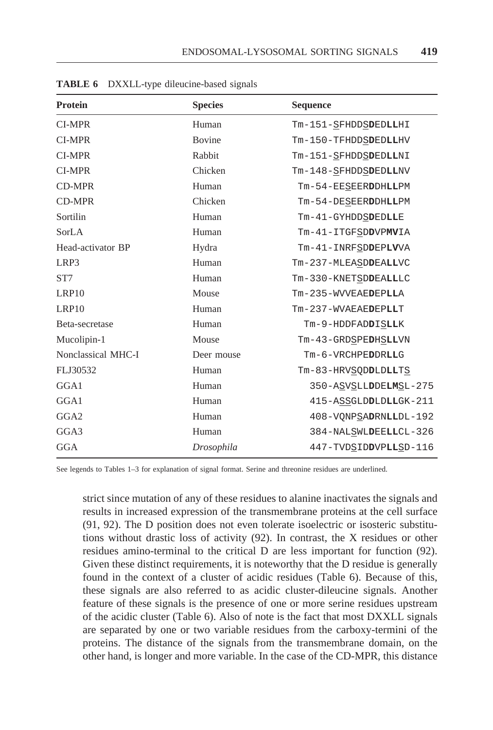| <b>Protein</b>     | <b>Species</b> | <b>Sequence</b>       |
|--------------------|----------------|-----------------------|
| <b>CI-MPR</b>      | Human          | Tm-151-SFHDDSDEDLLHI  |
| <b>CI-MPR</b>      | Bovine         | Tm-150-TFHDDSDEDLLHV  |
| <b>CI-MPR</b>      | Rabbit         | Tm-151-SFHDDSDEDLLNI  |
| <b>CI-MPR</b>      | Chicken        | Tm-148-SFHDDSDEDLLNV  |
| <b>CD-MPR</b>      | Human          | Tm-54-EESEERDDHLLPM   |
| <b>CD-MPR</b>      | Chicken        | Tm-54-DESEERDDHLLPM   |
| Sortilin           | Human          | Tm-41-GYHDDSDEDLLE    |
| SorLA              | Human          | Tm-41-ITGFSDDVPMVIA   |
| Head-activator BP  | Hydra          | Tm-41-INRFSDDEPLVVA   |
| LRP3               | Human          | Tm-237-MLEASDDEALLVC  |
| ST <sub>7</sub>    | Human          | Tm-330-KNETSDDEALLLC  |
| LRP10              | Mouse          | Tm-235-WVVEAEDEPLLA   |
| LRP10              | Human          | Tm-237-WVAEAEDEPLLT   |
| Beta-secretase     | Human          | Tm-9-HDDFADDISLLK     |
| Mucolipin-1        | Mouse          | Tm-43-GRDSPEDHSLLVN   |
| Nonclassical MHC-I | Deer mouse     | Tm-6-VRCHPEDDRLLG     |
| FLJ30532           | Human          | Tm-83-HRVSQDDLDLLTS   |
| GGA1               | Human          | 350-ASVSLLDDELMSL-275 |
| GGA1               | Human          | 415-ASSGLDDLDLLGK-211 |
| GGA <sub>2</sub>   | Human          | 408-VONPSADRNLLDL-192 |
| GGA3               | Human          | 384-NALSWLDEELLCL-326 |
| GGA                | Drosophila     | 447-TVDSIDDVPLLSD-116 |

**TABLE 6** DXXLL-type dileucine-based signals

See legends to Tables 1–3 for explanation of signal format. Serine and threonine residues are underlined.

strict since mutation of any of these residues to alanine inactivates the signals and results in increased expression of the transmembrane proteins at the cell surface (91, 92). The D position does not even tolerate isoelectric or isosteric substitutions without drastic loss of activity (92). In contrast, the X residues or other residues amino-terminal to the critical D are less important for function (92). Given these distinct requirements, it is noteworthy that the D residue is generally found in the context of a cluster of acidic residues (Table 6). Because of this, these signals are also referred to as acidic cluster-dileucine signals. Another feature of these signals is the presence of one or more serine residues upstream of the acidic cluster (Table 6). Also of note is the fact that most DXXLL signals are separated by one or two variable residues from the carboxy-termini of the proteins. The distance of the signals from the transmembrane domain, on the other hand, is longer and more variable. In the case of the CD-MPR, this distance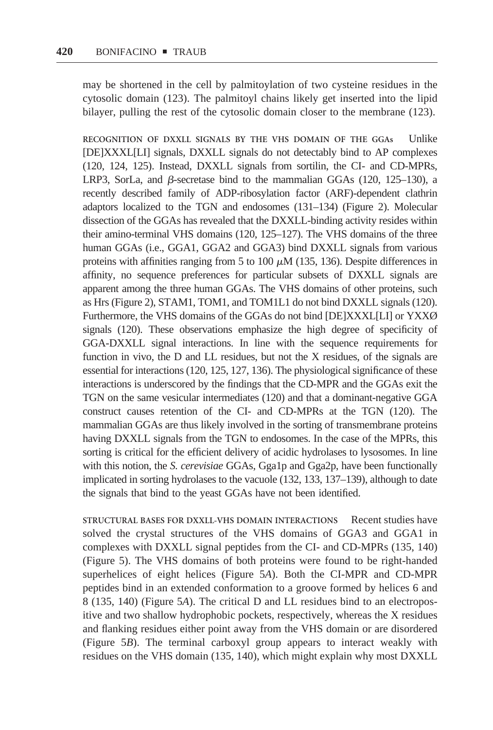may be shortened in the cell by palmitoylation of two cysteine residues in the cytosolic domain (123). The palmitoyl chains likely get inserted into the lipid bilayer, pulling the rest of the cytosolic domain closer to the membrane (123).

**RECOGNITION OF DXXLL SIGNALS BY THE VHS DOMAIN OF THE GGAs** Unlike [DE]XXXL[LI] signals, DXXLL signals do not detectably bind to AP complexes (120, 124, 125). Instead, DXXLL signals from sortilin, the CI- and CD-MPRs, LRP3, SorLa, and  $\beta$ -secretase bind to the mammalian GGAs (120, 125–130), a recently described family of ADP-ribosylation factor (ARF)-dependent clathrin adaptors localized to the TGN and endosomes (131–134) (Figure 2). Molecular dissection of the GGAs has revealed that the DXXLL-binding activity resides within their amino-terminal VHS domains (120, 125–127). The VHS domains of the three human GGAs (i.e., GGA1, GGA2 and GGA3) bind DXXLL signals from various proteins with affinities ranging from 5 to 100  $\mu$ M (135, 136). Despite differences in affinity, no sequence preferences for particular subsets of DXXLL signals are apparent among the three human GGAs. The VHS domains of other proteins, such as Hrs (Figure 2), STAM1, TOM1, and TOM1L1 do not bind DXXLL signals (120). Furthermore, the VHS domains of the GGAs do not bind [DE]XXXL[LI] or YXXØ signals (120). These observations emphasize the high degree of specificity of GGA-DXXLL signal interactions. In line with the sequence requirements for function in vivo, the D and LL residues, but not the X residues, of the signals are essential for interactions (120, 125, 127, 136). The physiological significance of these interactions is underscored by the findings that the CD-MPR and the GGAs exit the TGN on the same vesicular intermediates (120) and that a dominant-negative GGA construct causes retention of the CI- and CD-MPRs at the TGN (120). The mammalian GGAs are thus likely involved in the sorting of transmembrane proteins having DXXLL signals from the TGN to endosomes. In the case of the MPRs, this sorting is critical for the efficient delivery of acidic hydrolases to lysosomes. In line with this notion, the *S. cerevisiae* GGAs, Gga1p and Gga2p, have been functionally implicated in sorting hydrolases to the vacuole (132, 133, 137–139), although to date the signals that bind to the yeast GGAs have not been identified.

**STRUCTURAL BASES FOR DXXLL-VHS DOMAIN INTERACTIONS** Recent studies have solved the crystal structures of the VHS domains of GGA3 and GGA1 in complexes with DXXLL signal peptides from the CI- and CD-MPRs (135, 140) (Figure 5). The VHS domains of both proteins were found to be right-handed superhelices of eight helices (Figure 5*A*). Both the CI-MPR and CD-MPR peptides bind in an extended conformation to a groove formed by helices 6 and 8 (135, 140) (Figure 5*A*). The critical D and LL residues bind to an electropositive and two shallow hydrophobic pockets, respectively, whereas the X residues and flanking residues either point away from the VHS domain or are disordered (Figure 5*B*). The terminal carboxyl group appears to interact weakly with residues on the VHS domain (135, 140), which might explain why most DXXLL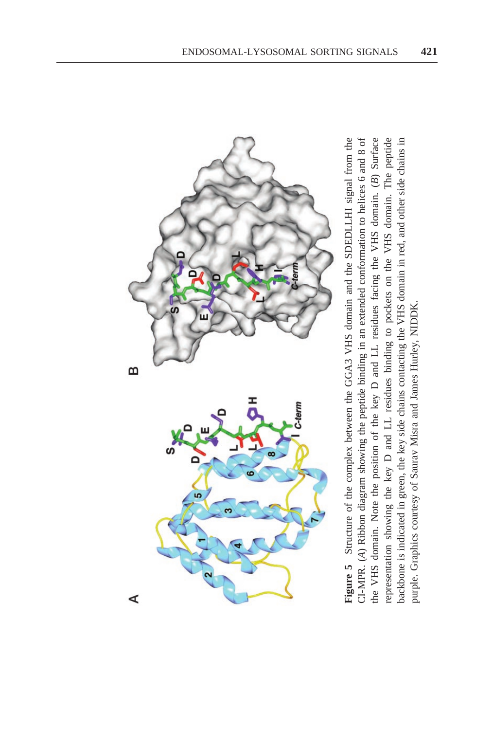

CI-MPR.  $(A)$  Ribbon diagram showing the peptide binding in an extended conformation to helices 6 and 8 of the VHS domain. Note the position of the key D and LL residues facing the VHS domain. (B) Surface representation showing the key D and LL residues binding to pockets on the VHS domain. The peptide backbone is indicated in green, the key side chains contacting the VHS domain in red, and other side chains in CI-MPR. (*A*) Ribbon diagram showing the peptide binding in an extended conformation to helices 6 and 8 of *B*) Surface representation showing the key D and LL residues binding to pockets on the VHS domain. The peptide backbone is indicated in green, the key side chains contacting the VHS domain in red, and other side chains in the VHS domain. Note the position of the key D and LL residues facing the VHS domain. ( purple. Graphics courtesy of Saurav Misra and James Hurley, NIDDK. purple. Graphics courtesy of Saurav Misra and James Hurley, NIDDK.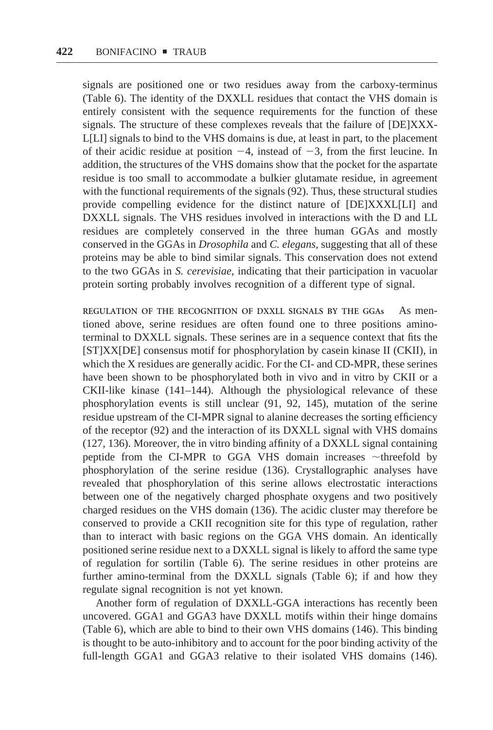signals are positioned one or two residues away from the carboxy-terminus (Table 6). The identity of the DXXLL residues that contact the VHS domain is entirely consistent with the sequence requirements for the function of these signals. The structure of these complexes reveals that the failure of [DE]XXX-L[LI] signals to bind to the VHS domains is due, at least in part, to the placement of their acidic residue at position  $-4$ , instead of  $-3$ , from the first leucine. In addition, the structures of the VHS domains show that the pocket for the aspartate residue is too small to accommodate a bulkier glutamate residue, in agreement with the functional requirements of the signals (92). Thus, these structural studies provide compelling evidence for the distinct nature of [DE]XXXL[LI] and DXXLL signals. The VHS residues involved in interactions with the D and LL residues are completely conserved in the three human GGAs and mostly conserved in the GGAs in *Drosophila* and *C. elegans*, suggesting that all of these proteins may be able to bind similar signals. This conservation does not extend to the two GGAs in *S. cerevisiae*, indicating that their participation in vacuolar protein sorting probably involves recognition of a different type of signal.

**REGULATION OF THE RECOGNITION OF DXXLL SIGNALS BY THE GGAs** As mentioned above, serine residues are often found one to three positions aminoterminal to DXXLL signals. These serines are in a sequence context that fits the [ST]XX[DE] consensus motif for phosphorylation by casein kinase II (CKII), in which the X residues are generally acidic. For the CI- and CD-MPR, these serines have been shown to be phosphorylated both in vivo and in vitro by CKII or a CKII-like kinase (141–144). Although the physiological relevance of these phosphorylation events is still unclear (91, 92, 145), mutation of the serine residue upstream of the CI-MPR signal to alanine decreases the sorting efficiency of the receptor (92) and the interaction of its DXXLL signal with VHS domains (127, 136). Moreover, the in vitro binding affinity of a DXXLL signal containing peptide from the CI-MPR to GGA VHS domain increases  $\sim$ threefold by phosphorylation of the serine residue (136). Crystallographic analyses have revealed that phosphorylation of this serine allows electrostatic interactions between one of the negatively charged phosphate oxygens and two positively charged residues on the VHS domain (136). The acidic cluster may therefore be conserved to provide a CKII recognition site for this type of regulation, rather than to interact with basic regions on the GGA VHS domain. An identically positioned serine residue next to a DXXLL signal is likely to afford the same type of regulation for sortilin (Table 6). The serine residues in other proteins are further amino-terminal from the DXXLL signals (Table 6); if and how they regulate signal recognition is not yet known.

Another form of regulation of DXXLL-GGA interactions has recently been uncovered. GGA1 and GGA3 have DXXLL motifs within their hinge domains (Table 6), which are able to bind to their own VHS domains (146). This binding is thought to be auto-inhibitory and to account for the poor binding activity of the full-length GGA1 and GGA3 relative to their isolated VHS domains (146).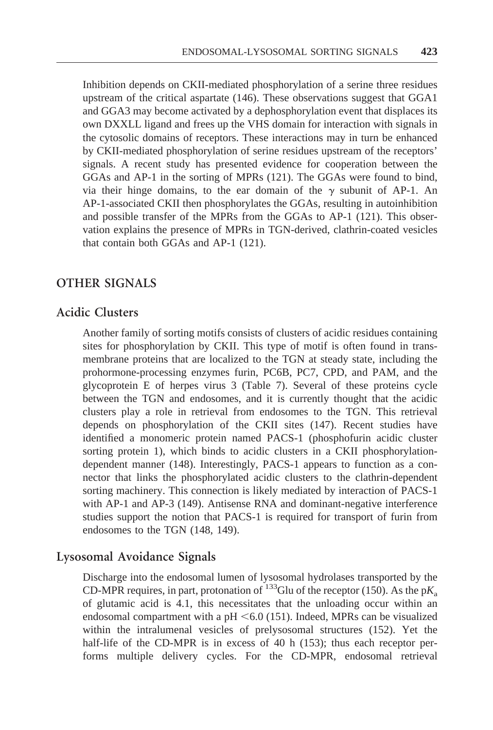Inhibition depends on CKII-mediated phosphorylation of a serine three residues upstream of the critical aspartate (146). These observations suggest that GGA1 and GGA3 may become activated by a dephosphorylation event that displaces its own DXXLL ligand and frees up the VHS domain for interaction with signals in the cytosolic domains of receptors. These interactions may in turn be enhanced by CKII-mediated phosphorylation of serine residues upstream of the receptors' signals. A recent study has presented evidence for cooperation between the GGAs and AP-1 in the sorting of MPRs (121). The GGAs were found to bind, via their hinge domains, to the ear domain of the  $\gamma$  subunit of AP-1. An AP-1-associated CKII then phosphorylates the GGAs, resulting in autoinhibition and possible transfer of the MPRs from the GGAs to AP-1 (121). This observation explains the presence of MPRs in TGN-derived, clathrin-coated vesicles that contain both GGAs and AP-1 (121).

#### **OTHER SIGNALS**

#### **Acidic Clusters**

Another family of sorting motifs consists of clusters of acidic residues containing sites for phosphorylation by CKII. This type of motif is often found in transmembrane proteins that are localized to the TGN at steady state, including the prohormone-processing enzymes furin, PC6B, PC7, CPD, and PAM, and the glycoprotein E of herpes virus 3 (Table 7). Several of these proteins cycle between the TGN and endosomes, and it is currently thought that the acidic clusters play a role in retrieval from endosomes to the TGN. This retrieval depends on phosphorylation of the CKII sites (147). Recent studies have identified a monomeric protein named PACS-1 (phosphofurin acidic cluster sorting protein 1), which binds to acidic clusters in a CKII phosphorylationdependent manner (148). Interestingly, PACS-1 appears to function as a connector that links the phosphorylated acidic clusters to the clathrin-dependent sorting machinery. This connection is likely mediated by interaction of PACS-1 with AP-1 and AP-3 (149). Antisense RNA and dominant-negative interference studies support the notion that PACS-1 is required for transport of furin from endosomes to the TGN (148, 149).

#### **Lysosomal Avoidance Signals**

Discharge into the endosomal lumen of lysosomal hydrolases transported by the CD-MPR requires, in part, protonation of  $^{133}$ Glu of the receptor (150). As the p $K_a$ of glutamic acid is 4.1, this necessitates that the unloading occur within an endosomal compartment with a  $pH < 6.0$  (151). Indeed, MPRs can be visualized within the intralumenal vesicles of prelysosomal structures (152). Yet the half-life of the CD-MPR is in excess of 40 h (153); thus each receptor performs multiple delivery cycles. For the CD-MPR, endosomal retrieval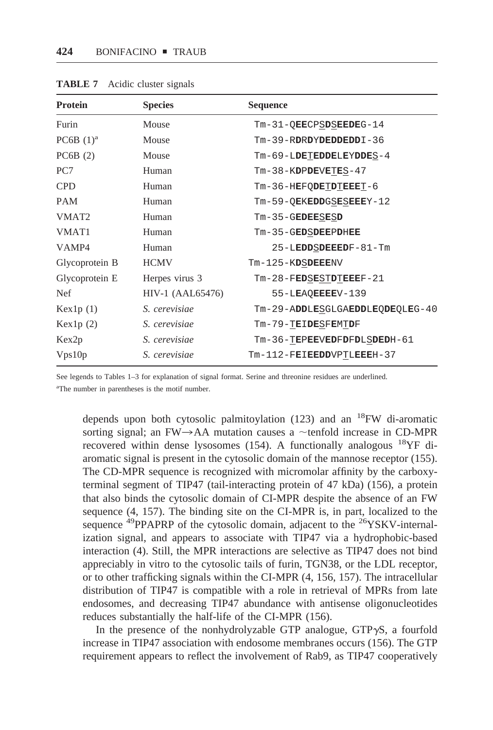| <b>Protein</b>    | <b>Species</b>   | <b>Sequence</b>                 |
|-------------------|------------------|---------------------------------|
| Furin             | Mouse            | $Tm-31-QEECPSDSEEDEG-14$        |
| PC6B $(1)^a$      | Mouse            | $Tm-39 - RDRDYDEDDEDDI-36$      |
| PC6B(2)           | Mouse            | Tm-69-LDETEDDELEYDDES-4         |
| PC7               | Human            | $Tm-38-KDPDEVETES-47$           |
| <b>CPD</b>        | Human            | Tm-36-HEFQDETDTEEET-6           |
| <b>PAM</b>        | Human            | Tm-59-QEKEDDGSESEEEY-12         |
| VMAT <sub>2</sub> | Human            | $Tm-35-GEDEESESD$               |
| VMAT <sub>1</sub> | Human            | Tm-35-GEDSDEEPDHEE              |
| VAMP4             | Human            | 25-LEDDSDEEEDF-81-Tm            |
| Glycoprotein B    | <b>HCMV</b>      | Tm-125-KDSDEEENV                |
| Glycoprotein E    | Herpes virus 3   | Tm-28-FEDSESTDTEEEF-21          |
| Nef               | HIV-1 (AAL65476) | $55 - L$ EAOEEEEV-139           |
| Kex1p(1)          | S. cerevisiae    | Tm-29-ADDLESGLGAEDDLEQDEQLEG-40 |
| Kex1p(2)          | S. cerevisiae    | Tm-79-TEIDESFEMTDF              |
| Kex2p             | S. cerevisiae    | Tm-36-TEPEEVEDFDFDLSDEDH-61     |
| Vps10p            | S. cerevisiae    | Tm-112-FEIEEDDVPTLEEEH-37       |

**TABLE 7** Acidic cluster signals

See legends to Tables 1–3 for explanation of signal format. Serine and threonine residues are underlined. <sup>a</sup>The number in parentheses is the motif number.

depends upon both cytosolic palmitoylation (123) and an  $^{18}$ FW di-aromatic sorting signal; an  $FW \rightarrow AA$  mutation causes a  $\sim$ tenfold increase in CD-MPR recovered within dense lysosomes (154). A functionally analogous  $^{18}$ YF diaromatic signal is present in the cytosolic domain of the mannose receptor (155). The CD-MPR sequence is recognized with micromolar affinity by the carboxyterminal segment of TIP47 (tail-interacting protein of 47 kDa) (156), a protein that also binds the cytosolic domain of CI-MPR despite the absence of an FW sequence (4, 157). The binding site on the CI-MPR is, in part, localized to the sequence <sup>49</sup>PPAPRP of the cytosolic domain, adjacent to the <sup>26</sup>YSKV-internalization signal, and appears to associate with TIP47 via a hydrophobic-based interaction (4). Still, the MPR interactions are selective as TIP47 does not bind appreciably in vitro to the cytosolic tails of furin, TGN38, or the LDL receptor, or to other trafficking signals within the CI-MPR (4, 156, 157). The intracellular distribution of TIP47 is compatible with a role in retrieval of MPRs from late endosomes, and decreasing TIP47 abundance with antisense oligonucleotides reduces substantially the half-life of the CI-MPR (156).

In the presence of the nonhydrolyzable GTP analogue,  $GTP\gamma S$ , a fourfold increase in TIP47 association with endosome membranes occurs (156). The GTP requirement appears to reflect the involvement of Rab9, as TIP47 cooperatively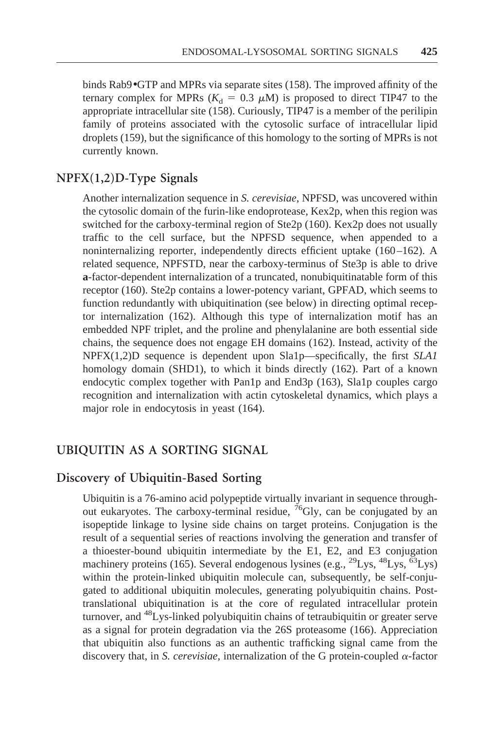binds Rab9•GTP and MPRs via separate sites (158). The improved affinity of the ternary complex for MPRs ( $K_d$  = 0.3  $\mu$ M) is proposed to direct TIP47 to the appropriate intracellular site (158). Curiously, TIP47 is a member of the perilipin family of proteins associated with the cytosolic surface of intracellular lipid droplets (159), but the significance of this homology to the sorting of MPRs is not currently known.

## **NPFX(1,2)D-Type Signals**

Another internalization sequence in *S. cerevisiae*, NPFSD, was uncovered within the cytosolic domain of the furin-like endoprotease, Kex2p, when this region was switched for the carboxy-terminal region of Ste2p (160). Kex2p does not usually traffic to the cell surface, but the NPFSD sequence, when appended to a noninternalizing reporter, independently directs efficient uptake (160–162). A related sequence, NPFSTD, near the carboxy-terminus of Ste3p is able to drive **a**-factor-dependent internalization of a truncated, nonubiquitinatable form of this receptor (160). Ste2p contains a lower-potency variant, GPFAD, which seems to function redundantly with ubiquitination (see below) in directing optimal receptor internalization (162). Although this type of internalization motif has an embedded NPF triplet, and the proline and phenylalanine are both essential side chains, the sequence does not engage EH domains (162). Instead, activity of the NPFX(1,2)D sequence is dependent upon Sla1p—specifically, the first *SLA1* homology domain (SHD1), to which it binds directly (162). Part of a known endocytic complex together with Pan1p and End3p (163), Sla1p couples cargo recognition and internalization with actin cytoskeletal dynamics, which plays a major role in endocytosis in yeast (164).

## **UBIQUITIN AS A SORTING SIGNAL**

#### **Discovery of Ubiquitin-Based Sorting**

Ubiquitin is a 76-amino acid polypeptide virtually invariant in sequence throughout eukaryotes. The carboxy-terminal residue,  $^{76}$ Gly, can be conjugated by an isopeptide linkage to lysine side chains on target proteins. Conjugation is the result of a sequential series of reactions involving the generation and transfer of a thioester-bound ubiquitin intermediate by the E1, E2, and E3 conjugation machinery proteins (165). Several endogenous lysines (e.g.,  $^{29}$ Lys,  $^{48}$ Lys,  $^{63}$ Lys) within the protein-linked ubiquitin molecule can, subsequently, be self-conjugated to additional ubiquitin molecules, generating polyubiquitin chains. Posttranslational ubiquitination is at the core of regulated intracellular protein turnover, and 48Lys-linked polyubiquitin chains of tetraubiquitin or greater serve as a signal for protein degradation via the 26S proteasome (166). Appreciation that ubiquitin also functions as an authentic trafficking signal came from the discovery that, in *S. cerevisiae*, internalization of the G protein-coupled  $\alpha$ -factor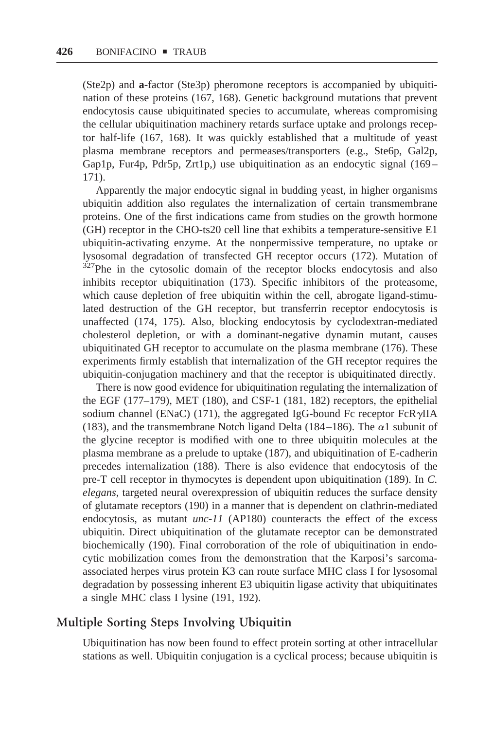(Ste2p) and **a**-factor (Ste3p) pheromone receptors is accompanied by ubiquitination of these proteins (167, 168). Genetic background mutations that prevent endocytosis cause ubiquitinated species to accumulate, whereas compromising the cellular ubiquitination machinery retards surface uptake and prolongs receptor half-life (167, 168). It was quickly established that a multitude of yeast plasma membrane receptors and permeases/transporters (e.g., Ste6p, Gal2p, Gap1p, Fur4p, Pdr5p, Zrt1p,) use ubiquitination as an endocytic signal (169– 171).

Apparently the major endocytic signal in budding yeast, in higher organisms ubiquitin addition also regulates the internalization of certain transmembrane proteins. One of the first indications came from studies on the growth hormone (GH) receptor in the CHO-ts20 cell line that exhibits a temperature-sensitive E1 ubiquitin-activating enzyme. At the nonpermissive temperature, no uptake or lysosomal degradation of transfected GH receptor occurs (172). Mutation of <sup>327</sup>Phe in the cytosolic domain of the receptor blocks endocytosis and also inhibits receptor ubiquitination (173). Specific inhibitors of the proteasome, which cause depletion of free ubiquitin within the cell, abrogate ligand-stimulated destruction of the GH receptor, but transferrin receptor endocytosis is unaffected (174, 175). Also, blocking endocytosis by cyclodextran-mediated cholesterol depletion, or with a dominant-negative dynamin mutant, causes ubiquitinated GH receptor to accumulate on the plasma membrane (176). These experiments firmly establish that internalization of the GH receptor requires the ubiquitin-conjugation machinery and that the receptor is ubiquitinated directly.

There is now good evidence for ubiquitination regulating the internalization of the EGF (177–179), MET (180), and CSF-1 (181, 182) receptors, the epithelial sodium channel (ENaC) (171), the aggregated IgG-bound Fc receptor  $FcR\gamma IIA$ (183), and the transmembrane Notch ligand Delta (184–186). The  $\alpha$ 1 subunit of the glycine receptor is modified with one to three ubiquitin molecules at the plasma membrane as a prelude to uptake (187), and ubiquitination of E-cadherin precedes internalization (188). There is also evidence that endocytosis of the pre-T cell receptor in thymocytes is dependent upon ubiquitination (189). In *C. elegans*, targeted neural overexpression of ubiquitin reduces the surface density of glutamate receptors (190) in a manner that is dependent on clathrin-mediated endocytosis, as mutant *unc-11* (AP180) counteracts the effect of the excess ubiquitin. Direct ubiquitination of the glutamate receptor can be demonstrated biochemically (190). Final corroboration of the role of ubiquitination in endocytic mobilization comes from the demonstration that the Karposi's sarcomaassociated herpes virus protein K3 can route surface MHC class I for lysosomal degradation by possessing inherent E3 ubiquitin ligase activity that ubiquitinates a single MHC class I lysine (191, 192).

## **Multiple Sorting Steps Involving Ubiquitin**

Ubiquitination has now been found to effect protein sorting at other intracellular stations as well. Ubiquitin conjugation is a cyclical process; because ubiquitin is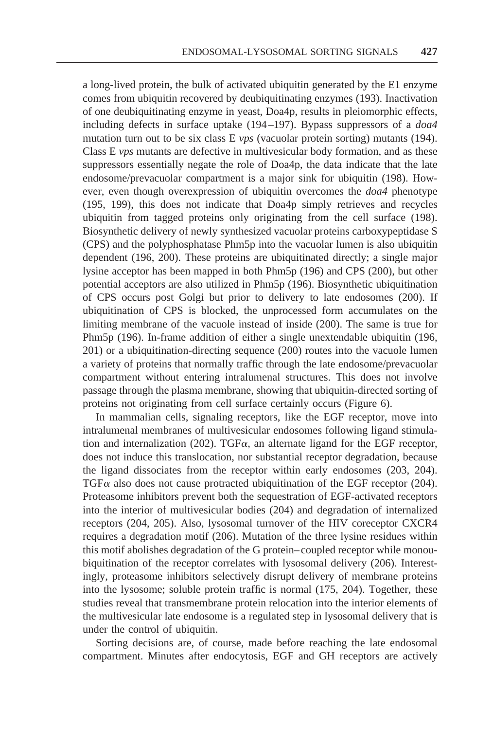a long-lived protein, the bulk of activated ubiquitin generated by the E1 enzyme comes from ubiquitin recovered by deubiquitinating enzymes (193). Inactivation of one deubiquitinating enzyme in yeast, Doa4p, results in pleiomorphic effects, including defects in surface uptake (194–197). Bypass suppressors of a *doa4* mutation turn out to be six class E *vps* (vacuolar protein sorting) mutants (194). Class E *vps* mutants are defective in multivesicular body formation, and as these suppressors essentially negate the role of Doa4p, the data indicate that the late endosome/prevacuolar compartment is a major sink for ubiquitin (198). However, even though overexpression of ubiquitin overcomes the *doa4* phenotype (195, 199), this does not indicate that Doa4p simply retrieves and recycles ubiquitin from tagged proteins only originating from the cell surface (198). Biosynthetic delivery of newly synthesized vacuolar proteins carboxypeptidase S (CPS) and the polyphosphatase Phm5p into the vacuolar lumen is also ubiquitin dependent (196, 200). These proteins are ubiquitinated directly; a single major lysine acceptor has been mapped in both Phm5p (196) and CPS (200), but other potential acceptors are also utilized in Phm5p (196). Biosynthetic ubiquitination of CPS occurs post Golgi but prior to delivery to late endosomes (200). If ubiquitination of CPS is blocked, the unprocessed form accumulates on the limiting membrane of the vacuole instead of inside (200). The same is true for Phm5p (196). In-frame addition of either a single unextendable ubiquitin (196, 201) or a ubiquitination-directing sequence (200) routes into the vacuole lumen a variety of proteins that normally traffic through the late endosome/prevacuolar compartment without entering intralumenal structures. This does not involve passage through the plasma membrane, showing that ubiquitin-directed sorting of proteins not originating from cell surface certainly occurs (Figure 6).

In mammalian cells, signaling receptors, like the EGF receptor, move into intralumenal membranes of multivesicular endosomes following ligand stimulation and internalization (202). TGF $\alpha$ , an alternate ligand for the EGF receptor, does not induce this translocation, nor substantial receptor degradation, because the ligand dissociates from the receptor within early endosomes (203, 204). TGF $\alpha$  also does not cause protracted ubiquitination of the EGF receptor (204). Proteasome inhibitors prevent both the sequestration of EGF-activated receptors into the interior of multivesicular bodies (204) and degradation of internalized receptors (204, 205). Also, lysosomal turnover of the HIV coreceptor CXCR4 requires a degradation motif (206). Mutation of the three lysine residues within this motif abolishes degradation of the G protein–coupled receptor while monoubiquitination of the receptor correlates with lysosomal delivery (206). Interestingly, proteasome inhibitors selectively disrupt delivery of membrane proteins into the lysosome; soluble protein traffic is normal (175, 204). Together, these studies reveal that transmembrane protein relocation into the interior elements of the multivesicular late endosome is a regulated step in lysosomal delivery that is under the control of ubiquitin.

Sorting decisions are, of course, made before reaching the late endosomal compartment. Minutes after endocytosis, EGF and GH receptors are actively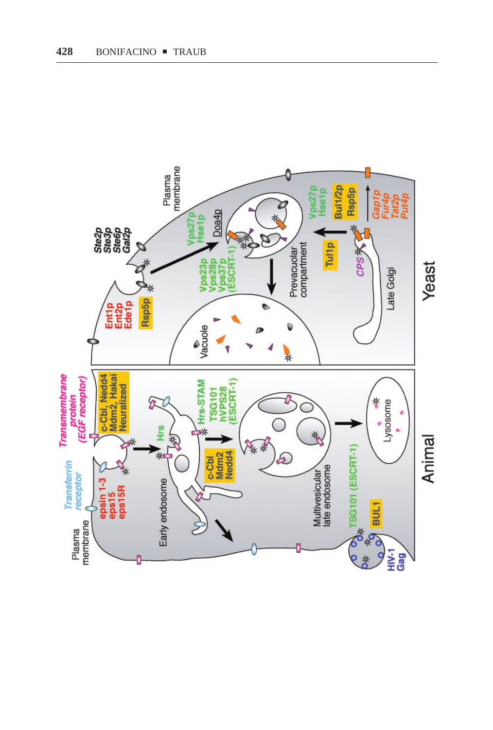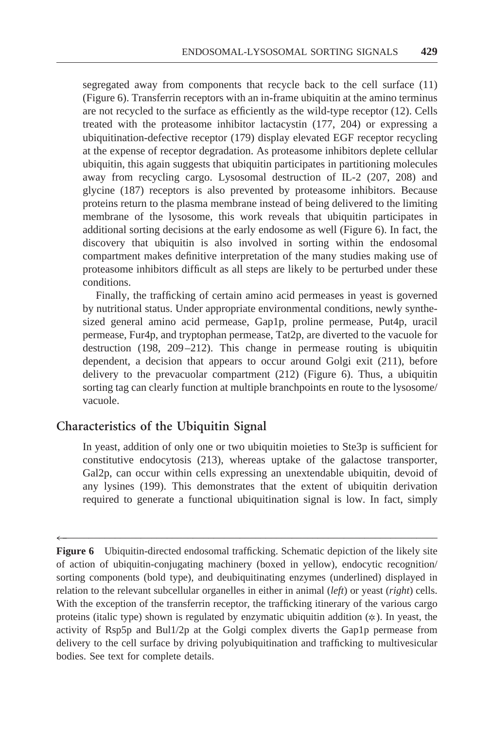segregated away from components that recycle back to the cell surface (11) (Figure 6). Transferrin receptors with an in-frame ubiquitin at the amino terminus are not recycled to the surface as efficiently as the wild-type receptor (12). Cells treated with the proteasome inhibitor lactacystin (177, 204) or expressing a ubiquitination-defective receptor (179) display elevated EGF receptor recycling at the expense of receptor degradation. As proteasome inhibitors deplete cellular ubiquitin, this again suggests that ubiquitin participates in partitioning molecules away from recycling cargo. Lysosomal destruction of IL-2 (207, 208) and glycine (187) receptors is also prevented by proteasome inhibitors. Because proteins return to the plasma membrane instead of being delivered to the limiting membrane of the lysosome, this work reveals that ubiquitin participates in additional sorting decisions at the early endosome as well (Figure 6). In fact, the discovery that ubiquitin is also involved in sorting within the endosomal compartment makes definitive interpretation of the many studies making use of proteasome inhibitors difficult as all steps are likely to be perturbed under these conditions.

Finally, the trafficking of certain amino acid permeases in yeast is governed by nutritional status. Under appropriate environmental conditions, newly synthesized general amino acid permease, Gap1p, proline permease, Put4p, uracil permease, Fur4p, and tryptophan permease, Tat2p, are diverted to the vacuole for destruction (198, 209–212). This change in permease routing is ubiquitin dependent, a decision that appears to occur around Golgi exit (211), before delivery to the prevacuolar compartment (212) (Figure 6). Thus, a ubiquitin sorting tag can clearly function at multiple branchpoints en route to the lysosome/ vacuole.

#### **Characteristics of the Ubiquitin Signal**

In yeast, addition of only one or two ubiquitin moieties to Ste3p is sufficient for constitutive endocytosis (213), whereas uptake of the galactose transporter, Gal2p, can occur within cells expressing an unextendable ubiquitin, devoid of any lysines (199). This demonstrates that the extent of ubiquitin derivation required to generate a functional ubiquitination signal is low. In fact, simply

 $4 <sub>1</sub>$ 

**Figure 6** Ubiquitin-directed endosomal trafficking. Schematic depiction of the likely site of action of ubiquitin-conjugating machinery (boxed in yellow), endocytic recognition/ sorting components (bold type), and deubiquitinating enzymes (underlined) displayed in relation to the relevant subcellular organelles in either in animal (*left*) or yeast (*right*) cells. With the exception of the transferrin receptor, the trafficking itinerary of the various cargo proteins (italic type) shown is regulated by enzymatic ubiquitin addition  $(\star)$ . In yeast, the activity of Rsp5p and Bul1/2p at the Golgi complex diverts the Gap1p permease from delivery to the cell surface by driving polyubiquitination and trafficking to multivesicular bodies. See text for complete details.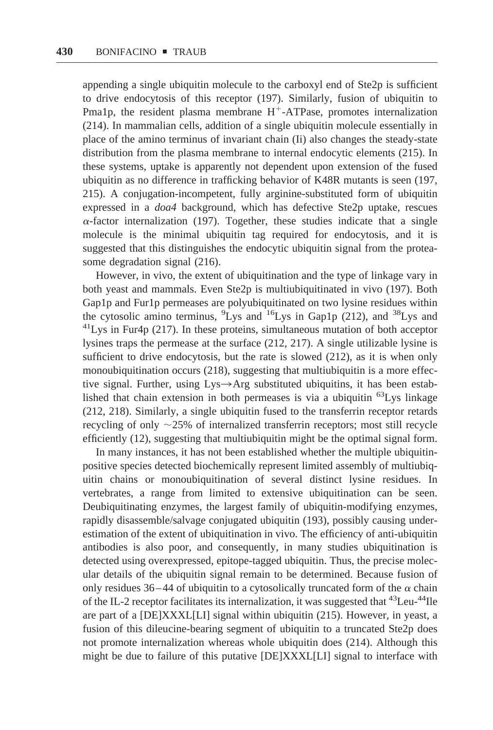appending a single ubiquitin molecule to the carboxyl end of Ste2p is sufficient to drive endocytosis of this receptor (197). Similarly, fusion of ubiquitin to Pma1p, the resident plasma membrane  $H^+$ -ATPase, promotes internalization (214). In mammalian cells, addition of a single ubiquitin molecule essentially in place of the amino terminus of invariant chain (Ii) also changes the steady-state distribution from the plasma membrane to internal endocytic elements (215). In these systems, uptake is apparently not dependent upon extension of the fused ubiquitin as no difference in trafficking behavior of K48R mutants is seen (197, 215). A conjugation-incompetent, fully arginine-substituted form of ubiquitin expressed in a *doa4* background, which has defective Ste2p uptake, rescues  $\alpha$ -factor internalization (197). Together, these studies indicate that a single molecule is the minimal ubiquitin tag required for endocytosis, and it is suggested that this distinguishes the endocytic ubiquitin signal from the proteasome degradation signal (216).

However, in vivo, the extent of ubiquitination and the type of linkage vary in both yeast and mammals. Even Ste2p is multiubiquitinated in vivo (197). Both Gap1p and Fur1p permeases are polyubiquitinated on two lysine residues within the cytosolic amino terminus, <sup>9</sup>Lys and <sup>16</sup>Lys in Gap1p (212), and <sup>38</sup>Lys and  $^{41}$ Lys in Fur4p (217). In these proteins, simultaneous mutation of both acceptor lysines traps the permease at the surface (212, 217). A single utilizable lysine is sufficient to drive endocytosis, but the rate is slowed (212), as it is when only monoubiquitination occurs (218), suggesting that multiubiquitin is a more effective signal. Further, using  $Lys \rightarrow Arg$  substituted ubiquitins, it has been established that chain extension in both permeases is via a ubiquitin 63Lys linkage (212, 218). Similarly, a single ubiquitin fused to the transferrin receptor retards recycling of only  $\sim$ 25% of internalized transferrin receptors; most still recycle efficiently (12), suggesting that multiubiquitin might be the optimal signal form.

In many instances, it has not been established whether the multiple ubiquitinpositive species detected biochemically represent limited assembly of multiubiquitin chains or monoubiquitination of several distinct lysine residues. In vertebrates, a range from limited to extensive ubiquitination can be seen. Deubiquitinating enzymes, the largest family of ubiquitin-modifying enzymes, rapidly disassemble/salvage conjugated ubiquitin (193), possibly causing underestimation of the extent of ubiquitination in vivo. The efficiency of anti-ubiquitin antibodies is also poor, and consequently, in many studies ubiquitination is detected using overexpressed, epitope-tagged ubiquitin. Thus, the precise molecular details of the ubiquitin signal remain to be determined. Because fusion of only residues 36–44 of ubiquitin to a cytosolically truncated form of the  $\alpha$  chain of the IL-2 receptor facilitates its internalization, it was suggested that  $^{43}$ Leu- $^{44}$ Ile are part of a [DE]XXXL[LI] signal within ubiquitin (215). However, in yeast, a fusion of this dileucine-bearing segment of ubiquitin to a truncated Ste2p does not promote internalization whereas whole ubiquitin does (214). Although this might be due to failure of this putative [DE]XXXL[LI] signal to interface with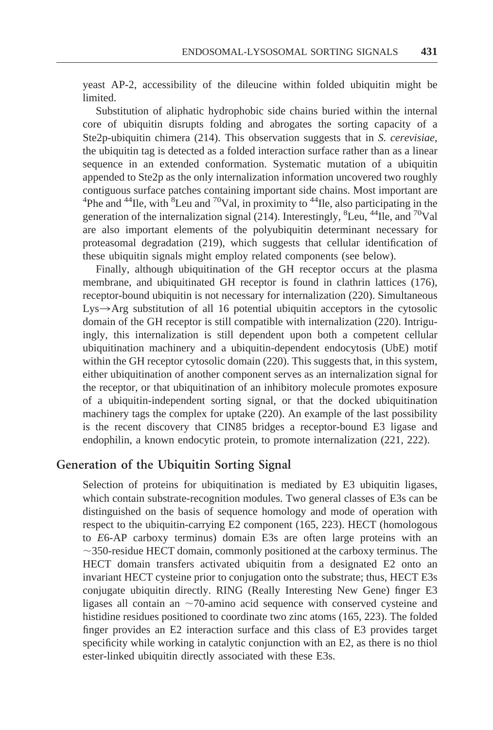yeast AP-2, accessibility of the dileucine within folded ubiquitin might be limited.

Substitution of aliphatic hydrophobic side chains buried within the internal core of ubiquitin disrupts folding and abrogates the sorting capacity of a Ste2p-ubiquitin chimera (214). This observation suggests that in *S. cerevisiae*, the ubiquitin tag is detected as a folded interaction surface rather than as a linear sequence in an extended conformation. Systematic mutation of a ubiquitin appended to Ste2p as the only internalization information uncovered two roughly contiguous surface patches containing important side chains. Most important are <sup>4</sup>Phe and <sup>44</sup>Ile, with  ${}^{8}$ Leu and <sup>70</sup>Val, in proximity to <sup>44</sup>Ile, also participating in the generation of the internalization signal (214). Interestingly, <sup>8</sup>Leu, <sup>44</sup>Ile, and <sup>70</sup>Val are also important elements of the polyubiquitin determinant necessary for proteasomal degradation (219), which suggests that cellular identification of these ubiquitin signals might employ related components (see below).

Finally, although ubiquitination of the GH receptor occurs at the plasma membrane, and ubiquitinated GH receptor is found in clathrin lattices (176), receptor-bound ubiquitin is not necessary for internalization (220). Simultaneous  $Lys \rightarrow Arg$  substitution of all 16 potential ubiquitin acceptors in the cytosolic domain of the GH receptor is still compatible with internalization (220). Intriguingly, this internalization is still dependent upon both a competent cellular ubiquitination machinery and a ubiquitin-dependent endocytosis (UbE) motif within the GH receptor cytosolic domain (220). This suggests that, in this system, either ubiquitination of another component serves as an internalization signal for the receptor, or that ubiquitination of an inhibitory molecule promotes exposure of a ubiquitin-independent sorting signal, or that the docked ubiquitination machinery tags the complex for uptake (220). An example of the last possibility is the recent discovery that CIN85 bridges a receptor-bound E3 ligase and endophilin, a known endocytic protein, to promote internalization (221, 222).

#### **Generation of the Ubiquitin Sorting Signal**

Selection of proteins for ubiquitination is mediated by E3 ubiquitin ligases, which contain substrate-recognition modules. Two general classes of E3s can be distinguished on the basis of sequence homology and mode of operation with respect to the ubiquitin-carrying E2 component (165, 223). HECT (homologous to *E*6-AP carboxy terminus) domain E3s are often large proteins with an ~350-residue HECT domain, commonly positioned at the carboxy terminus. The HECT domain transfers activated ubiquitin from a designated E2 onto an invariant HECT cysteine prior to conjugation onto the substrate; thus, HECT E3s conjugate ubiquitin directly. RING (Really Interesting New Gene) finger E3 ligases all contain an  $\sim$ 70-amino acid sequence with conserved cysteine and histidine residues positioned to coordinate two zinc atoms (165, 223). The folded finger provides an E2 interaction surface and this class of E3 provides target specificity while working in catalytic conjunction with an E2, as there is no thiol ester-linked ubiquitin directly associated with these E3s.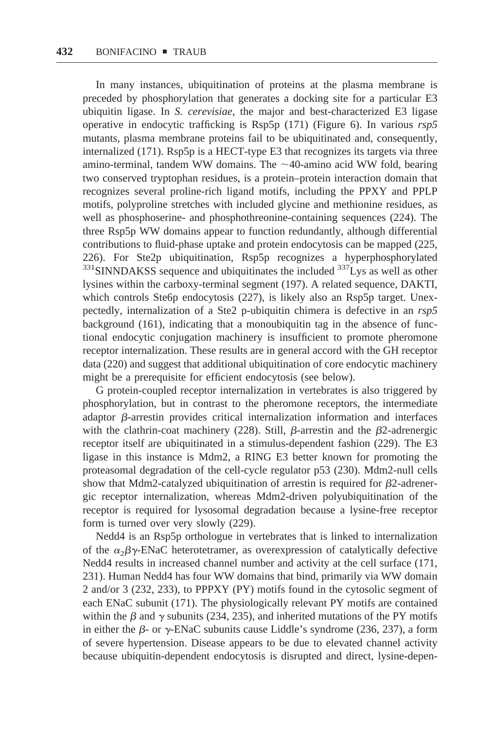In many instances, ubiquitination of proteins at the plasma membrane is preceded by phosphorylation that generates a docking site for a particular E3 ubiquitin ligase. In *S. cerevisiae*, the major and best-characterized E3 ligase operative in endocytic trafficking is Rsp5p (171) (Figure 6). In various *rsp5* mutants, plasma membrane proteins fail to be ubiquitinated and, consequently, internalized (171). Rsp5p is a HECT-type E3 that recognizes its targets via three amino-terminal, tandem WW domains. The  $\sim$ 40-amino acid WW fold, bearing two conserved tryptophan residues, is a protein–protein interaction domain that recognizes several proline-rich ligand motifs, including the PPXY and PPLP motifs, polyproline stretches with included glycine and methionine residues, as well as phosphoserine- and phosphothreonine-containing sequences (224). The three Rsp5p WW domains appear to function redundantly, although differential contributions to fluid-phase uptake and protein endocytosis can be mapped (225, 226). For Ste2p ubiquitination, Rsp5p recognizes a hyperphosphorylated  $331$ SINNDAKSS sequence and ubiquitinates the included  $337$ Lys as well as other lysines within the carboxy-terminal segment (197). A related sequence, DAKTI, which controls Ste6p endocytosis (227), is likely also an Rsp5p target. Unexpectedly, internalization of a Ste2 p-ubiquitin chimera is defective in an *rsp5* background (161), indicating that a monoubiquitin tag in the absence of functional endocytic conjugation machinery is insufficient to promote pheromone receptor internalization. These results are in general accord with the GH receptor data (220) and suggest that additional ubiquitination of core endocytic machinery might be a prerequisite for efficient endocytosis (see below).

G protein-coupled receptor internalization in vertebrates is also triggered by phosphorylation, but in contrast to the pheromone receptors, the intermediate adaptor  $\beta$ -arrestin provides critical internalization information and interfaces with the clathrin-coat machinery (228). Still,  $\beta$ -arrestin and the  $\beta$ 2-adrenergic receptor itself are ubiquitinated in a stimulus-dependent fashion (229). The E3 ligase in this instance is Mdm2, a RING E3 better known for promoting the proteasomal degradation of the cell-cycle regulator p53 (230). Mdm2-null cells show that Mdm2-catalyzed ubiquitination of arrestin is required for  $\beta$ 2-adrenergic receptor internalization, whereas Mdm2-driven polyubiquitination of the receptor is required for lysosomal degradation because a lysine-free receptor form is turned over very slowly (229).

Nedd4 is an Rsp5p orthologue in vertebrates that is linked to internalization of the  $\alpha_2\beta\gamma$ -ENaC heterotetramer, as overexpression of catalytically defective Nedd4 results in increased channel number and activity at the cell surface (171, 231). Human Nedd4 has four WW domains that bind, primarily via WW domain 2 and/or 3 (232, 233), to PPPXY (PY) motifs found in the cytosolic segment of each ENaC subunit (171). The physiologically relevant PY motifs are contained within the  $\beta$  and  $\gamma$  subunits (234, 235), and inherited mutations of the PY motifs in either the  $\beta$ - or  $\gamma$ -ENaC subunits cause Liddle's syndrome (236, 237), a form of severe hypertension. Disease appears to be due to elevated channel activity because ubiquitin-dependent endocytosis is disrupted and direct, lysine-depen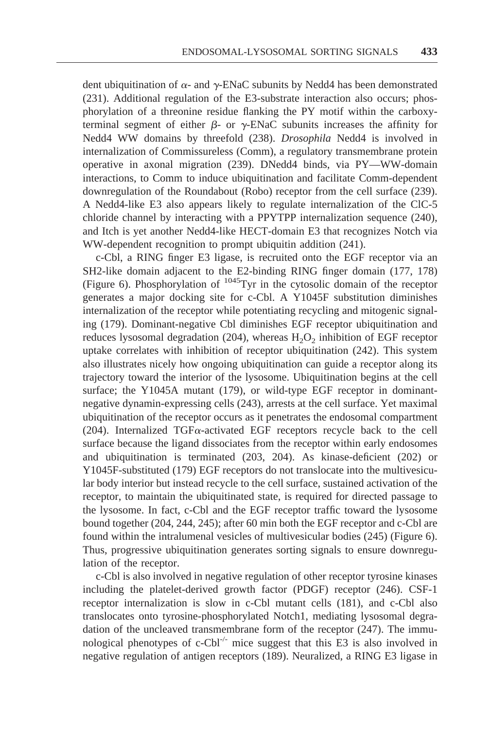dent ubiquitination of  $\alpha$ - and  $\gamma$ -ENaC subunits by Nedd4 has been demonstrated (231). Additional regulation of the E3-substrate interaction also occurs; phosphorylation of a threonine residue flanking the PY motif within the carboxyterminal segment of either  $\beta$ - or  $\gamma$ -ENaC subunits increases the affinity for Nedd4 WW domains by threefold (238). *Drosophila* Nedd4 is involved in internalization of Commissureless (Comm), a regulatory transmembrane protein operative in axonal migration (239). DNedd4 binds, via PY—WW-domain interactions, to Comm to induce ubiquitination and facilitate Comm-dependent downregulation of the Roundabout (Robo) receptor from the cell surface (239). A Nedd4-like E3 also appears likely to regulate internalization of the ClC-5 chloride channel by interacting with a PPYTPP internalization sequence (240), and Itch is yet another Nedd4-like HECT-domain E3 that recognizes Notch via WW-dependent recognition to prompt ubiquitin addition (241).

c-Cbl, a RING finger E3 ligase, is recruited onto the EGF receptor via an SH2-like domain adjacent to the E2-binding RING finger domain (177, 178) (Figure 6). Phosphorylation of 1045Tyr in the cytosolic domain of the receptor generates a major docking site for c-Cbl. A Y1045F substitution diminishes internalization of the receptor while potentiating recycling and mitogenic signaling (179). Dominant-negative Cbl diminishes EGF receptor ubiquitination and reduces lysosomal degradation (204), whereas  $H_2O_2$  inhibition of EGF receptor uptake correlates with inhibition of receptor ubiquitination (242). This system also illustrates nicely how ongoing ubiquitination can guide a receptor along its trajectory toward the interior of the lysosome. Ubiquitination begins at the cell surface; the Y1045A mutant (179), or wild-type EGF receptor in dominantnegative dynamin-expressing cells (243), arrests at the cell surface. Yet maximal ubiquitination of the receptor occurs as it penetrates the endosomal compartment (204). Internalized TGF $\alpha$ -activated EGF receptors recycle back to the cell surface because the ligand dissociates from the receptor within early endosomes and ubiquitination is terminated (203, 204). As kinase-deficient (202) or Y1045F-substituted (179) EGF receptors do not translocate into the multivesicular body interior but instead recycle to the cell surface, sustained activation of the receptor, to maintain the ubiquitinated state, is required for directed passage to the lysosome. In fact, c-Cbl and the EGF receptor traffic toward the lysosome bound together (204, 244, 245); after 60 min both the EGF receptor and c-Cbl are found within the intralumenal vesicles of multivesicular bodies (245) (Figure 6). Thus, progressive ubiquitination generates sorting signals to ensure downregulation of the receptor.

c-Cbl is also involved in negative regulation of other receptor tyrosine kinases including the platelet-derived growth factor (PDGF) receptor (246). CSF-1 receptor internalization is slow in c-Cbl mutant cells (181), and c-Cbl also translocates onto tyrosine-phosphorylated Notch1, mediating lysosomal degradation of the uncleaved transmembrane form of the receptor (247). The immunological phenotypes of  $c$ -Cbl<sup>-/-</sup> mice suggest that this E3 is also involved in negative regulation of antigen receptors (189). Neuralized, a RING E3 ligase in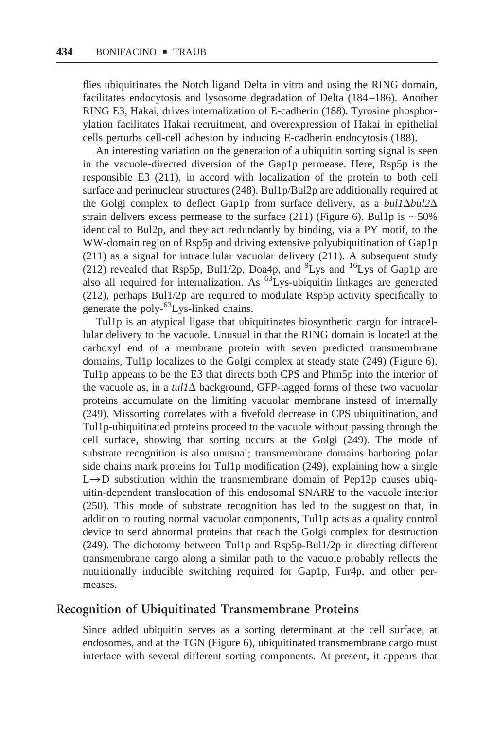flies ubiquitinates the Notch ligand Delta in vitro and using the RING domain, facilitates endocytosis and lysosome degradation of Delta (184–186). Another RING E3, Hakai, drives internalization of E-cadherin (188). Tyrosine phosphorylation facilitates Hakai recruitment, and overexpression of Hakai in epithelial cells perturbs cell-cell adhesion by inducing E-cadherin endocytosis (188).

An interesting variation on the generation of a ubiquitin sorting signal is seen in the vacuole-directed diversion of the Gap1p permease. Here, Rsp5p is the responsible E3 (211), in accord with localization of the protein to both cell surface and perinuclear structures (248). Bul1p/Bul2p are additionally required at the Golgi complex to deflect Gap1p from surface delivery, as a  $bul1\Delta bul2\Delta$ strain delivers excess permease to the surface (211) (Figure 6). Bullp is  $\sim$  50% identical to Bul2p, and they act redundantly by binding, via a PY motif, to the WW-domain region of Rsp5p and driving extensive polyubiquitination of Gap1p (211) as a signal for intracellular vacuolar delivery (211). A subsequent study (212) revealed that Rsp5p, Bul1/2p, Doa4p, and  ${}^{9}Lys$  and  ${}^{16}Lys$  of Gap1p are also all required for internalization. As  ${}^{63}Lys$ -ubiquitin linkages are generated (212), perhaps Bul1/2p are required to modulate Rsp5p activity specifically to generate the poly-63Lys-linked chains.

Tul1p is an atypical ligase that ubiquitinates biosynthetic cargo for intracellular delivery to the vacuole. Unusual in that the RING domain is located at the carboxyl end of a membrane protein with seven predicted transmembrane domains, Tul1p localizes to the Golgi complex at steady state (249) (Figure 6). Tul1p appears to be the E3 that directs both CPS and Phm5p into the interior of the vacuole as, in a  $tul/\Delta$  background, GFP-tagged forms of these two vacuolar proteins accumulate on the limiting vacuolar membrane instead of internally (249). Missorting correlates with a fivefold decrease in CPS ubiquitination, and Tul1p-ubiquitinated proteins proceed to the vacuole without passing through the cell surface, showing that sorting occurs at the Golgi (249). The mode of substrate recognition is also unusual; transmembrane domains harboring polar side chains mark proteins for Tul1p modification (249), explaining how a single  $L\rightarrow D$  substitution within the transmembrane domain of Pep12p causes ubiquitin-dependent translocation of this endosomal SNARE to the vacuole interior (250). This mode of substrate recognition has led to the suggestion that, in addition to routing normal vacuolar components, Tul1p acts as a quality control device to send abnormal proteins that reach the Golgi complex for destruction (249). The dichotomy between Tul1p and Rsp5p-Bul1/2p in directing different transmembrane cargo along a similar path to the vacuole probably reflects the nutritionally inducible switching required for Gap1p, Fur4p, and other permeases.

## **Recognition of Ubiquitinated Transmembrane Proteins**

Since added ubiquitin serves as a sorting determinant at the cell surface, at endosomes, and at the TGN (Figure 6), ubiquitinated transmembrane cargo must interface with several different sorting components. At present, it appears that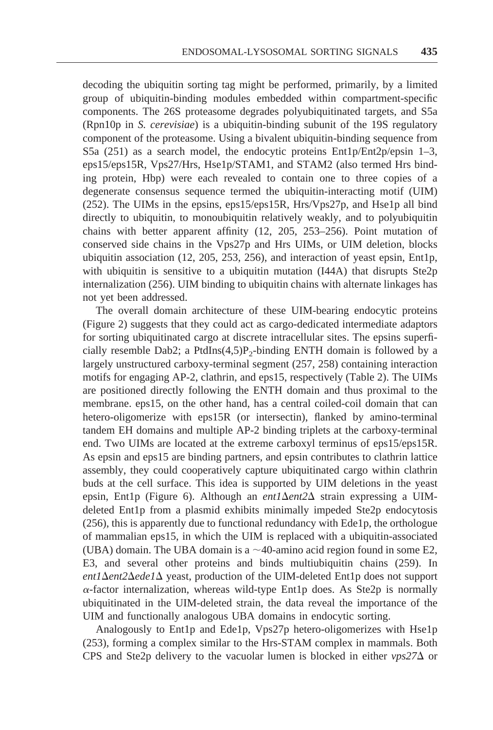decoding the ubiquitin sorting tag might be performed, primarily, by a limited group of ubiquitin-binding modules embedded within compartment-specific components. The 26S proteasome degrades polyubiquitinated targets, and S5a (Rpn10p in *S. cerevisiae*) is a ubiquitin-binding subunit of the 19S regulatory component of the proteasome. Using a bivalent ubiquitin-binding sequence from S5a (251) as a search model, the endocytic proteins Ent1p/Ent2p/epsin 1–3, eps15/eps15R, Vps27/Hrs, Hse1p/STAM1, and STAM2 (also termed Hrs binding protein, Hbp) were each revealed to contain one to three copies of a degenerate consensus sequence termed the ubiquitin-interacting motif (UIM) (252). The UIMs in the epsins, eps15/eps15R, Hrs/Vps27p, and Hse1p all bind directly to ubiquitin, to monoubiquitin relatively weakly, and to polyubiquitin chains with better apparent affinity (12, 205, 253–256). Point mutation of conserved side chains in the Vps27p and Hrs UIMs, or UIM deletion, blocks ubiquitin association (12, 205, 253, 256), and interaction of yeast epsin, Ent1p, with ubiquitin is sensitive to a ubiquitin mutation (I44A) that disrupts Ste2p internalization (256). UIM binding to ubiquitin chains with alternate linkages has not yet been addressed.

The overall domain architecture of these UIM-bearing endocytic proteins (Figure 2) suggests that they could act as cargo-dedicated intermediate adaptors for sorting ubiquitinated cargo at discrete intracellular sites. The epsins superficially resemble Dab2; a PtdIns $(4,5)P_2$ -binding ENTH domain is followed by a largely unstructured carboxy-terminal segment (257, 258) containing interaction motifs for engaging AP-2, clathrin, and eps15, respectively (Table 2). The UIMs are positioned directly following the ENTH domain and thus proximal to the membrane. eps15, on the other hand, has a central coiled-coil domain that can hetero-oligomerize with eps15R (or intersectin), flanked by amino-terminal tandem EH domains and multiple AP-2 binding triplets at the carboxy-terminal end. Two UIMs are located at the extreme carboxyl terminus of eps15/eps15R. As epsin and eps15 are binding partners, and epsin contributes to clathrin lattice assembly, they could cooperatively capture ubiquitinated cargo within clathrin buds at the cell surface. This idea is supported by UIM deletions in the yeast epsin, Ent1p (Figure 6). Although an *ent1*∆*ent2*∆ strain expressing a UIMdeleted Ent1p from a plasmid exhibits minimally impeded Ste2p endocytosis (256), this is apparently due to functional redundancy with Ede1p, the orthologue of mammalian eps15, in which the UIM is replaced with a ubiquitin-associated (UBA) domain. The UBA domain is a  $\sim$ 40-amino acid region found in some E2, E3, and several other proteins and binds multiubiquitin chains (259). In  $ent1\Delta ent2\Delta edel\Delta$  yeast, production of the UIM-deleted Ent1p does not support  $\alpha$ -factor internalization, whereas wild-type Ent1p does. As Ste2p is normally ubiquitinated in the UIM-deleted strain, the data reveal the importance of the UIM and functionally analogous UBA domains in endocytic sorting.

Analogously to Ent1p and Ede1p, Vps27p hetero-oligomerizes with Hse1p (253), forming a complex similar to the Hrs-STAM complex in mammals. Both CPS and Ste2p delivery to the vacuolar lumen is blocked in either  $vps27\Delta$  or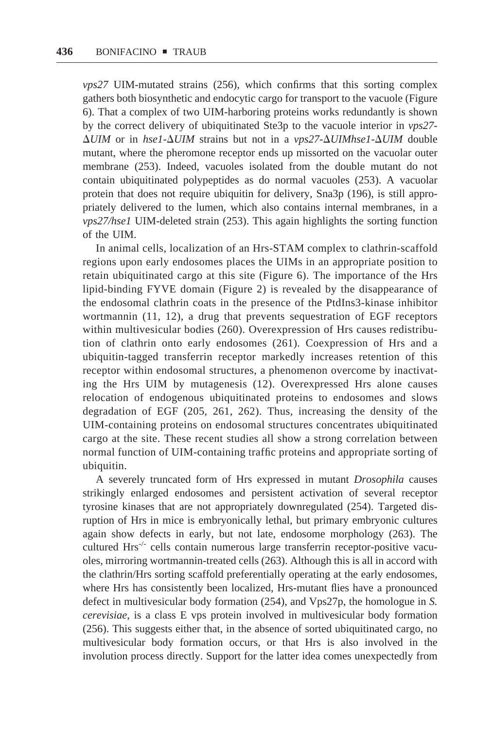*vps27* UIM-mutated strains (256), which confirms that this sorting complex gathers both biosynthetic and endocytic cargo for transport to the vacuole (Figure 6). That a complex of two UIM-harboring proteins works redundantly is shown by the correct delivery of ubiquitinated Ste3p to the vacuole interior in *vps27- UIM* or in *hse1-UIM* strains but not in a *vps27-UIMhse1-UIM* double mutant, where the pheromone receptor ends up missorted on the vacuolar outer membrane (253). Indeed, vacuoles isolated from the double mutant do not contain ubiquitinated polypeptides as do normal vacuoles (253). A vacuolar protein that does not require ubiquitin for delivery, Sna3p (196), is still appropriately delivered to the lumen, which also contains internal membranes, in a *vps27/hse1* UIM-deleted strain (253). This again highlights the sorting function of the UIM.

In animal cells, localization of an Hrs-STAM complex to clathrin-scaffold regions upon early endosomes places the UIMs in an appropriate position to retain ubiquitinated cargo at this site (Figure 6). The importance of the Hrs lipid-binding FYVE domain (Figure 2) is revealed by the disappearance of the endosomal clathrin coats in the presence of the PtdIns3-kinase inhibitor wortmannin (11, 12), a drug that prevents sequestration of EGF receptors within multivesicular bodies (260). Overexpression of Hrs causes redistribution of clathrin onto early endosomes (261). Coexpression of Hrs and a ubiquitin-tagged transferrin receptor markedly increases retention of this receptor within endosomal structures, a phenomenon overcome by inactivating the Hrs UIM by mutagenesis (12). Overexpressed Hrs alone causes relocation of endogenous ubiquitinated proteins to endosomes and slows degradation of EGF (205, 261, 262). Thus, increasing the density of the UIM-containing proteins on endosomal structures concentrates ubiquitinated cargo at the site. These recent studies all show a strong correlation between normal function of UIM-containing traffic proteins and appropriate sorting of ubiquitin.

A severely truncated form of Hrs expressed in mutant *Drosophila* causes strikingly enlarged endosomes and persistent activation of several receptor tyrosine kinases that are not appropriately downregulated (254). Targeted disruption of Hrs in mice is embryonically lethal, but primary embryonic cultures again show defects in early, but not late, endosome morphology (263). The cultured Hrs-/- cells contain numerous large transferrin receptor-positive vacuoles, mirroring wortmannin-treated cells (263). Although this is all in accord with the clathrin/Hrs sorting scaffold preferentially operating at the early endosomes, where Hrs has consistently been localized, Hrs-mutant flies have a pronounced defect in multivesicular body formation (254), and Vps27p, the homologue in *S. cerevisiae*, is a class E vps protein involved in multivesicular body formation (256). This suggests either that, in the absence of sorted ubiquitinated cargo, no multivesicular body formation occurs, or that Hrs is also involved in the involution process directly. Support for the latter idea comes unexpectedly from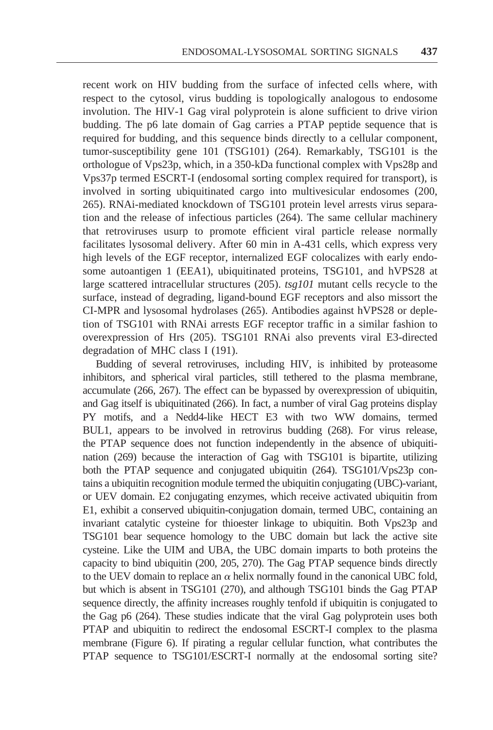recent work on HIV budding from the surface of infected cells where, with respect to the cytosol, virus budding is topologically analogous to endosome involution. The HIV-1 Gag viral polyprotein is alone sufficient to drive virion budding. The p6 late domain of Gag carries a PTAP peptide sequence that is required for budding, and this sequence binds directly to a cellular component, tumor-susceptibility gene 101 (TSG101) (264). Remarkably, TSG101 is the orthologue of Vps23p, which, in a 350-kDa functional complex with Vps28p and Vps37p termed ESCRT-I (endosomal sorting complex required for transport), is involved in sorting ubiquitinated cargo into multivesicular endosomes (200, 265). RNAi-mediated knockdown of TSG101 protein level arrests virus separation and the release of infectious particles (264). The same cellular machinery that retroviruses usurp to promote efficient viral particle release normally facilitates lysosomal delivery. After 60 min in A-431 cells, which express very high levels of the EGF receptor, internalized EGF colocalizes with early endosome autoantigen 1 (EEA1), ubiquitinated proteins, TSG101, and hVPS28 at large scattered intracellular structures (205). *tsg101* mutant cells recycle to the surface, instead of degrading, ligand-bound EGF receptors and also missort the CI-MPR and lysosomal hydrolases (265). Antibodies against hVPS28 or depletion of TSG101 with RNAi arrests EGF receptor traffic in a similar fashion to overexpression of Hrs (205). TSG101 RNAi also prevents viral E3-directed degradation of MHC class I (191).

Budding of several retroviruses, including HIV, is inhibited by proteasome inhibitors, and spherical viral particles, still tethered to the plasma membrane, accumulate (266, 267). The effect can be bypassed by overexpression of ubiquitin, and Gag itself is ubiquitinated (266). In fact, a number of viral Gag proteins display PY motifs, and a Nedd4-like HECT E3 with two WW domains, termed BUL1, appears to be involved in retrovirus budding (268). For virus release, the PTAP sequence does not function independently in the absence of ubiquitination (269) because the interaction of Gag with TSG101 is bipartite, utilizing both the PTAP sequence and conjugated ubiquitin (264). TSG101/Vps23p contains a ubiquitin recognition module termed the ubiquitin conjugating (UBC)-variant, or UEV domain. E2 conjugating enzymes, which receive activated ubiquitin from E1, exhibit a conserved ubiquitin-conjugation domain, termed UBC, containing an invariant catalytic cysteine for thioester linkage to ubiquitin. Both Vps23p and TSG101 bear sequence homology to the UBC domain but lack the active site cysteine. Like the UIM and UBA, the UBC domain imparts to both proteins the capacity to bind ubiquitin (200, 205, 270). The Gag PTAP sequence binds directly to the UEV domain to replace an  $\alpha$  helix normally found in the canonical UBC fold, but which is absent in TSG101 (270), and although TSG101 binds the Gag PTAP sequence directly, the affinity increases roughly tenfold if ubiquitin is conjugated to the Gag p6 (264). These studies indicate that the viral Gag polyprotein uses both PTAP and ubiquitin to redirect the endosomal ESCRT-I complex to the plasma membrane (Figure 6). If pirating a regular cellular function, what contributes the PTAP sequence to TSG101/ESCRT-I normally at the endosomal sorting site?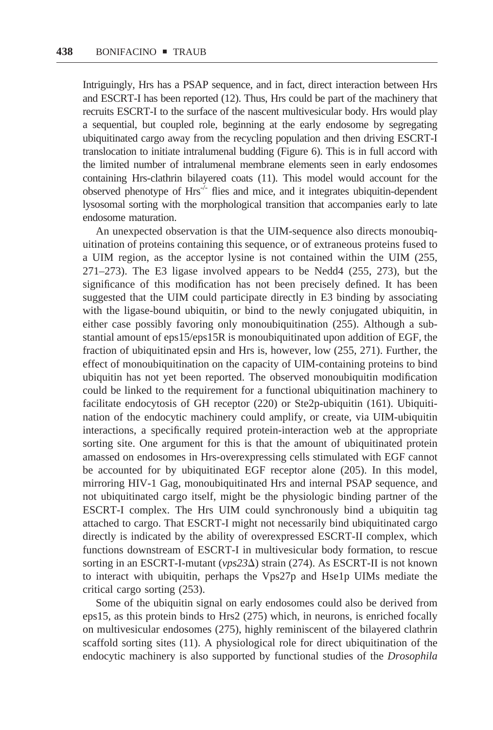Intriguingly, Hrs has a PSAP sequence, and in fact, direct interaction between Hrs and ESCRT-I has been reported (12). Thus, Hrs could be part of the machinery that recruits ESCRT-I to the surface of the nascent multivesicular body. Hrs would play a sequential, but coupled role, beginning at the early endosome by segregating ubiquitinated cargo away from the recycling population and then driving ESCRT-I translocation to initiate intralumenal budding (Figure 6). This is in full accord with the limited number of intralumenal membrane elements seen in early endosomes containing Hrs-clathrin bilayered coats (11). This model would account for the observed phenotype of  $Hrs^{-1}$  flies and mice, and it integrates ubiquitin-dependent lysosomal sorting with the morphological transition that accompanies early to late endosome maturation.

An unexpected observation is that the UIM-sequence also directs monoubiquitination of proteins containing this sequence, or of extraneous proteins fused to a UIM region, as the acceptor lysine is not contained within the UIM (255, 271–273). The E3 ligase involved appears to be Nedd4 (255, 273), but the significance of this modification has not been precisely defined. It has been suggested that the UIM could participate directly in E3 binding by associating with the ligase-bound ubiquitin, or bind to the newly conjugated ubiquitin, in either case possibly favoring only monoubiquitination (255). Although a substantial amount of eps15/eps15R is monoubiquitinated upon addition of EGF, the fraction of ubiquitinated epsin and Hrs is, however, low (255, 271). Further, the effect of monoubiquitination on the capacity of UIM-containing proteins to bind ubiquitin has not yet been reported. The observed monoubiquitin modification could be linked to the requirement for a functional ubiquitination machinery to facilitate endocytosis of GH receptor (220) or Ste2p-ubiquitin (161). Ubiquitination of the endocytic machinery could amplify, or create, via UIM-ubiquitin interactions, a specifically required protein-interaction web at the appropriate sorting site. One argument for this is that the amount of ubiquitinated protein amassed on endosomes in Hrs-overexpressing cells stimulated with EGF cannot be accounted for by ubiquitinated EGF receptor alone (205). In this model, mirroring HIV-1 Gag, monoubiquitinated Hrs and internal PSAP sequence, and not ubiquitinated cargo itself, might be the physiologic binding partner of the ESCRT-I complex. The Hrs UIM could synchronously bind a ubiquitin tag attached to cargo. That ESCRT-I might not necessarily bind ubiquitinated cargo directly is indicated by the ability of overexpressed ESCRT-II complex, which functions downstream of ESCRT-I in multivesicular body formation, to rescue sorting in an ESCRT-I-mutant (*vps23*) strain (274). As ESCRT-II is not known to interact with ubiquitin, perhaps the Vps27p and Hse1p UIMs mediate the critical cargo sorting (253).

Some of the ubiquitin signal on early endosomes could also be derived from eps15, as this protein binds to Hrs2 (275) which, in neurons, is enriched focally on multivesicular endosomes (275), highly reminiscent of the bilayered clathrin scaffold sorting sites (11). A physiological role for direct ubiquitination of the endocytic machinery is also supported by functional studies of the *Drosophila*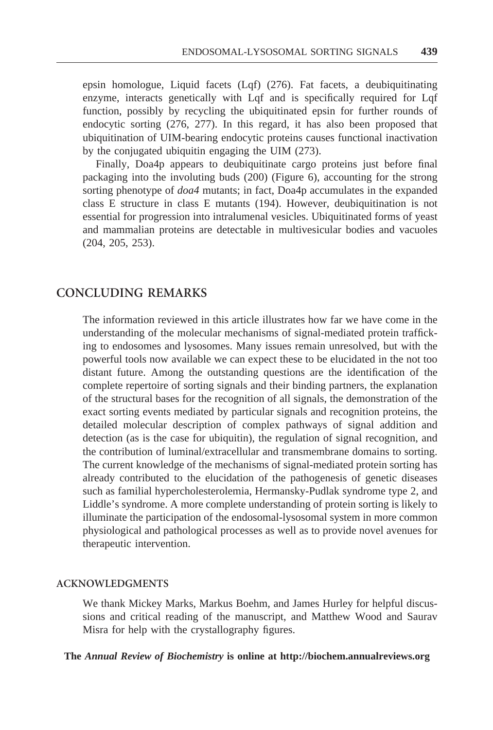epsin homologue, Liquid facets (Lqf) (276). Fat facets, a deubiquitinating enzyme, interacts genetically with Lqf and is specifically required for Lqf function, possibly by recycling the ubiquitinated epsin for further rounds of endocytic sorting (276, 277). In this regard, it has also been proposed that ubiquitination of UIM-bearing endocytic proteins causes functional inactivation by the conjugated ubiquitin engaging the UIM (273).

Finally, Doa4p appears to deubiquitinate cargo proteins just before final packaging into the involuting buds (200) (Figure 6), accounting for the strong sorting phenotype of *doa4* mutants; in fact, Doa4p accumulates in the expanded class E structure in class E mutants (194). However, deubiquitination is not essential for progression into intralumenal vesicles. Ubiquitinated forms of yeast and mammalian proteins are detectable in multivesicular bodies and vacuoles (204, 205, 253).

#### **CONCLUDING REMARKS**

The information reviewed in this article illustrates how far we have come in the understanding of the molecular mechanisms of signal-mediated protein trafficking to endosomes and lysosomes. Many issues remain unresolved, but with the powerful tools now available we can expect these to be elucidated in the not too distant future. Among the outstanding questions are the identification of the complete repertoire of sorting signals and their binding partners, the explanation of the structural bases for the recognition of all signals, the demonstration of the exact sorting events mediated by particular signals and recognition proteins, the detailed molecular description of complex pathways of signal addition and detection (as is the case for ubiquitin), the regulation of signal recognition, and the contribution of luminal/extracellular and transmembrane domains to sorting. The current knowledge of the mechanisms of signal-mediated protein sorting has already contributed to the elucidation of the pathogenesis of genetic diseases such as familial hypercholesterolemia, Hermansky-Pudlak syndrome type 2, and Liddle's syndrome. A more complete understanding of protein sorting is likely to illuminate the participation of the endosomal-lysosomal system in more common physiological and pathological processes as well as to provide novel avenues for therapeutic intervention.

#### **ACKNOWLEDGMENTS**

We thank Mickey Marks, Markus Boehm, and James Hurley for helpful discussions and critical reading of the manuscript, and Matthew Wood and Saurav Misra for help with the crystallography figures.

**The** *Annual Review of Biochemistry* **is online at http://biochem.annualreviews.org**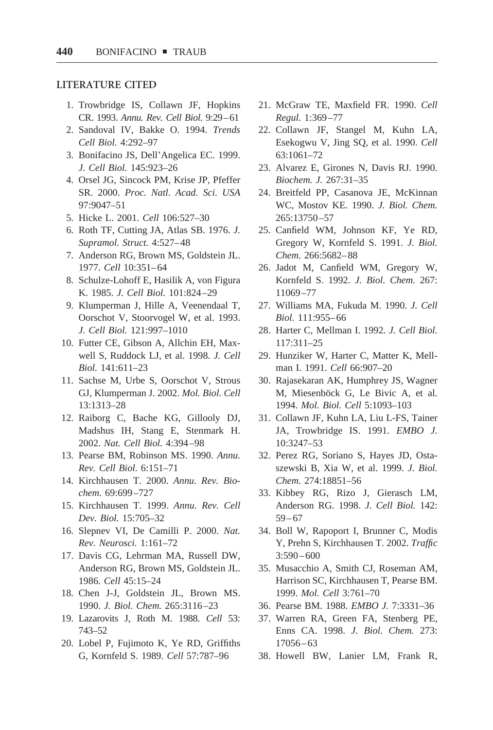#### **LITERATURE CITED**

- 1. Trowbridge IS, Collawn JF, Hopkins CR. 1993. *Annu. Rev. Cell Biol.* 9:29–61
- 2. Sandoval IV, Bakke O. 1994. *Trends Cell Biol.* 4:292–97
- 3. Bonifacino JS, Dell'Angelica EC. 1999. *J. Cell Biol.* 145:923–26
- 4. Orsel JG, Sincock PM, Krise JP, Pfeffer SR. 2000. *Proc. Natl. Acad. Sci. USA* 97:9047–51
- 5. Hicke L. 2001. *Cell* 106:527–30
- 6. Roth TF, Cutting JA, Atlas SB. 1976. *J. Supramol. Struct.* 4:527–48
- 7. Anderson RG, Brown MS, Goldstein JL. 1977. *Cell* 10:351–64
- 8. Schulze-Lohoff E, Hasilik A, von Figura K. 1985. *J. Cell Biol.* 101:824–29
- 9. Klumperman J, Hille A, Veenendaal T, Oorschot V, Stoorvogel W, et al. 1993. *J. Cell Biol.* 121:997–1010
- 10. Futter CE, Gibson A, Allchin EH, Maxwell S, Ruddock LJ, et al. 1998. *J. Cell Biol.* 141:611–23
- 11. Sachse M, Urbe S, Oorschot V, Strous GJ, Klumperman J. 2002. *Mol. Biol. Cell* 13:1313–28
- 12. Raiborg C, Bache KG, Gillooly DJ, Madshus IH, Stang E, Stenmark H. 2002. *Nat. Cell Biol.* 4:394–98
- 13. Pearse BM, Robinson MS. 1990. *Annu. Rev. Cell Biol.* 6:151–71
- 14. Kirchhausen T. 2000. *Annu. Rev. Biochem.* 69:699–727
- 15. Kirchhausen T. 1999. *Annu. Rev. Cell Dev. Biol.* 15:705–32
- 16. Slepnev VI, De Camilli P. 2000. *Nat. Rev. Neurosci.* 1:161–72
- 17. Davis CG, Lehrman MA, Russell DW, Anderson RG, Brown MS, Goldstein JL. 1986. *Cell* 45:15–24
- 18. Chen J-J, Goldstein JL, Brown MS. 1990. *J. Biol. Chem.* 265:3116–23
- 19. Lazarovits J, Roth M. 1988. *Cell* 53: 743–52
- 20. Lobel P, Fujimoto K, Ye RD, Griffiths G, Kornfeld S. 1989. *Cell* 57:787–96
- 21. McGraw TE, Maxfield FR. 1990. *Cell Regul.* 1:369–77
- 22. Collawn JF, Stangel M, Kuhn LA, Esekogwu V, Jing SQ, et al. 1990. *Cell* 63:1061–72
- 23. Alvarez E, Girones N, Davis RJ. 1990. *Biochem. J.* 267:31–35
- 24. Breitfeld PP, Casanova JE, McKinnan WC, Mostov KE. 1990. *J. Biol. Chem.* 265:13750–57
- 25. Canfield WM, Johnson KF, Ye RD, Gregory W, Kornfeld S. 1991. *J. Biol. Chem.* 266:5682–88
- 26. Jadot M, Canfield WM, Gregory W, Kornfeld S. 1992. *J. Biol. Chem.* 267: 11069–77
- 27. Williams MA, Fukuda M. 1990. *J. Cell Biol.* 111:955–66
- 28. Harter C, Mellman I. 1992. *J. Cell Biol.* 117:311–25
- 29. Hunziker W, Harter C, Matter K, Mellman I. 1991. *Cell* 66:907–20
- 30. Rajasekaran AK, Humphrey JS, Wagner M, Miesenböck G, Le Bivic A, et al. 1994. *Mol. Biol. Cell* 5:1093–103
- 31. Collawn JF, Kuhn LA, Liu L-FS, Tainer JA, Trowbridge IS. 1991. *EMBO J.* 10:3247–53
- 32. Perez RG, Soriano S, Hayes JD, Ostaszewski B, Xia W, et al. 1999. *J. Biol. Chem.* 274:18851–56
- 33. Kibbey RG, Rizo J, Gierasch LM, Anderson RG. 1998. *J. Cell Biol.* 142: 59–67
- 34. Boll W, Rapoport I, Brunner C, Modis Y, Prehn S, Kirchhausen T. 2002. *Traffic* 3:590–600
- 35. Musacchio A, Smith CJ, Roseman AM, Harrison SC, Kirchhausen T, Pearse BM. 1999. *Mol. Cell* 3:761–70
- 36. Pearse BM. 1988. *EMBO J.* 7:3331–36
- 37. Warren RA, Green FA, Stenberg PE, Enns CA. 1998. *J. Biol. Chem.* 273: 17056–63
- 38. Howell BW, Lanier LM, Frank R,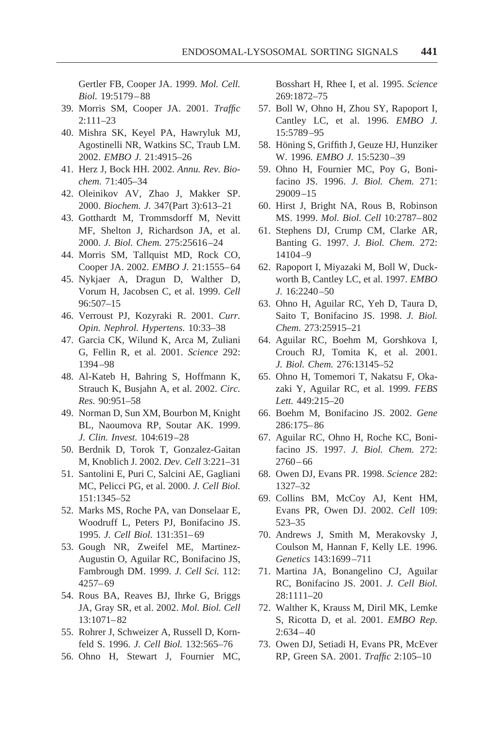Gertler FB, Cooper JA. 1999. *Mol. Cell. Biol.* 19:5179–88

- 39. Morris SM, Cooper JA. 2001. *Traffic* 2:111–23
- 40. Mishra SK, Keyel PA, Hawryluk MJ, Agostinelli NR, Watkins SC, Traub LM. 2002. *EMBO J.* 21:4915–26
- 41. Herz J, Bock HH. 2002. *Annu. Rev. Biochem.* 71:405–34
- 42. Oleinikov AV, Zhao J, Makker SP. 2000. *Biochem. J.* 347(Part 3):613–21
- 43. Gotthardt M, Trommsdorff M, Nevitt MF, Shelton J, Richardson JA, et al. 2000. *J. Biol. Chem.* 275:25616–24
- 44. Morris SM, Tallquist MD, Rock CO, Cooper JA. 2002. *EMBO J.* 21:1555–64
- 45. Nykjaer A, Dragun D, Walther D, Vorum H, Jacobsen C, et al. 1999. *Cell* 96:507–15
- 46. Verroust PJ, Kozyraki R. 2001. *Curr. Opin. Nephrol. Hypertens.* 10:33–38
- 47. Garcia CK, Wilund K, Arca M, Zuliani G, Fellin R, et al. 2001. *Science* 292: 1394–98
- 48. Al-Kateb H, Bahring S, Hoffmann K, Strauch K, Busjahn A, et al. 2002. *Circ. Res.* 90:951–58
- 49. Norman D, Sun XM, Bourbon M, Knight BL, Naoumova RP, Soutar AK. 1999. *J. Clin. Invest.* 104:619–28
- 50. Berdnik D, Torok T, Gonzalez-Gaitan M, Knoblich J. 2002. *Dev. Cell* 3:221–31
- 51. Santolini E, Puri C, Salcini AE, Gagliani MC, Pelicci PG, et al. 2000. *J. Cell Biol.* 151:1345–52
- 52. Marks MS, Roche PA, van Donselaar E, Woodruff L, Peters PJ, Bonifacino JS. 1995. *J. Cell Biol.* 131:351–69
- 53. Gough NR, Zweifel ME, Martinez-Augustin O, Aguilar RC, Bonifacino JS, Fambrough DM. 1999. *J. Cell Sci.* 112: 4257–69
- 54. Rous BA, Reaves BJ, Ihrke G, Briggs JA, Gray SR, et al. 2002. *Mol. Biol. Cell* 13:1071–82
- 55. Rohrer J, Schweizer A, Russell D, Kornfeld S. 1996. *J. Cell Biol.* 132:565–76
- 56. Ohno H, Stewart J, Fournier MC,

Bosshart H, Rhee I, et al. 1995. *Science* 269:1872–75

- 57. Boll W, Ohno H, Zhou SY, Rapoport I, Cantley LC, et al. 1996. *EMBO J.* 15:5789–95
- 58. Höning S, Griffith J, Geuze HJ, Hunziker W. 1996. *EMBO J.* 15:5230–39
- 59. Ohno H, Fournier MC, Poy G, Bonifacino JS. 1996. *J. Biol. Chem.* 271: 29009–15
- 60. Hirst J, Bright NA, Rous B, Robinson MS. 1999. *Mol. Biol. Cell* 10:2787–802
- 61. Stephens DJ, Crump CM, Clarke AR, Banting G. 1997. *J. Biol. Chem.* 272: 14104–9
- 62. Rapoport I, Miyazaki M, Boll W, Duckworth B, Cantley LC, et al. 1997. *EMBO J.* 16:2240–50
- 63. Ohno H, Aguilar RC, Yeh D, Taura D, Saito T, Bonifacino JS. 1998. *J. Biol. Chem.* 273:25915–21
- 64. Aguilar RC, Boehm M, Gorshkova I, Crouch RJ, Tomita K, et al. 2001. *J. Biol. Chem.* 276:13145–52
- 65. Ohno H, Tomemori T, Nakatsu F, Okazaki Y, Aguilar RC, et al. 1999. *FEBS Lett.* 449:215–20
- 66. Boehm M, Bonifacino JS. 2002. *Gene* 286:175–86
- 67. Aguilar RC, Ohno H, Roche KC, Bonifacino JS. 1997. *J. Biol. Chem.* 272: 2760–66
- 68. Owen DJ, Evans PR. 1998. *Science* 282: 1327–32
- 69. Collins BM, McCoy AJ, Kent HM, Evans PR, Owen DJ. 2002. *Cell* 109: 523–35
- 70. Andrews J, Smith M, Merakovsky J, Coulson M, Hannan F, Kelly LE. 1996. *Genetics* 143:1699–711
- 71. Martina JA, Bonangelino CJ, Aguilar RC, Bonifacino JS. 2001. *J. Cell Biol.* 28:1111–20
- 72. Walther K, Krauss M, Diril MK, Lemke S, Ricotta D, et al. 2001. *EMBO Rep.* 2:634–40
- 73. Owen DJ, Setiadi H, Evans PR, McEver RP, Green SA. 2001. *Traffic* 2:105–10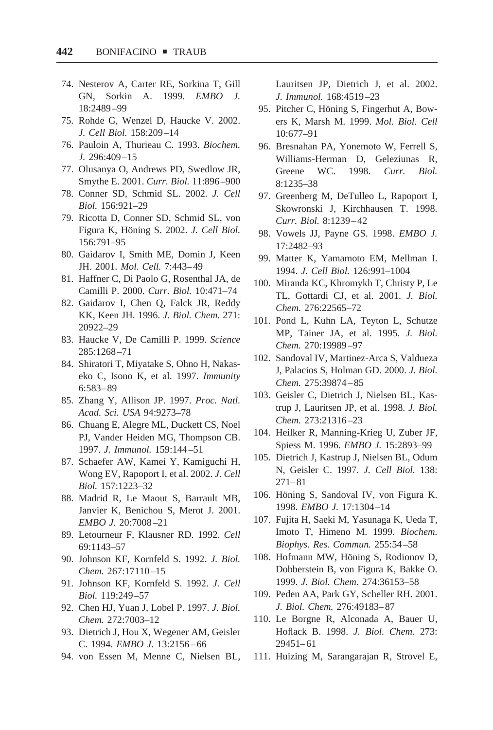- 74. Nesterov A, Carter RE, Sorkina T, Gill GN, Sorkin A. 1999. *EMBO J.* 18:2489–99
- 75. Rohde G, Wenzel D, Haucke V. 2002. *J. Cell Biol.* 158:209–14
- 76. Pauloin A, Thurieau C. 1993. *Biochem. J.* 296:409–15
- 77. Olusanya O, Andrews PD, Swedlow JR, Smythe E. 2001. *Curr. Biol.* 11:896–900
- 78. Conner SD, Schmid SL. 2002. *J. Cell Biol.* 156:921–29
- 79. Ricotta D, Conner SD, Schmid SL, von Figura K, Höning S. 2002. *J. Cell Biol.* 156:791–95
- 80. Gaidarov I, Smith ME, Domin J, Keen JH. 2001. *Mol. Cell.* 7:443–49
- 81. Haffner C, Di Paolo G, Rosenthal JA, de Camilli P. 2000. *Curr. Biol.* 10:471–74
- 82. Gaidarov I, Chen Q, Falck JR, Reddy KK, Keen JH. 1996. *J. Biol. Chem.* 271: 20922–29
- 83. Haucke V, De Camilli P. 1999. *Science* 285:1268–71
- 84. Shiratori T, Miyatake S, Ohno H, Nakaseko C, Isono K, et al. 1997. *Immunity* 6:583–89
- 85. Zhang Y, Allison JP. 1997. *Proc. Natl. Acad. Sci. USA* 94:9273–78
- 86. Chuang E, Alegre ML, Duckett CS, Noel PJ, Vander Heiden MG, Thompson CB. 1997. *J. Immunol.* 159:144–51
- 87. Schaefer AW, Kamei Y, Kamiguchi H, Wong EV, Rapoport I, et al. 2002. *J. Cell Biol.* 157:1223–32
- 88. Madrid R, Le Maout S, Barrault MB, Janvier K, Benichou S, Merot J. 2001. *EMBO J.* 20:7008–21
- 89. Letourneur F, Klausner RD. 1992. *Cell* 69:1143–57
- 90. Johnson KF, Kornfeld S. 1992. *J. Biol. Chem.* 267:17110–15
- 91. Johnson KF, Kornfeld S. 1992. *J. Cell Biol.* 119:249–57
- 92. Chen HJ, Yuan J, Lobel P. 1997. *J. Biol. Chem.* 272:7003–12
- 93. Dietrich J, Hou X, Wegener AM, Geisler C. 1994. *EMBO J.* 13:2156–66
- 94. von Essen M, Menne C, Nielsen BL,

Lauritsen JP, Dietrich J, et al. 2002. *J. Immunol.* 168:4519–23

- 95. Pitcher C, Höning S, Fingerhut A, Bowers K, Marsh M. 1999. *Mol. Biol. Cell* 10:677–91
- 96. Bresnahan PA, Yonemoto W, Ferrell S, Williams-Herman D, Geleziunas R, Greene WC. 1998. *Curr. Biol.* 8:1235–38
- 97. Greenberg M, DeTulleo L, Rapoport I, Skowronski J, Kirchhausen T. 1998. *Curr. Biol.* 8:1239–42
- 98. Vowels JJ, Payne GS. 1998. *EMBO J.* 17:2482–93
- 99. Matter K, Yamamoto EM, Mellman I. 1994. *J. Cell Biol.* 126:991–1004
- 100. Miranda KC, Khromykh T, Christy P, Le TL, Gottardi CJ, et al. 2001. *J. Biol. Chem.* 276:22565–72
- 101. Pond L, Kuhn LA, Teyton L, Schutze MP, Tainer JA, et al. 1995. *J. Biol. Chem.* 270:19989–97
- 102. Sandoval IV, Martinez-Arca S, Valdueza J, Palacios S, Holman GD. 2000. *J. Biol. Chem.* 275:39874–85
- 103. Geisler C, Dietrich J, Nielsen BL, Kastrup J, Lauritsen JP, et al. 1998. *J. Biol. Chem.* 273:21316–23
- 104. Heilker R, Manning-Krieg U, Zuber JF, Spiess M. 1996. *EMBO J.* 15:2893–99
- 105. Dietrich J, Kastrup J, Nielsen BL, Odum N, Geisler C. 1997. *J. Cell Biol.* 138: 271–81
- 106. Höning S, Sandoval IV, von Figura K. 1998. *EMBO J.* 17:1304–14
- 107. Fujita H, Saeki M, Yasunaga K, Ueda T, Imoto T, Himeno M. 1999. *Biochem. Biophys. Res. Commun.* 255:54–58
- 108. Hofmann MW, Höning S, Rodionov D, Dobberstein B, von Figura K, Bakke O. 1999. *J. Biol. Chem.* 274:36153–58
- 109. Peden AA, Park GY, Scheller RH. 2001. *J. Biol. Chem.* 276:49183–87
- 110. Le Borgne R, Alconada A, Bauer U, Hoflack B. 1998. *J. Biol. Chem.* 273: 29451–61
- 111. Huizing M, Sarangarajan R, Strovel E,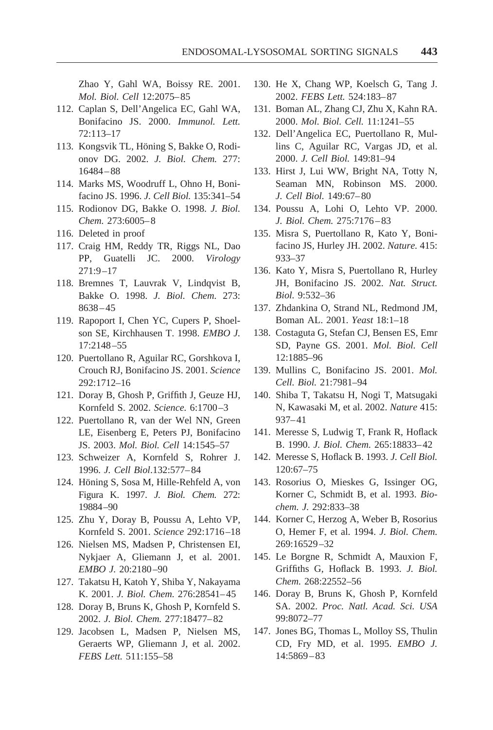Zhao Y, Gahl WA, Boissy RE. 2001. *Mol. Biol. Cell* 12:2075–85

- 112. Caplan S, Dell'Angelica EC, Gahl WA, Bonifacino JS. 2000. *Immunol. Lett.* 72:113–17
- 113. Kongsvik TL, Höning S, Bakke O, Rodionov DG. 2002. *J. Biol. Chem.* 277: 16484–88
- 114. Marks MS, Woodruff L, Ohno H, Bonifacino JS. 1996. *J. Cell Biol.* 135:341–54
- 115. Rodionov DG, Bakke O. 1998. *J. Biol. Chem.* 273:6005–8
- 116. Deleted in proof
- 117. Craig HM, Reddy TR, Riggs NL, Dao PP, Guatelli JC. 2000. *Virology* 271:9–17
- 118. Bremnes T, Lauvrak V, Lindqvist B, Bakke O. 1998. *J. Biol. Chem.* 273: 8638–45
- 119. Rapoport I, Chen YC, Cupers P, Shoelson SE, Kirchhausen T. 1998. *EMBO J.* 17:2148–55
- 120. Puertollano R, Aguilar RC, Gorshkova I, Crouch RJ, Bonifacino JS. 2001. *Science* 292:1712–16
- 121. Doray B, Ghosh P, Griffith J, Geuze HJ, Kornfeld S. 2002. *Science.* 6:1700–3
- 122. Puertollano R, van der Wel NN, Green LE, Eisenberg E, Peters PJ, Bonifacino JS. 2003. *Mol. Biol. Cell* 14:1545–57
- 123. Schweizer A, Kornfeld S, Rohrer J. 1996. *J. Cell Biol*.132:577–84
- 124. Höning S, Sosa M, Hille-Rehfeld A, von Figura K. 1997. *J. Biol. Chem.* 272: 19884–90
- 125. Zhu Y, Doray B, Poussu A, Lehto VP, Kornfeld S. 2001. *Science* 292:1716–18
- 126. Nielsen MS, Madsen P, Christensen EI, Nykjaer A, Gliemann J, et al. 2001. *EMBO J.* 20:2180–90
- 127. Takatsu H, Katoh Y, Shiba Y, Nakayama K. 2001. *J. Biol. Chem.* 276:28541–45
- 128. Doray B, Bruns K, Ghosh P, Kornfeld S. 2002. *J. Biol. Chem.* 277:18477–82
- 129. Jacobsen L, Madsen P, Nielsen MS, Geraerts WP, Gliemann J, et al. 2002. *FEBS Lett.* 511:155–58
- 130. He X, Chang WP, Koelsch G, Tang J. 2002. *FEBS Lett.* 524:183–87
- 131. Boman AL, Zhang CJ, Zhu X, Kahn RA. 2000. *Mol. Biol. Cell.* 11:1241–55
- 132. Dell'Angelica EC, Puertollano R, Mullins C, Aguilar RC, Vargas JD, et al. 2000. *J. Cell Biol.* 149:81–94
- 133. Hirst J, Lui WW, Bright NA, Totty N, Seaman MN, Robinson MS. 2000. *J. Cell Biol.* 149:67–80
- 134. Poussu A, Lohi O, Lehto VP. 2000. *J. Biol. Chem.* 275:7176–83
- 135. Misra S, Puertollano R, Kato Y, Bonifacino JS, Hurley JH. 2002. *Nature.* 415: 933–37
- 136. Kato Y, Misra S, Puertollano R, Hurley JH, Bonifacino JS. 2002. *Nat. Struct. Biol.* 9:532–36
- 137. Zhdankina O, Strand NL, Redmond JM, Boman AL. 2001. *Yeast* 18:1–18
- 138. Costaguta G, Stefan CJ, Bensen ES, Emr SD, Payne GS. 2001. *Mol. Biol. Cell* 12:1885–96
- 139. Mullins C, Bonifacino JS. 2001. *Mol. Cell. Biol.* 21:7981–94
- 140. Shiba T, Takatsu H, Nogi T, Matsugaki N, Kawasaki M, et al. 2002. *Nature* 415: 937–41
- 141. Meresse S, Ludwig T, Frank R, Hoflack B. 1990. *J. Biol. Chem.* 265:18833–42
- 142. Meresse S, Hoflack B. 1993. *J. Cell Biol.* 120:67–75
- 143. Rosorius O, Mieskes G, Issinger OG, Korner C, Schmidt B, et al. 1993. *Biochem. J.* 292:833–38
- 144. Korner C, Herzog A, Weber B, Rosorius O, Hemer F, et al. 1994. *J. Biol. Chem.* 269:16529–32
- 145. Le Borgne R, Schmidt A, Mauxion F, Griffiths G, Hoflack B. 1993. *J. Biol. Chem.* 268:22552–56
- 146. Doray B, Bruns K, Ghosh P, Kornfeld SA. 2002. *Proc. Natl. Acad. Sci. USA* 99:8072–77
- 147. Jones BG, Thomas L, Molloy SS, Thulin CD, Fry MD, et al. 1995. *EMBO J.* 14:5869–83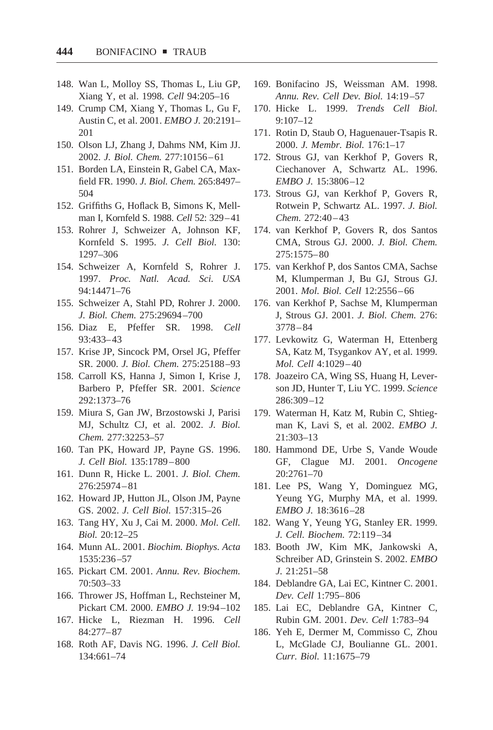- 148. Wan L, Molloy SS, Thomas L, Liu GP, Xiang Y, et al. 1998. *Cell* 94:205–16
- 149. Crump CM, Xiang Y, Thomas L, Gu F, Austin C, et al. 2001. *EMBO J.* 20:2191– 201
- 150. Olson LJ, Zhang J, Dahms NM, Kim JJ. 2002. *J. Biol. Chem.* 277:10156–61
- 151. Borden LA, Einstein R, Gabel CA, Maxfield FR. 1990. *J. Biol. Chem.* 265:8497– 504
- 152. Griffiths G, Hoflack B, Simons K, Mellman I, Kornfeld S. 1988. *Cell* 52: 329–41
- 153. Rohrer J, Schweizer A, Johnson KF, Kornfeld S. 1995. *J. Cell Biol.* 130: 1297–306
- 154. Schweizer A, Kornfeld S, Rohrer J. 1997. *Proc. Natl. Acad. Sci. USA* 94:14471–76
- 155. Schweizer A, Stahl PD, Rohrer J. 2000. *J. Biol. Chem.* 275:29694–700
- 156. Diaz E, Pfeffer SR. 1998. *Cell* 93:433–43
- 157. Krise JP, Sincock PM, Orsel JG, Pfeffer SR. 2000. *J. Biol. Chem.* 275:25188–93
- 158. Carroll KS, Hanna J, Simon I, Krise J, Barbero P, Pfeffer SR. 2001. *Science* 292:1373–76
- 159. Miura S, Gan JW, Brzostowski J, Parisi MJ, Schultz CJ, et al. 2002. *J. Biol. Chem.* 277:32253–57
- 160. Tan PK, Howard JP, Payne GS. 1996. *J. Cell Biol.* 135:1789–800
- 161. Dunn R, Hicke L. 2001. *J. Biol. Chem.* 276:25974–81
- 162. Howard JP, Hutton JL, Olson JM, Payne GS. 2002. *J. Cell Biol.* 157:315–26
- 163. Tang HY, Xu J, Cai M. 2000. *Mol. Cell. Biol.* 20:12–25
- 164. Munn AL. 2001. *Biochim. Biophys. Acta* 1535:236–57
- 165. Pickart CM. 2001. *Annu. Rev. Biochem.* 70:503–33
- 166. Thrower JS, Hoffman L, Rechsteiner M, Pickart CM. 2000. *EMBO J.* 19:94–102
- 167. Hicke L, Riezman H. 1996. *Cell* 84:277–87
- 168. Roth AF, Davis NG. 1996. *J. Cell Biol.* 134:661–74
- 169. Bonifacino JS, Weissman AM. 1998. *Annu. Rev. Cell Dev. Biol.* 14:19–57
- 170. Hicke L. 1999. *Trends Cell Biol.* 9:107–12
- 171. Rotin D, Staub O, Haguenauer-Tsapis R. 2000. *J. Membr. Biol.* 176:1–17
- 172. Strous GJ, van Kerkhof P, Govers R, Ciechanover A, Schwartz AL. 1996. *EMBO J.* 15:3806–12
- 173. Strous GJ, van Kerkhof P, Govers R, Rotwein P, Schwartz AL. 1997. *J. Biol. Chem.* 272:40–43
- 174. van Kerkhof P, Govers R, dos Santos CMA, Strous GJ. 2000. *J. Biol. Chem.* 275:1575–80
- 175. van Kerkhof P, dos Santos CMA, Sachse M, Klumperman J, Bu GJ, Strous GJ. 2001. *Mol. Biol. Cell* 12:2556–66
- 176. van Kerkhof P, Sachse M, Klumperman J, Strous GJ. 2001. *J. Biol. Chem.* 276: 3778–84
- 177. Levkowitz G, Waterman H, Ettenberg SA, Katz M, Tsygankov AY, et al. 1999. *Mol. Cell* 4:1029–40
- 178. Joazeiro CA, Wing SS, Huang H, Leverson JD, Hunter T, Liu YC. 1999. *Science* 286:309–12
- 179. Waterman H, Katz M, Rubin C, Shtiegman K, Lavi S, et al. 2002. *EMBO J.* 21:303–13
- 180. Hammond DE, Urbe S, Vande Woude GF, Clague MJ. 2001. *Oncogene* 20:2761–70
- 181. Lee PS, Wang Y, Dominguez MG, Yeung YG, Murphy MA, et al. 1999. *EMBO J.* 18:3616–28
- 182. Wang Y, Yeung YG, Stanley ER. 1999. *J. Cell. Biochem.* 72:119–34
- 183. Booth JW, Kim MK, Jankowski A, Schreiber AD, Grinstein S. 2002. *EMBO J.* 21:251–58
- 184. Deblandre GA, Lai EC, Kintner C. 2001. *Dev. Cell* 1:795–806
- 185. Lai EC, Deblandre GA, Kintner C, Rubin GM. 2001. *Dev. Cell* 1:783–94
- 186. Yeh E, Dermer M, Commisso C, Zhou L, McGlade CJ, Boulianne GL. 2001. *Curr. Biol.* 11:1675–79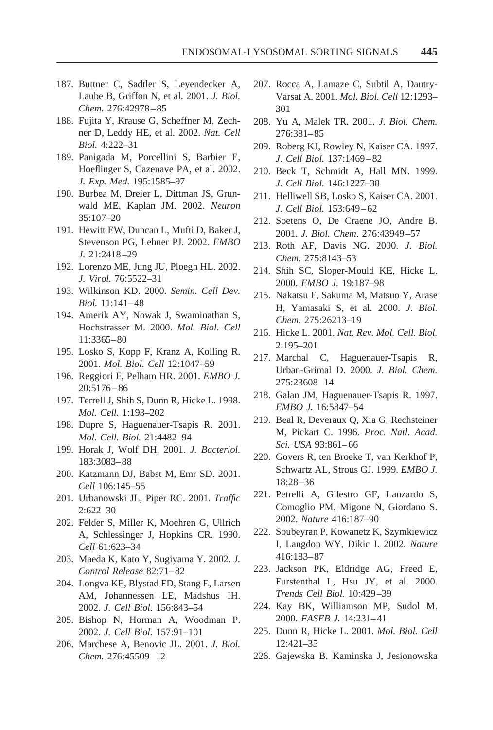- 187. Buttner C, Sadtler S, Leyendecker A, Laube B, Griffon N, et al. 2001. *J. Biol. Chem.* 276:42978–85
- 188. Fujita Y, Krause G, Scheffner M, Zechner D, Leddy HE, et al. 2002. *Nat. Cell Biol.* 4:222–31
- 189. Panigada M, Porcellini S, Barbier E, Hoeflinger S, Cazenave PA, et al. 2002. *J. Exp. Med.* 195:1585–97
- 190. Burbea M, Dreier L, Dittman JS, Grunwald ME, Kaplan JM. 2002. *Neuron* 35:107–20
- 191. Hewitt EW, Duncan L, Mufti D, Baker J, Stevenson PG, Lehner PJ. 2002. *EMBO J.* 21:2418–29
- 192. Lorenzo ME, Jung JU, Ploegh HL. 2002. *J. Virol.* 76:5522–31
- 193. Wilkinson KD. 2000. *Semin. Cell Dev. Biol.* 11:141–48
- 194. Amerik AY, Nowak J, Swaminathan S, Hochstrasser M. 2000. *Mol. Biol. Cell* 11:3365–80
- 195. Losko S, Kopp F, Kranz A, Kolling R. 2001. *Mol. Biol. Cell* 12:1047–59
- 196. Reggiori F, Pelham HR. 2001. *EMBO J.* 20:5176–86
- 197. Terrell J, Shih S, Dunn R, Hicke L. 1998. *Mol. Cell.* 1:193–202
- 198. Dupre S, Haguenauer-Tsapis R. 2001. *Mol. Cell. Biol.* 21:4482–94
- 199. Horak J, Wolf DH. 2001. *J. Bacteriol.* 183:3083–88
- 200. Katzmann DJ, Babst M, Emr SD. 2001. *Cell* 106:145–55
- 201. Urbanowski JL, Piper RC. 2001. *Traffic* 2:622–30
- 202. Felder S, Miller K, Moehren G, Ullrich A, Schlessinger J, Hopkins CR. 1990. *Cell* 61:623–34
- 203. Maeda K, Kato Y, Sugiyama Y. 2002. *J. Control Release* 82:71–82
- 204. Longva KE, Blystad FD, Stang E, Larsen AM, Johannessen LE, Madshus IH. 2002. *J. Cell Biol.* 156:843–54
- 205. Bishop N, Horman A, Woodman P. 2002. *J. Cell Biol.* 157:91–101
- 206. Marchese A, Benovic JL. 2001. *J. Biol. Chem.* 276:45509–12
- 207. Rocca A, Lamaze C, Subtil A, Dautry-Varsat A. 2001. *Mol. Biol. Cell* 12:1293– 301
- 208. Yu A, Malek TR. 2001. *J. Biol. Chem.* 276:381–85
- 209. Roberg KJ, Rowley N, Kaiser CA. 1997. *J. Cell Biol.* 137:1469–82
- 210. Beck T, Schmidt A, Hall MN. 1999. *J. Cell Biol.* 146:1227–38
- 211. Helliwell SB, Losko S, Kaiser CA. 2001. *J. Cell Biol.* 153:649–62
- 212. Soetens O, De Craene JO, Andre B. 2001. *J. Biol. Chem.* 276:43949–57
- 213. Roth AF, Davis NG. 2000. *J. Biol. Chem.* 275:8143–53
- 214. Shih SC, Sloper-Mould KE, Hicke L. 2000. *EMBO J.* 19:187–98
- 215. Nakatsu F, Sakuma M, Matsuo Y, Arase H, Yamasaki S, et al. 2000. *J. Biol. Chem.* 275:26213–19
- 216. Hicke L. 2001. *Nat. Rev. Mol. Cell. Biol.* 2:195–201
- 217. Marchal C, Haguenauer-Tsapis R, Urban-Grimal D. 2000. *J. Biol. Chem.* 275:23608–14
- 218. Galan JM, Haguenauer-Tsapis R. 1997. *EMBO J.* 16:5847–54
- 219. Beal R, Deveraux Q, Xia G, Rechsteiner M, Pickart C. 1996. *Proc. Natl. Acad. Sci. USA* 93:861–66
- 220. Govers R, ten Broeke T, van Kerkhof P, Schwartz AL, Strous GJ. 1999. *EMBO J.* 18:28–36
- 221. Petrelli A, Gilestro GF, Lanzardo S, Comoglio PM, Migone N, Giordano S. 2002. *Nature* 416:187–90
- 222. Soubeyran P, Kowanetz K, Szymkiewicz I, Langdon WY, Dikic I. 2002. *Nature* 416:183–87
- 223. Jackson PK, Eldridge AG, Freed E, Furstenthal L, Hsu JY, et al. 2000. *Trends Cell Biol.* 10:429–39
- 224. Kay BK, Williamson MP, Sudol M. 2000. *FASEB J.* 14:231–41
- 225. Dunn R, Hicke L. 2001. *Mol. Biol. Cell* 12:421–35
- 226. Gajewska B, Kaminska J, Jesionowska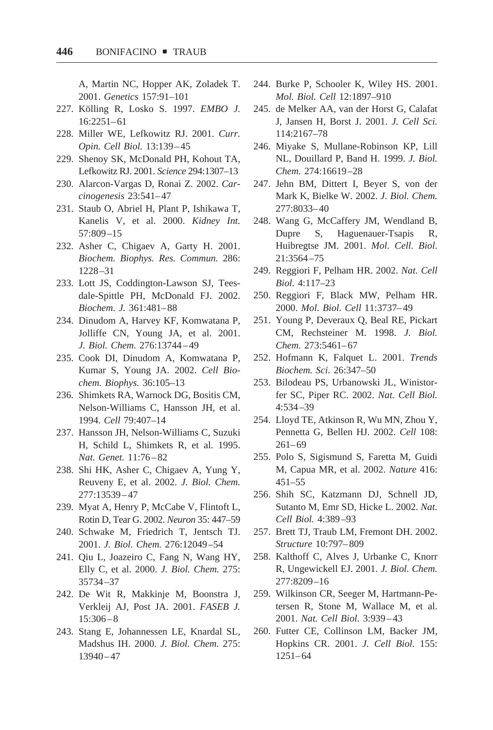A, Martin NC, Hopper AK, Zoladek T. 2001. *Genetics* 157:91–101

- 227. Kölling R, Losko S. 1997. *EMBO J.* 16:2251–61
- 228. Miller WE, Lefkowitz RJ. 2001. *Curr. Opin. Cell Biol.* 13:139–45
- 229. Shenoy SK, McDonald PH, Kohout TA, Lefkowitz RJ. 2001. *Science* 294:1307–13
- 230. Alarcon-Vargas D, Ronai Z. 2002. *Carcinogenesis* 23:541–47
- 231. Staub O, Abriel H, Plant P, Ishikawa T, Kanelis V, et al. 2000. *Kidney Int.* 57:809–15
- 232. Asher C, Chigaev A, Garty H. 2001. *Biochem. Biophys. Res. Commun.* 286: 1228–31
- 233. Lott JS, Coddington-Lawson SJ, Teesdale-Spittle PH, McDonald FJ. 2002. *Biochem. J.* 361:481–88
- 234. Dinudom A, Harvey KF, Komwatana P, Jolliffe CN, Young JA, et al. 2001. *J. Biol. Chem.* 276:13744–49
- 235. Cook DI, Dinudom A, Komwatana P, Kumar S, Young JA. 2002. *Cell Biochem. Biophys.* 36:105–13
- 236. Shimkets RA, Warnock DG, Bositis CM, Nelson-Williams C, Hansson JH, et al. 1994. *Cell* 79:407–14
- 237. Hansson JH, Nelson-Williams C, Suzuki H, Schild L, Shimkets R, et al. 1995. *Nat. Genet.* 11:76–82
- 238. Shi HK, Asher C, Chigaev A, Yung Y, Reuveny E, et al. 2002. *J. Biol. Chem.* 277:13539–47
- 239. Myat A, Henry P, McCabe V, Flintoft L, Rotin D, Tear G. 2002. *Neuron* 35: 447–59
- 240. Schwake M, Friedrich T, Jentsch TJ. 2001. *J. Biol. Chem.* 276:12049–54
- 241. Qiu L, Joazeiro C, Fang N, Wang HY, Elly C, et al. 2000. *J. Biol. Chem.* 275: 35734–37
- 242. De Wit R, Makkinje M, Boonstra J, Verkleij AJ, Post JA. 2001. *FASEB J.* 15:306–8
- 243. Stang E, Johannessen LE, Knardal SL, Madshus IH. 2000. *J. Biol. Chem.* 275: 13940–47
- 244. Burke P, Schooler K, Wiley HS. 2001. *Mol. Biol. Cell* 12:1897–910
- 245. de Melker AA, van der Horst G, Calafat J, Jansen H, Borst J. 2001. *J. Cell Sci.* 114:2167–78
- 246. Miyake S, Mullane-Robinson KP, Lill NL, Douillard P, Band H. 1999. *J. Biol. Chem.* 274:16619–28
- 247. Jehn BM, Dittert I, Beyer S, von der Mark K, Bielke W. 2002. *J. Biol. Chem.* 277:8033–40
- 248. Wang G, McCaffery JM, Wendland B, Dupre S, Haguenauer-Tsapis R, Huibregtse JM. 2001. *Mol. Cell. Biol.* 21:3564–75
- 249. Reggiori F, Pelham HR. 2002. *Nat. Cell Biol.* 4:117–23
- 250. Reggiori F, Black MW, Pelham HR. 2000. *Mol. Biol. Cell* 11:3737–49
- 251. Young P, Deveraux Q, Beal RE, Pickart CM, Rechsteiner M. 1998. *J. Biol. Chem.* 273:5461–67
- 252. Hofmann K, Falquet L. 2001. *Trends Biochem. Sci.* 26:347–50
- 253. Bilodeau PS, Urbanowski JL, Winistorfer SC, Piper RC. 2002. *Nat. Cell Biol.* 4:534–39
- 254. Lloyd TE, Atkinson R, Wu MN, Zhou Y, Pennetta G, Bellen HJ. 2002. *Cell* 108: 261–69
- 255. Polo S, Sigismund S, Faretta M, Guidi M, Capua MR, et al. 2002. *Nature* 416: 451–55
- 256. Shih SC, Katzmann DJ, Schnell JD, Sutanto M, Emr SD, Hicke L. 2002. *Nat. Cell Biol.* 4:389–93
- 257. Brett TJ, Traub LM, Fremont DH. 2002. *Structure* 10:797–809
- 258. Kalthoff C, Alves J, Urbanke C, Knorr R, Ungewickell EJ. 2001. *J. Biol. Chem.* 277:8209–16
- 259. Wilkinson CR, Seeger M, Hartmann-Petersen R, Stone M, Wallace M, et al. 2001. *Nat. Cell Biol.* 3:939–43
- 260. Futter CE, Collinson LM, Backer JM, Hopkins CR. 2001. *J. Cell Biol.* 155: 1251–64